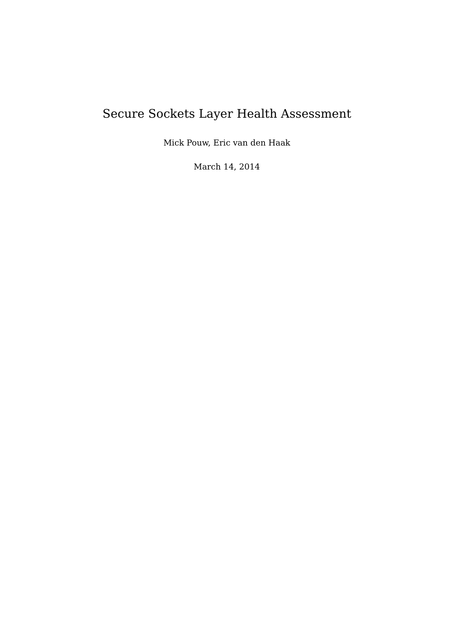# <span id="page-0-0"></span>Secure Sockets Layer Health Assessment

Mick Pouw, Eric van den Haak

March 14, 2014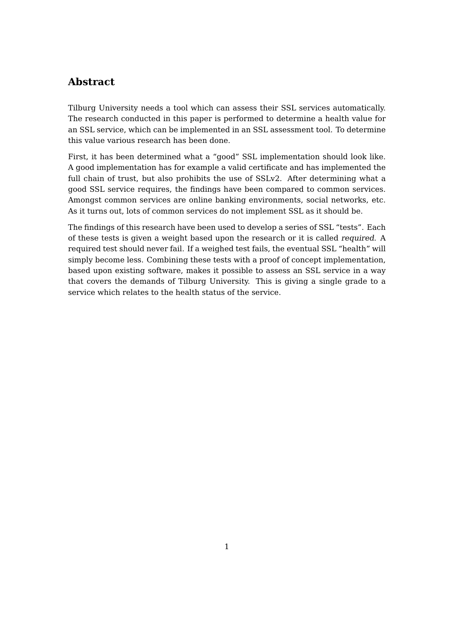## **Abstract**

Tilburg University needs a tool which can assess their SSL services automatically. The research conducted in this paper is performed to determine a health value for an SSL service, which can be implemented in an SSL assessment tool. To determine this value various research has been done.

First, it has been determined what a "good" SSL implementation should look like. A good implementation has for example a valid certificate and has implemented the full chain of trust, but also prohibits the use of SSLv2. After determining what a good SSL service requires, the findings have been compared to common services. Amongst common services are online banking environments, social networks, etc. As it turns out, lots of common services do not implement SSL as it should be.

The findings of this research have been used to develop a series of SSL "tests". Each of these tests is given a weight based upon the research or it is called required. A required test should never fail. If a weighed test fails, the eventual SSL "health" will simply become less. Combining these tests with a proof of concept implementation, based upon existing software, makes it possible to assess an SSL service in a way that covers the demands of Tilburg University. This is giving a single grade to a service which relates to the health status of the service.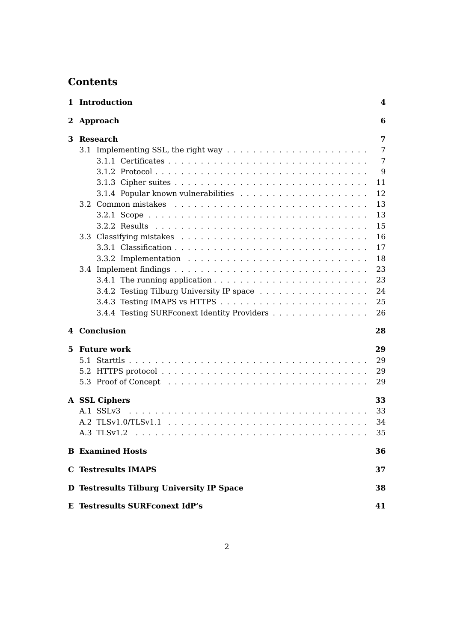# **Contents**

|    | 1 Introduction                                                                        | 4  |
|----|---------------------------------------------------------------------------------------|----|
|    | 2 Approach                                                                            | 6  |
| 3  | <b>Research</b>                                                                       | 7  |
|    |                                                                                       | 7  |
|    |                                                                                       | 7  |
|    |                                                                                       | 9  |
|    |                                                                                       | 11 |
|    |                                                                                       | 12 |
|    |                                                                                       | 13 |
|    |                                                                                       | 13 |
|    |                                                                                       | 15 |
|    |                                                                                       | 16 |
|    |                                                                                       | 17 |
|    | 3.3.2 Implementation $\ldots \ldots \ldots \ldots \ldots \ldots \ldots \ldots \ldots$ | 18 |
|    |                                                                                       | 23 |
|    |                                                                                       | 23 |
|    | 3.4.2 Testing Tilburg University IP space                                             | 24 |
|    |                                                                                       | 25 |
|    | 3.4.4 Testing SURF conext Identity Providers                                          | 26 |
|    | 4 Conclusion                                                                          | 28 |
| 5. | Future work                                                                           | 29 |
|    | 5.1 Starttls                                                                          | 29 |
|    |                                                                                       | 29 |
|    |                                                                                       | 29 |
|    |                                                                                       |    |
|    | A SSL Ciphers                                                                         | 33 |
|    | A.1 SSLv3                                                                             | 33 |
|    |                                                                                       | 34 |
|    |                                                                                       | 35 |
|    | <b>B</b> Examined Hosts                                                               | 36 |
|    | <b>C</b> Testresults IMAPS                                                            | 37 |
|    | D Testresults Tilburg University IP Space                                             | 38 |
|    | <b>E</b> Testresults SURFconext IdP's                                                 | 41 |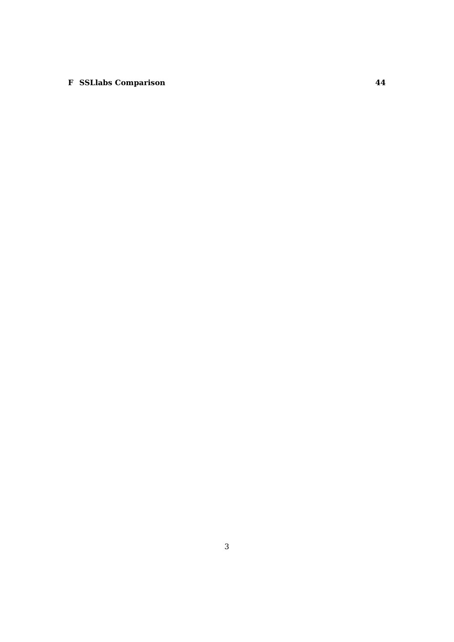## **[F SSLlabs Comparison](#page-44-0) 44**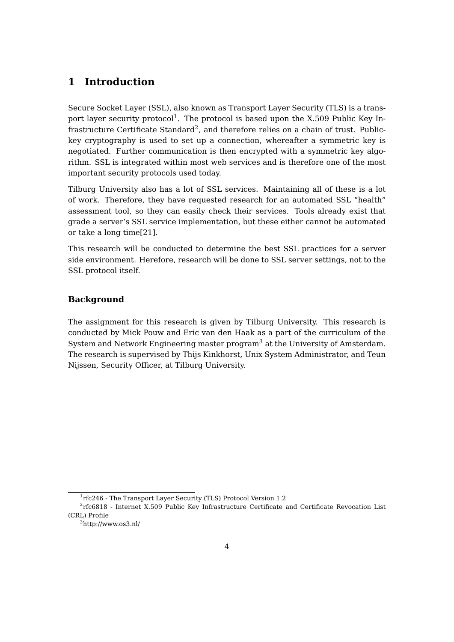## <span id="page-4-0"></span>**1 Introduction**

Secure Socket Layer (SSL), also known as Transport Layer Security (TLS) is a trans-port layer security protocol<sup>[1](#page-0-0)</sup>. The protocol is based upon the X.509 Public Key In-frastructure Certificate Standard<sup>[2](#page-0-0)</sup>, and therefore relies on a chain of trust. Publickey cryptography is used to set up a connection, whereafter a symmetric key is negotiated. Further communication is then encrypted with a symmetric key algorithm. SSL is integrated within most web services and is therefore one of the most important security protocols used today.

Tilburg University also has a lot of SSL services. Maintaining all of these is a lot of work. Therefore, they have requested research for an automated SSL "health" assessment tool, so they can easily check their services. Tools already exist that grade a server's SSL service implementation, but these either cannot be automated or take a long time[\[21\]](#page-31-0).

This research will be conducted to determine the best SSL practices for a server side environment. Herefore, research will be done to SSL server settings, not to the SSL protocol itself.

## **Background**

The assignment for this research is given by Tilburg University. This research is conducted by Mick Pouw and Eric van den Haak as a part of the curriculum of the System and Network Engineering master program<sup>[3](#page-0-0)</sup> at the University of Amsterdam. The research is supervised by Thijs Kinkhorst, Unix System Administrator, and Teun Nijssen, Security Officer, at Tilburg University.

<sup>&</sup>lt;sup>1</sup>rfc246 - The Transport Layer Security (TLS) Protocol Version 1.2

<sup>2</sup> rfc6818 - Internet X.509 Public Key Infrastructure Certificate and Certificate Revocation List (CRL) Profile

<sup>3</sup>http://www.os3.nl/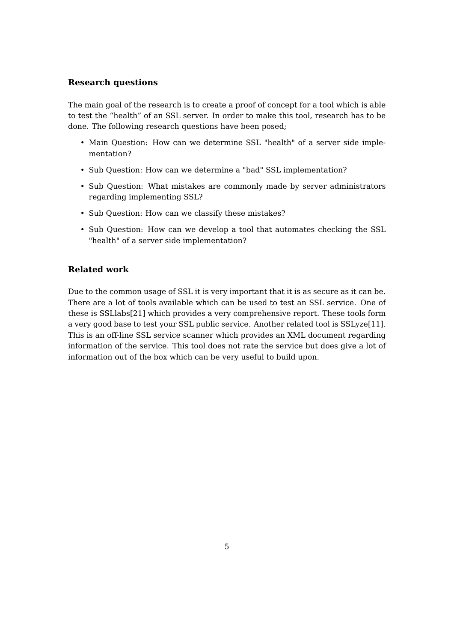#### **Research questions**

The main goal of the research is to create a proof of concept for a tool which is able to test the "health" of an SSL server. In order to make this tool, research has to be done. The following research questions have been posed;

- Main Question: How can we determine SSL "health" of a server side implementation?
- Sub Question: How can we determine a "bad" SSL implementation?
- Sub Question: What mistakes are commonly made by server administrators regarding implementing SSL?
- Sub Question: How can we classify these mistakes?
- Sub Question: How can we develop a tool that automates checking the SSL "health" of a server side implementation?

## **Related work**

Due to the common usage of SSL it is very important that it is as secure as it can be. There are a lot of tools available which can be used to test an SSL service. One of these is SSLlabs[\[21\]](#page-31-0) which provides a very comprehensive report. These tools form a very good base to test your SSL public service. Another related tool is SSLyze[\[11\]](#page-30-0). This is an off-line SSL service scanner which provides an XML document regarding information of the service. This tool does not rate the service but does give a lot of information out of the box which can be very useful to build upon.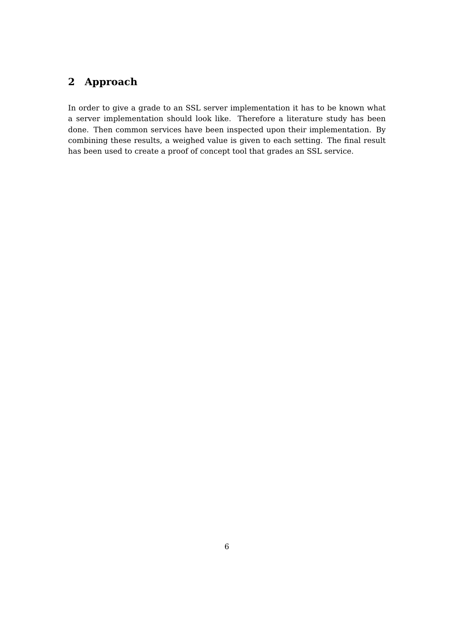# <span id="page-6-0"></span>**2 Approach**

In order to give a grade to an SSL server implementation it has to be known what a server implementation should look like. Therefore a literature study has been done. Then common services have been inspected upon their implementation. By combining these results, a weighed value is given to each setting. The final result has been used to create a proof of concept tool that grades an SSL service.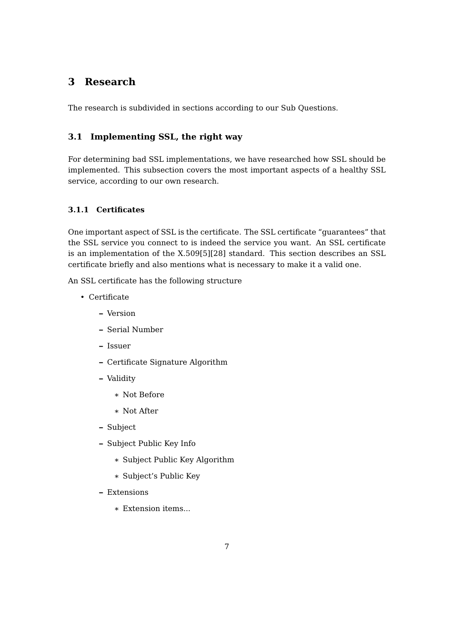# <span id="page-7-0"></span>**3 Research**

The research is subdivided in sections according to our Sub Questions.

## <span id="page-7-1"></span>**3.1 Implementing SSL, the right way**

For determining bad SSL implementations, we have researched how SSL should be implemented. This subsection covers the most important aspects of a healthy SSL service, according to our own research.

## <span id="page-7-2"></span>**3.1.1 Certificates**

One important aspect of SSL is the certificate. The SSL certificate "guarantees" that the SSL service you connect to is indeed the service you want. An SSL certificate is an implementation of the X.509[\[5\]](#page-30-1)[\[28\]](#page-32-0) standard. This section describes an SSL certificate briefly and also mentions what is necessary to make it a valid one.

An SSL certificate has the following structure

- Certificate
	- **–** Version
	- **–** Serial Number
	- **–** Issuer
	- **–** Certificate Signature Algorithm
	- **–** Validity
		- \* Not Before
		- \* Not After
	- **–** Subject
	- **–** Subject Public Key Info
		- \* Subject Public Key Algorithm
		- \* Subject's Public Key
	- **–** Extensions
		- \* Extension items...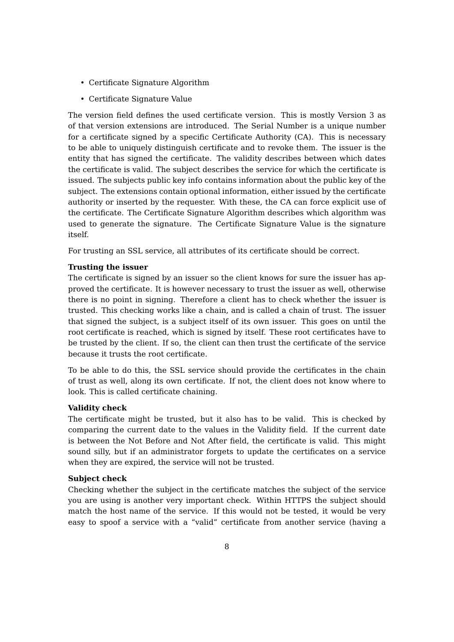- Certificate Signature Algorithm
- Certificate Signature Value

The version field defines the used certificate version. This is mostly Version 3 as of that version extensions are introduced. The Serial Number is a unique number for a certificate signed by a specific Certificate Authority (CA). This is necessary to be able to uniquely distinguish certificate and to revoke them. The issuer is the entity that has signed the certificate. The validity describes between which dates the certificate is valid. The subject describes the service for which the certificate is issued. The subjects public key info contains information about the public key of the subject. The extensions contain optional information, either issued by the certificate authority or inserted by the requester. With these, the CA can force explicit use of the certificate. The Certificate Signature Algorithm describes which algorithm was used to generate the signature. The Certificate Signature Value is the signature itself.

For trusting an SSL service, all attributes of its certificate should be correct.

#### **Trusting the issuer**

The certificate is signed by an issuer so the client knows for sure the issuer has approved the certificate. It is however necessary to trust the issuer as well, otherwise there is no point in signing. Therefore a client has to check whether the issuer is trusted. This checking works like a chain, and is called a chain of trust. The issuer that signed the subject, is a subject itself of its own issuer. This goes on until the root certificate is reached, which is signed by itself. These root certificates have to be trusted by the client. If so, the client can then trust the certificate of the service because it trusts the root certificate.

To be able to do this, the SSL service should provide the certificates in the chain of trust as well, along its own certificate. If not, the client does not know where to look. This is called certificate chaining.

#### **Validity check**

The certificate might be trusted, but it also has to be valid. This is checked by comparing the current date to the values in the Validity field. If the current date is between the Not Before and Not After field, the certificate is valid. This might sound silly, but if an administrator forgets to update the certificates on a service when they are expired, the service will not be trusted.

#### **Subject check**

Checking whether the subject in the certificate matches the subject of the service you are using is another very important check. Within HTTPS the subject should match the host name of the service. If this would not be tested, it would be very easy to spoof a service with a "valid" certificate from another service (having a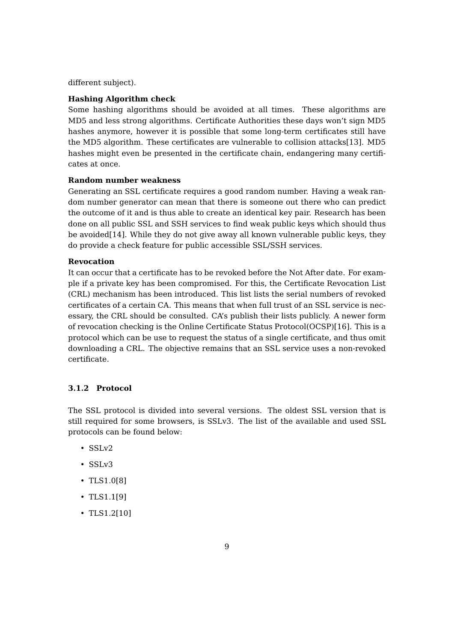different subject).

#### **Hashing Algorithm check**

Some hashing algorithms should be avoided at all times. These algorithms are MD5 and less strong algorithms. Certificate Authorities these days won't sign MD5 hashes anymore, however it is possible that some long-term certificates still have the MD5 algorithm. These certificates are vulnerable to collision attacks[\[13\]](#page-30-2). MD5 hashes might even be presented in the certificate chain, endangering many certificates at once.

#### **Random number weakness**

Generating an SSL certificate requires a good random number. Having a weak random number generator can mean that there is someone out there who can predict the outcome of it and is thus able to create an identical key pair. Research has been done on all public SSL and SSH services to find weak public keys which should thus be avoided[\[14\]](#page-31-1). While they do not give away all known vulnerable public keys, they do provide a check feature for public accessible SSL/SSH services.

#### **Revocation**

It can occur that a certificate has to be revoked before the Not After date. For example if a private key has been compromised. For this, the Certificate Revocation List (CRL) mechanism has been introduced. This list lists the serial numbers of revoked certificates of a certain CA. This means that when full trust of an SSL service is necessary, the CRL should be consulted. CA's publish their lists publicly. A newer form of revocation checking is the Online Certificate Status Protocol(OCSP)[\[16\]](#page-31-2). This is a protocol which can be use to request the status of a single certificate, and thus omit downloading a CRL. The objective remains that an SSL service uses a non-revoked certificate.

#### <span id="page-9-0"></span>**3.1.2 Protocol**

The SSL protocol is divided into several versions. The oldest SSL version that is still required for some browsers, is SSLv3. The list of the available and used SSL protocols can be found below:

- $\cdot$  SSLv2
- SSLv3
- TLS1.0[\[8\]](#page-30-3)
- TLS1.1[\[9\]](#page-30-4)
- TLS1.2[\[10\]](#page-30-5)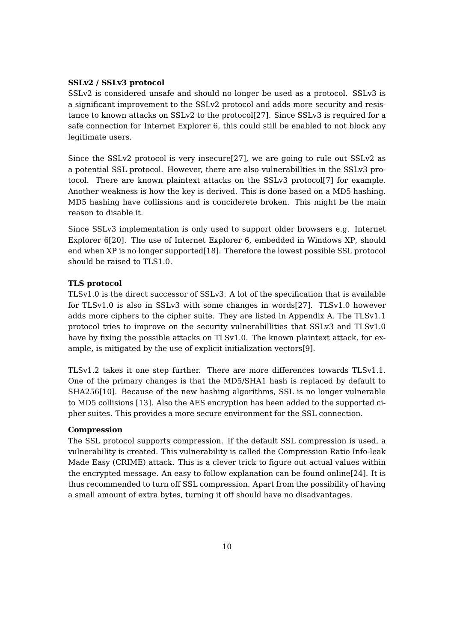#### **SSLv2 / SSLv3 protocol**

SSLv2 is considered unsafe and should no longer be used as a protocol. SSLv3 is a significant improvement to the SSLv2 protocol and adds more security and resistance to known attacks on SSLv2 to the protocol[\[27\]](#page-31-3). Since SSLv3 is required for a safe connection for Internet Explorer 6, this could still be enabled to not block any legitimate users.

Since the SSLv2 protocol is very insecure[\[27\]](#page-31-3), we are going to rule out SSLv2 as a potential SSL protocol. However, there are also vulnerabillties in the SSLv3 protocol. There are known plaintext attacks on the SSLv3 protocol[\[7\]](#page-30-6) for example. Another weakness is how the key is derived. This is done based on a MD5 hashing. MD5 hashing have collissions and is conciderete broken. This might be the main reason to disable it.

Since SSLv3 implementation is only used to support older browsers e.g. Internet Explorer 6[\[20\]](#page-31-4). The use of Internet Explorer 6, embedded in Windows XP, should end when XP is no longer supported[\[18\]](#page-31-5). Therefore the lowest possible SSL protocol should be raised to TLS1.0.

#### **TLS protocol**

TLSv1.0 is the direct successor of SSLv3. A lot of the specification that is available for TLSv1.0 is also in SSLv3 with some changes in words[\[27\]](#page-31-3). TLSv1.0 however adds more ciphers to the cipher suite. They are listed in Appendix [A.](#page-33-0) The TLSv1.1 protocol tries to improve on the security vulnerabillities that SSLv3 and TLSv1.0 have by fixing the possible attacks on TLSv1.0. The known plaintext attack, for example, is mitigated by the use of explicit initialization vectors[\[9\]](#page-30-4).

TLSv1.2 takes it one step further. There are more differences towards TLSv1.1. One of the primary changes is that the MD5/SHA1 hash is replaced by default to SHA256[\[10\]](#page-30-5). Because of the new hashing algorithms, SSL is no longer vulnerable to MD5 collisions [\[13\]](#page-30-2). Also the AES encryption has been added to the supported cipher suites. This provides a more secure environment for the SSL connection.

#### **Compression**

The SSL protocol supports compression. If the default SSL compression is used, a vulnerability is created. This vulnerability is called the Compression Ratio Info-leak Made Easy (CRIME) attack. This is a clever trick to figure out actual values within the encrypted message. An easy to follow explanation can be found online[\[24\]](#page-31-6). It is thus recommended to turn off SSL compression. Apart from the possibility of having a small amount of extra bytes, turning it off should have no disadvantages.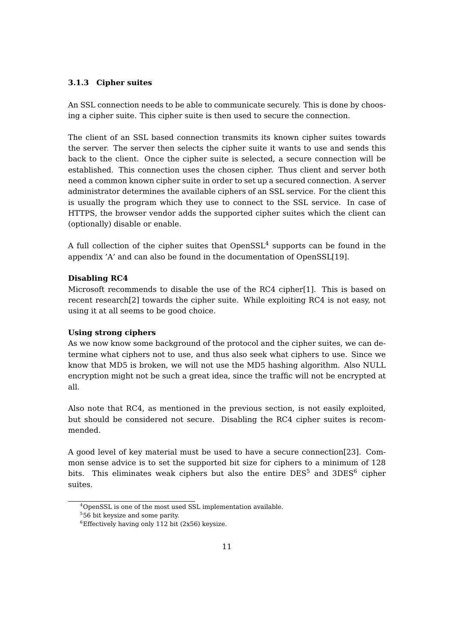#### <span id="page-11-0"></span>**3.1.3 Cipher suites**

An SSL connection needs to be able to communicate securely. This is done by choosing a cipher suite. This cipher suite is then used to secure the connection.

The client of an SSL based connection transmits its known cipher suites towards the server. The server then selects the cipher suite it wants to use and sends this back to the client. Once the cipher suite is selected, a secure connection will be established. This connection uses the chosen cipher. Thus client and server both need a common known cipher suite in order to set up a secured connection. A server administrator determines the available ciphers of an SSL service. For the client this is usually the program which they use to connect to the SSL service. In case of HTTPS, the browser vendor adds the supported cipher suites which the client can (optionally) disable or enable.

A full collection of the cipher suites that  $OpenSSL<sup>4</sup>$  $OpenSSL<sup>4</sup>$  $OpenSSL<sup>4</sup>$  supports can be found in the appendix ['A'](#page-33-0) and can also be found in the documentation of OpenSSL[\[19\]](#page-31-7).

#### **Disabling RC4**

Microsoft recommends to disable the use of the RC4 cipher[\[1\]](#page-30-7). This is based on recent research[\[2\]](#page-30-8) towards the cipher suite. While exploiting RC4 is not easy, not using it at all seems to be good choice.

#### **Using strong ciphers**

As we now know some background of the protocol and the cipher suites, we can determine what ciphers not to use, and thus also seek what ciphers to use. Since we know that MD5 is broken, we will not use the MD5 hashing algorithm. Also NULL encryption might not be such a great idea, since the traffic will not be encrypted at all.

Also note that RC4, as mentioned in the previous section, is not easily exploited, but should be considered not secure. Disabling the RC4 cipher suites is recommended.

A good level of key material must be used to have a secure connection[\[23\]](#page-31-8). Common sense advice is to set the supported bit size for ciphers to a minimum of 128 bits. This eliminates weak ciphers but also the entire  $DES<sup>5</sup>$  $DES<sup>5</sup>$  $DES<sup>5</sup>$  and  $3DES<sup>6</sup>$  $3DES<sup>6</sup>$  $3DES<sup>6</sup>$  cipher suites.

<sup>4</sup>OpenSSL is one of the most used SSL implementation available.

 $556$  bit keysize and some parity.

 $6$ Effectively having only 112 bit (2x56) keysize.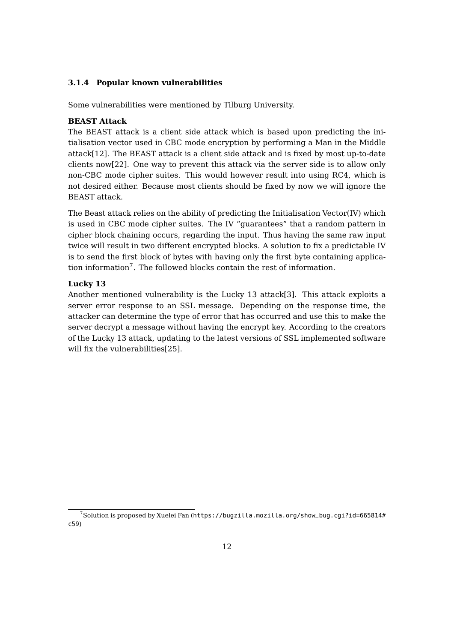#### <span id="page-12-0"></span>**3.1.4 Popular known vulnerabilities**

Some vulnerabilities were mentioned by Tilburg University.

#### **BEAST Attack**

The BEAST attack is a client side attack which is based upon predicting the initialisation vector used in CBC mode encryption by performing a Man in the Middle attack[\[12\]](#page-30-9). The BEAST attack is a client side attack and is fixed by most up-to-date clients now[\[22\]](#page-31-9). One way to prevent this attack via the server side is to allow only non-CBC mode cipher suites. This would however result into using RC4, which is not desired either. Because most clients should be fixed by now we will ignore the BEAST attack.

The Beast attack relies on the ability of predicting the Initialisation Vector(IV) which is used in CBC mode cipher suites. The IV "guarantees" that a random pattern in cipher block chaining occurs, regarding the input. Thus having the same raw input twice will result in two different encrypted blocks. A solution to fix a predictable IV is to send the first block of bytes with having only the first byte containing applica-tion information<sup>[7](#page-0-0)</sup>. The followed blocks contain the rest of information.

#### **Lucky 13**

Another mentioned vulnerability is the Lucky 13 attack[\[3\]](#page-30-10). This attack exploits a server error response to an SSL message. Depending on the response time, the attacker can determine the type of error that has occurred and use this to make the server decrypt a message without having the encrypt key. According to the creators of the Lucky 13 attack, updating to the latest versions of SSL implemented software will fix the vulnerabilities[\[25\]](#page-31-10).

 $7$ Solution is proposed by Xuelei Fan ([https://bugzilla.mozilla.org/show\\_bug.cgi?id=665814#](https://bugzilla.mozilla.org/show_bug.cgi?id=665814#c59) [c59](https://bugzilla.mozilla.org/show_bug.cgi?id=665814#c59))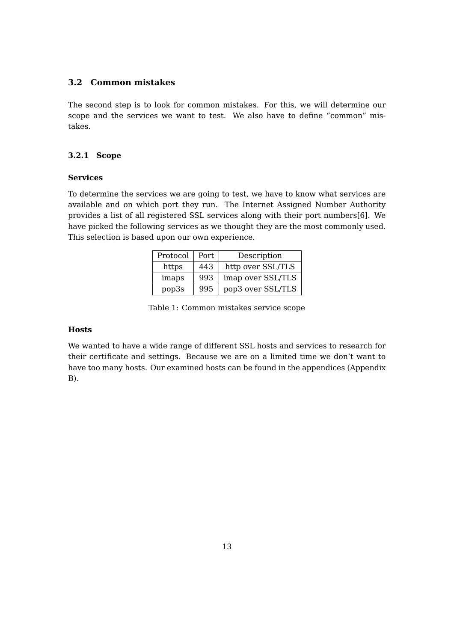## <span id="page-13-0"></span>**3.2 Common mistakes**

The second step is to look for common mistakes. For this, we will determine our scope and the services we want to test. We also have to define "common" mistakes.

#### <span id="page-13-1"></span>**3.2.1 Scope**

#### **Services**

To determine the services we are going to test, we have to know what services are available and on which port they run. The Internet Assigned Number Authority provides a list of all registered SSL services along with their port numbers[\[6\]](#page-30-11). We have picked the following services as we thought they are the most commonly used. This selection is based upon our own experience.

| Protocol | Port. | Description       |
|----------|-------|-------------------|
| https    | 443   | http over SSL/TLS |
| imaps    | 993   | imap over SSL/TLS |
| pop3s    | 995   | pop3 over SSL/TLS |

Table 1: Common mistakes service scope

#### **Hosts**

We wanted to have a wide range of different SSL hosts and services to research for their certificate and settings. Because we are on a limited time we don't want to have too many hosts. Our examined hosts can be found in the appendices (Appendix [B\)](#page-36-0).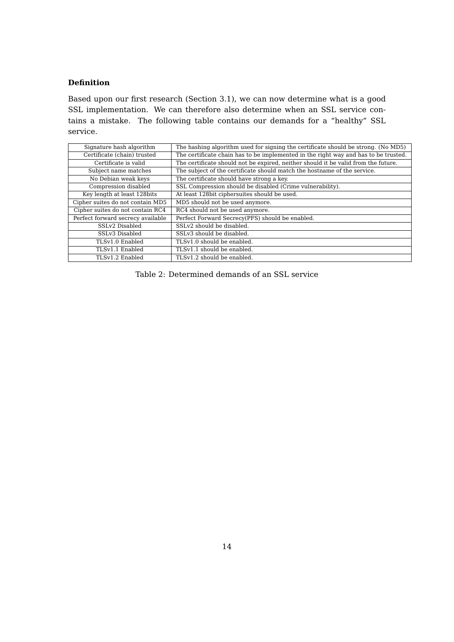#### **Definition**

Based upon our first research (Section [3.1\)](#page-7-1), we can now determine what is a good SSL implementation. We can therefore also determine when an SSL service contains a mistake. The following table contains our demands for a "healthy" SSL service.

| Signature hash algorithm          | The hashing algorithm used for signing the certificate should be strong. (No MD5)   |
|-----------------------------------|-------------------------------------------------------------------------------------|
| Certificate (chain) trusted       | The certificate chain has to be implemented in the right way and has to be trusted. |
| Certificate is valid              | The certificate should not be expired, neither should it be valid from the future.  |
| Subject name matches              | The subject of the certificate should match the hostname of the service.            |
| No Debian weak keys               | The certificate should have strong a key.                                           |
| Compression disabled              | SSL Compression should be disabled (Crime vulnerability).                           |
| Key length at least 128bits       | At least 128bit ciphersuites should be used.                                        |
| Cipher suites do not contain MD5  | MD5 should not be used anymore.                                                     |
| Cipher suites do not contain RC4  | RC4 should not be used anymore.                                                     |
| Perfect forward secrecy available | Perfect Forward Secrecy(PFS) should be enabled.                                     |
| SSLv2 Disabled                    | SSLv2 should be disabled.                                                           |
| SSLv3 Disabled                    | SSLv3 should be disabled.                                                           |
| TLSv1.0 Enabled                   | TLSv1.0 should be enabled.                                                          |
| TLSv1.1 Enabled                   | TLSv1.1 should be enabled.                                                          |
| TLSv1.2 Enabled                   | TLSv1.2 should be enabled.                                                          |

Table 2: Determined demands of an SSL service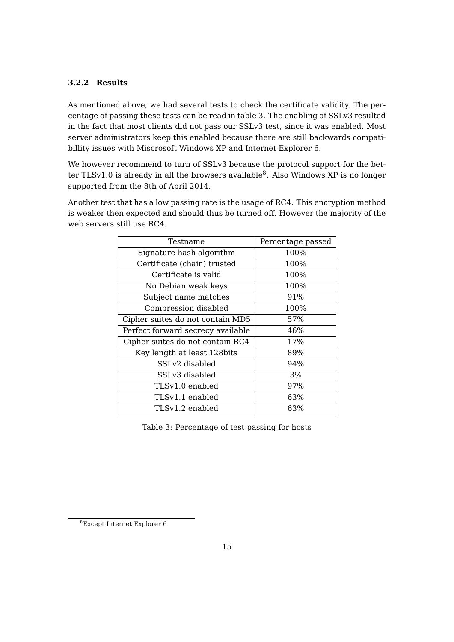## <span id="page-15-0"></span>**3.2.2 Results**

As mentioned above, we had several tests to check the certificate validity. The percentage of passing these tests can be read in table [3.](#page-15-1) The enabling of SSLv3 resulted in the fact that most clients did not pass our SSLv3 test, since it was enabled. Most server administrators keep this enabled because there are still backwards compatibillity issues with Miscrosoft Windows XP and Internet Explorer 6.

We however recommend to turn of SSLv3 because the protocol support for the better TLSv1.0 is already in all the browsers available $^8$  $^8$ . Also Windows XP is no longer supported from the 8th of April 2014.

<span id="page-15-1"></span>Another test that has a low passing rate is the usage of RC4. This encryption method is weaker then expected and should thus be turned off. However the majority of the web servers still use RC4.

| Testname                          | Percentage passed |
|-----------------------------------|-------------------|
| Signature hash algorithm          | 100%              |
| Certificate (chain) trusted       | 100%              |
| Certificate is valid              | 100%              |
| No Debian weak keys               | 100%              |
| Subject name matches              | 91%               |
| Compression disabled              | 100%              |
| Cipher suites do not contain MD5  | 57%               |
| Perfect forward secrecy available | 46%               |
| Cipher suites do not contain RC4  | 17%               |
| Key length at least 128bits       | 89%               |
| SSLv2 disabled                    | 94%               |
| SSLv3 disabled                    | 3%                |
| TLSv1.0 enabled                   | 97%               |
| TLSv1.1 enabled                   | 63%               |
| TLSv1.2 enabled                   | 63%               |

Table 3: Percentage of test passing for hosts

<sup>8</sup>Except Internet Explorer 6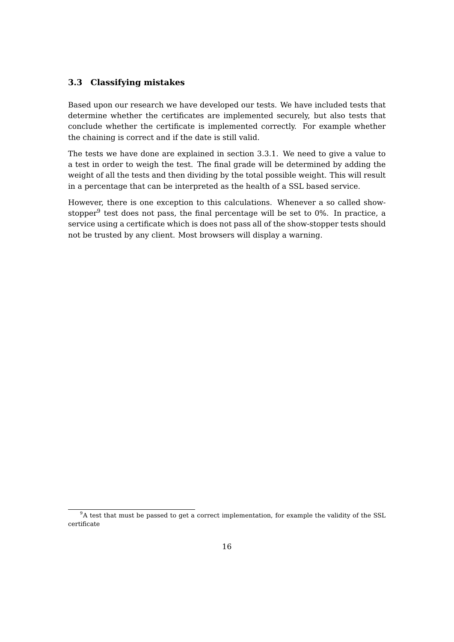#### <span id="page-16-0"></span>**3.3 Classifying mistakes**

Based upon our research we have developed our tests. We have included tests that determine whether the certificates are implemented securely, but also tests that conclude whether the certificate is implemented correctly. For example whether the chaining is correct and if the date is still valid.

The tests we have done are explained in section [3.3.1.](#page-17-0) We need to give a value to a test in order to weigh the test. The final grade will be determined by adding the weight of all the tests and then dividing by the total possible weight. This will result in a percentage that can be interpreted as the health of a SSL based service.

However, there is one exception to this calculations. Whenever a so called showstopper $^9$  $^9$  test does not pass, the final percentage will be set to 0%. In practice, a service using a certificate which is does not pass all of the show-stopper tests should not be trusted by any client. Most browsers will display a warning.

 $9A$  test that must be passed to get a correct implementation, for example the validity of the SSL certificate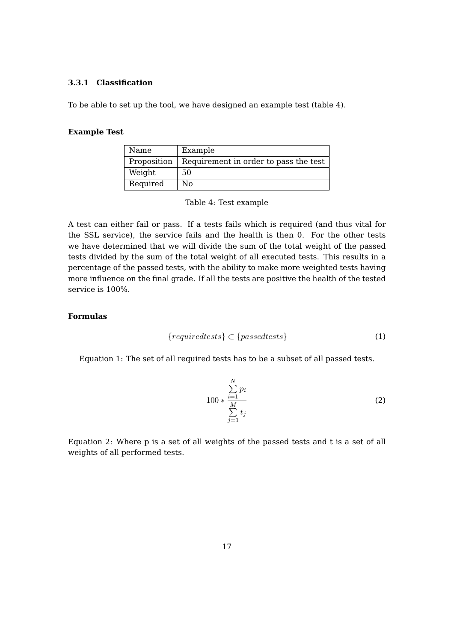#### <span id="page-17-0"></span>**3.3.1 Classification**

To be able to set up the tool, we have designed an example test (table [4\)](#page-17-1).

#### <span id="page-17-1"></span>**Example Test**

| Name        | Example                               |
|-------------|---------------------------------------|
| Proposition | Requirement in order to pass the test |
| Weight      | 50                                    |
| Required    | N٥                                    |

Table 4: Test example

A test can either fail or pass. If a tests fails which is required (and thus vital for the SSL service), the service fails and the health is then 0. For the other tests we have determined that we will divide the sum of the total weight of the passed tests divided by the sum of the total weight of all executed tests. This results in a percentage of the passed tests, with the ability to make more weighted tests having more influence on the final grade. If all the tests are positive the health of the tested service is 100%.

#### **Formulas**

$$
{\{required tests\}} \subset {\{passed tests\}} \tag{1}
$$

Equation 1: The set of all required tests has to be a subset of all passed tests.

$$
100 * \frac{\sum\limits_{i=1}^{N} p_i}{\sum\limits_{j=1}^{M} t_j}
$$
 (2)

Equation 2: Where p is a set of all weights of the passed tests and t is a set of all weights of all performed tests.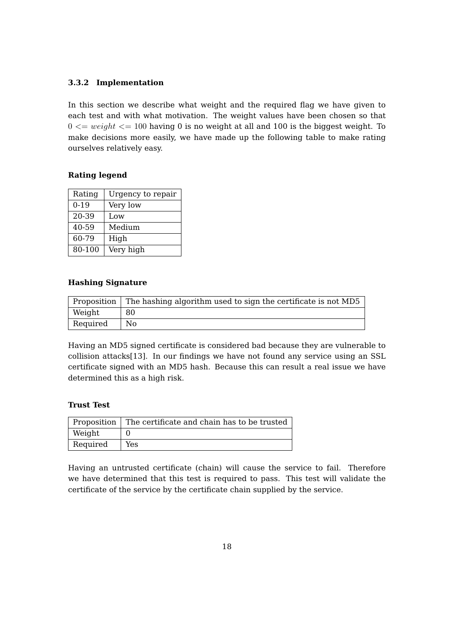#### <span id="page-18-0"></span>**3.3.2 Implementation**

In this section we describe what weight and the required flag we have given to each test and with what motivation. The weight values have been chosen so that  $0 \leq w \leq w \leq 100$  having 0 is no weight at all and 100 is the biggest weight. To make decisions more easily, we have made up the following table to make rating ourselves relatively easy.

#### **Rating legend**

| Rating | Urgency to repair |
|--------|-------------------|
| $0-19$ | Very low          |
| 20-39  | Low               |
| 40-59  | Medium            |
| 60-79  | High              |
| 80-100 | Very high         |

#### **Hashing Signature**

|          | Proposition The hashing algorithm used to sign the certificate is not MD5 |
|----------|---------------------------------------------------------------------------|
| Weight   | 80                                                                        |
| Required | No                                                                        |

Having an MD5 signed certificate is considered bad because they are vulnerable to collision attacks[\[13\]](#page-30-2). In our findings we have not found any service using an SSL certificate signed with an MD5 hash. Because this can result a real issue we have determined this as a high risk.

#### **Trust Test**

|          | Proposition   The certificate and chain has to be trusted |
|----------|-----------------------------------------------------------|
| Weight   |                                                           |
| Required | Yes                                                       |

Having an untrusted certificate (chain) will cause the service to fail. Therefore we have determined that this test is required to pass. This test will validate the certificate of the service by the certificate chain supplied by the service.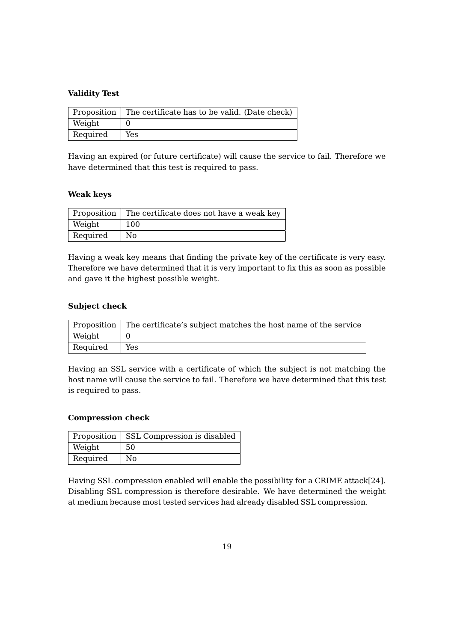#### **Validity Test**

|          | Proposition   The certificate has to be valid. (Date check) |
|----------|-------------------------------------------------------------|
| Weight   |                                                             |
| Required | Yes                                                         |

Having an expired (or future certificate) will cause the service to fail. Therefore we have determined that this test is required to pass.

#### **Weak keys**

|          | Proposition   The certificate does not have a weak key |
|----------|--------------------------------------------------------|
| Weight   | 100                                                    |
| Required | No                                                     |

Having a weak key means that finding the private key of the certificate is very easy. Therefore we have determined that it is very important to fix this as soon as possible and gave it the highest possible weight.

#### **Subject check**

|          | Proposition   The certificate's subject matches the host name of the service |
|----------|------------------------------------------------------------------------------|
| Weight   |                                                                              |
| Required | Yes                                                                          |

Having an SSL service with a certificate of which the subject is not matching the host name will cause the service to fail. Therefore we have determined that this test is required to pass.

#### **Compression check**

|          | Proposition   SSL Compression is disabled |
|----------|-------------------------------------------|
| Weight   | 50                                        |
| Required | No                                        |

Having SSL compression enabled will enable the possibility for a CRIME attack[\[24\]](#page-31-6). Disabling SSL compression is therefore desirable. We have determined the weight at medium because most tested services had already disabled SSL compression.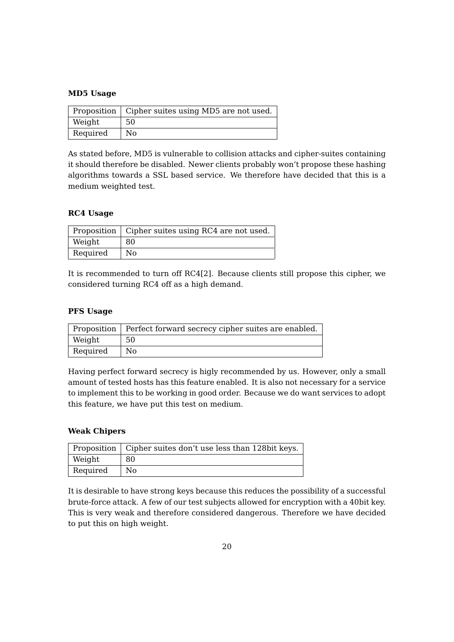#### **MD5 Usage**

|          | Proposition   Cipher suites using MD5 are not used. |
|----------|-----------------------------------------------------|
| Weight   | 50.                                                 |
| Required | No                                                  |

As stated before, MD5 is vulnerable to collision attacks and cipher-suites containing it should therefore be disabled. Newer clients probably won't propose these hashing algorithms towards a SSL based service. We therefore have decided that this is a medium weighted test.

#### **RC4 Usage**

|          | Proposition   Cipher suites using RC4 are not used. |
|----------|-----------------------------------------------------|
| Weight   | 80                                                  |
| Required | No                                                  |

It is recommended to turn off RC4[\[2\]](#page-30-8). Because clients still propose this cipher, we considered turning RC4 off as a high demand.

#### **PFS Usage**

|          | Proposition   Perfect forward secrecy cipher suites are enabled. |
|----------|------------------------------------------------------------------|
| Weight   | 50                                                               |
| Required | No.                                                              |

Having perfect forward secrecy is higly recommended by us. However, only a small amount of tested hosts has this feature enabled. It is also not necessary for a service to implement this to be working in good order. Because we do want services to adopt this feature, we have put this test on medium.

#### **Weak Chipers**

|          | Proposition   Cipher suites don't use less than 128 bit keys. |
|----------|---------------------------------------------------------------|
| Weight   | 80                                                            |
| Required | No                                                            |

It is desirable to have strong keys because this reduces the possibility of a successful brute-force attack. A few of our test subjects allowed for encryption with a 40bit key. This is very weak and therefore considered dangerous. Therefore we have decided to put this on high weight.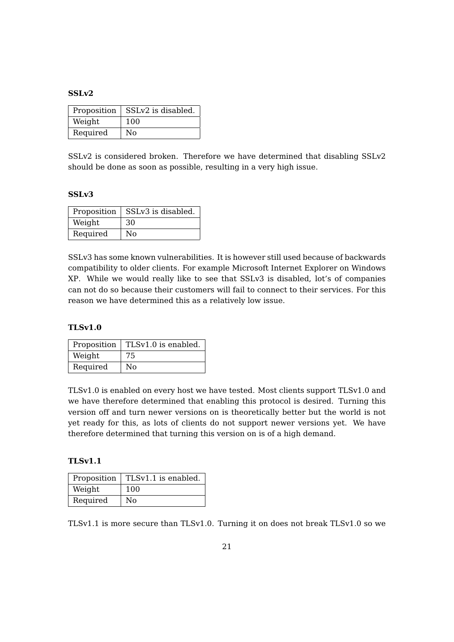#### **SSLv2**

| Proposition | SSLv2 is disabled. |
|-------------|--------------------|
| Weight      | 100                |
| Required    | No                 |

SSLv2 is considered broken. Therefore we have determined that disabling SSLv2 should be done as soon as possible, resulting in a very high issue.

#### **SSLv3**

| Proposition | SSLv3 is disabled. |
|-------------|--------------------|
| Weight      | 30                 |
| Required    | No                 |

SSLv3 has some known vulnerabilities. It is however still used because of backwards compatibility to older clients. For example Microsoft Internet Explorer on Windows XP. While we would really like to see that SSLv3 is disabled, lot's of companies can not do so because their customers will fail to connect to their services. For this reason we have determined this as a relatively low issue.

#### **TLSv1.0**

| Proposition | TLSv1.0 is enabled. |  |
|-------------|---------------------|--|
| Weight      | 75                  |  |
| Required    | No                  |  |

TLSv1.0 is enabled on every host we have tested. Most clients support TLSv1.0 and we have therefore determined that enabling this protocol is desired. Turning this version off and turn newer versions on is theoretically better but the world is not yet ready for this, as lots of clients do not support newer versions yet. We have therefore determined that turning this version on is of a high demand.

#### **TLSv1.1**

| Proposition | TLSv1.1 is enabled. |  |
|-------------|---------------------|--|
| Weight      | 100                 |  |
| Required    | No                  |  |

TLSv1.1 is more secure than TLSv1.0. Turning it on does not break TLSv1.0 so we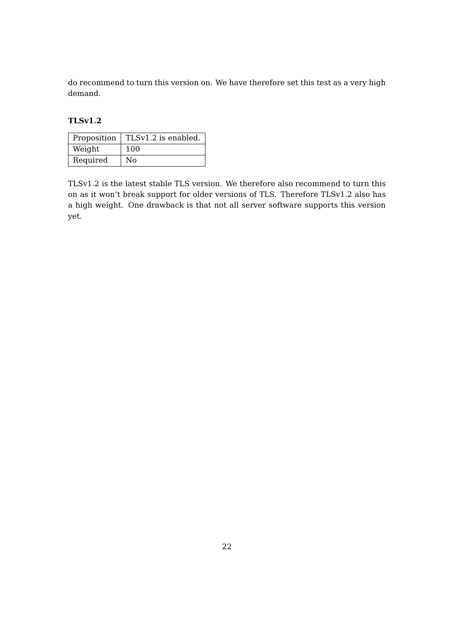do recommend to turn this version on. We have therefore set this test as a very high demand.

#### **TLSv1.2**

| Proposition | TLSv1.2 is enabled. |
|-------------|---------------------|
| Weight      | 100                 |
| Required    | No                  |

TLSv1.2 is the latest stable TLS version. We therefore also recommend to turn this on as it won't break support for older versions of TLS. Therefore TLSv1.2 also has a high weight. One drawback is that not all server software supports this version yet.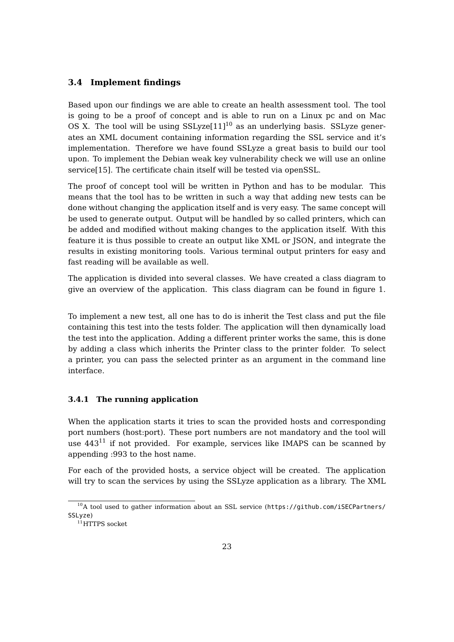### <span id="page-23-0"></span>**3.4 Implement findings**

Based upon our findings we are able to create an health assessment tool. The tool is going to be a proof of concept and is able to run on a Linux pc and on Mac OS X. The tool will be using  $SSLyze[11]^{10}$  $SSLyze[11]^{10}$  $SSLyze[11]^{10}$  $SSLyze[11]^{10}$  $SSLyze[11]^{10}$  as an underlying basis. SSLyze generates an XML document containing information regarding the SSL service and it's implementation. Therefore we have found SSLyze a great basis to build our tool upon. To implement the Debian weak key vulnerability check we will use an online service[\[15\]](#page-31-11). The certificate chain itself will be tested via openSSL.

The proof of concept tool will be written in Python and has to be modular. This means that the tool has to be written in such a way that adding new tests can be done without changing the application itself and is very easy. The same concept will be used to generate output. Output will be handled by so called printers, which can be added and modified without making changes to the application itself. With this feature it is thus possible to create an output like XML or JSON, and integrate the results in existing monitoring tools. Various terminal output printers for easy and fast reading will be available as well.

The application is divided into several classes. We have created a class diagram to give an overview of the application. This class diagram can be found in figure [1.](#page-24-1)

To implement a new test, all one has to do is inherit the Test class and put the file containing this test into the tests folder. The application will then dynamically load the test into the application. Adding a different printer works the same, this is done by adding a class which inherits the Printer class to the printer folder. To select a printer, you can pass the selected printer as an argument in the command line interface.

#### <span id="page-23-1"></span>**3.4.1 The running application**

When the application starts it tries to scan the provided hosts and corresponding port numbers (host:port). These port numbers are not mandatory and the tool will use  $443<sup>11</sup>$  $443<sup>11</sup>$  $443<sup>11</sup>$  if not provided. For example, services like IMAPS can be scanned by appending :993 to the host name.

For each of the provided hosts, a service object will be created. The application will try to scan the services by using the SSLyze application as a library. The XML

<sup>10</sup>A tool used to gather information about an SSL service ([https://github.com/iSECPartners/](https://github.com/iSECPartners/SSLyze) [SSLyze](https://github.com/iSECPartners/SSLyze))

 $11$ HTTPS socket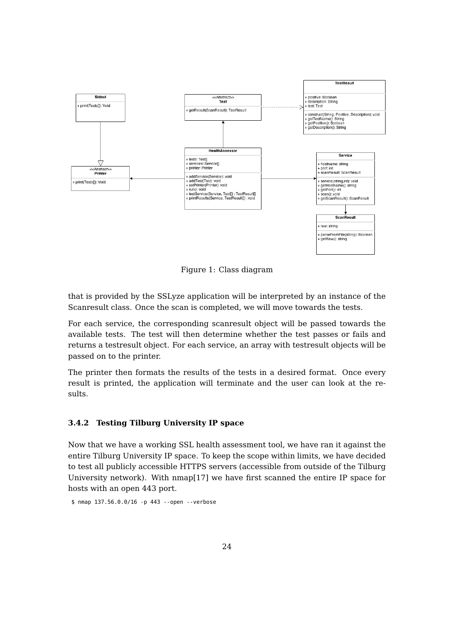<span id="page-24-1"></span>

Figure 1: Class diagram

that is provided by the SSLyze application will be interpreted by an instance of the Scanresult class. Once the scan is completed, we will move towards the tests.

For each service, the corresponding scanresult object will be passed towards the available tests. The test will then determine whether the test passes or fails and returns a testresult object. For each service, an array with testresult objects will be passed on to the printer.

The printer then formats the results of the tests in a desired format. Once every result is printed, the application will terminate and the user can look at the results.

#### <span id="page-24-0"></span>**3.4.2 Testing Tilburg University IP space**

Now that we have a working SSL health assessment tool, we have ran it against the entire Tilburg University IP space. To keep the scope within limits, we have decided to test all publicly accessible HTTPS servers (accessible from outside of the Tilburg University network). With nmap[\[17\]](#page-31-12) we have first scanned the entire IP space for hosts with an open 443 port.

\$ nmap 137.56.0.0/16 -p 443 --open --verbose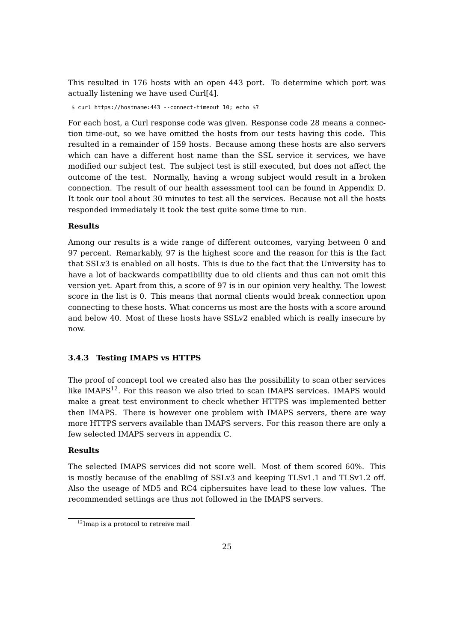This resulted in 176 hosts with an open 443 port. To determine which port was actually listening we have used Curl[\[4\]](#page-30-12).

\$ curl https://hostname:443 --connect-timeout 10; echo \$?

For each host, a Curl response code was given. Response code 28 means a connection time-out, so we have omitted the hosts from our tests having this code. This resulted in a remainder of 159 hosts. Because among these hosts are also servers which can have a different host name than the SSL service it services, we have modified our subject test. The subject test is still executed, but does not affect the outcome of the test. Normally, having a wrong subject would result in a broken connection. The result of our health assessment tool can be found in Appendix [D.](#page-38-0) It took our tool about 30 minutes to test all the services. Because not all the hosts responded immediately it took the test quite some time to run.

#### **Results**

Among our results is a wide range of different outcomes, varying between 0 and 97 percent. Remarkably, 97 is the highest score and the reason for this is the fact that SSLv3 is enabled on all hosts. This is due to the fact that the University has to have a lot of backwards compatibility due to old clients and thus can not omit this version yet. Apart from this, a score of 97 is in our opinion very healthy. The lowest score in the list is 0. This means that normal clients would break connection upon connecting to these hosts. What concerns us most are the hosts with a score around and below 40. Most of these hosts have SSLv2 enabled which is really insecure by now.

#### <span id="page-25-0"></span>**3.4.3 Testing IMAPS vs HTTPS**

The proof of concept tool we created also has the possibillity to scan other services like  $IMAPS<sup>12</sup>$  $IMAPS<sup>12</sup>$  $IMAPS<sup>12</sup>$ . For this reason we also tried to scan IMAPS services. IMAPS would make a great test environment to check whether HTTPS was implemented better then IMAPS. There is however one problem with IMAPS servers, there are way more HTTPS servers available than IMAPS servers. For this reason there are only a few selected IMAPS servers in appendix [C.](#page-37-0)

#### **Results**

The selected IMAPS services did not score well. Most of them scored 60%. This is mostly because of the enabling of SSLv3 and keeping TLSv1.1 and TLSv1.2 off. Also the useage of MD5 and RC4 ciphersuites have lead to these low values. The recommended settings are thus not followed in the IMAPS servers.

 $^{12}\mathrm{Imap}$  is a protocol to retreive mail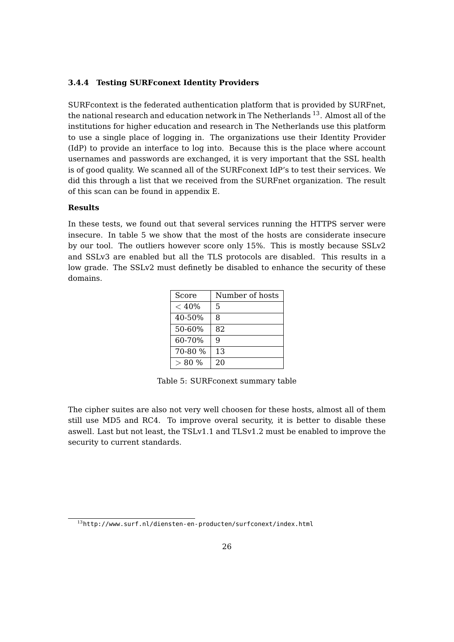#### <span id="page-26-0"></span>**3.4.4 Testing SURFconext Identity Providers**

SURFcontext is the federated authentication platform that is provided by SURFnet, the national research and education network in The Netherlands  $^{13}$  $^{13}$  $^{13}$ . Almost all of the institutions for higher education and research in The Netherlands use this platform to use a single place of logging in. The organizations use their Identity Provider (IdP) to provide an interface to log into. Because this is the place where account usernames and passwords are exchanged, it is very important that the SSL health is of good quality. We scanned all of the SURFconext IdP's to test their services. We did this through a list that we received from the SURFnet organization. The result of this scan can be found in appendix [E.](#page-41-0)

#### **Results**

<span id="page-26-1"></span>In these tests, we found out that several services running the HTTPS server were insecure. In table [5](#page-26-1) we show that the most of the hosts are considerate insecure by our tool. The outliers however score only 15%. This is mostly because SSLv2 and SSLv3 are enabled but all the TLS protocols are disabled. This results in a low grade. The SSLv2 must definetly be disabled to enhance the security of these domains.

| Score    | Number of hosts |
|----------|-----------------|
| < 40%    | 5               |
| 40-50%   | 8               |
| 50-60%   | 82              |
| 60-70%   | q               |
| 70-80 %  | 13              |
| $> 80\%$ | 20              |

Table 5: SURFconext summary table

The cipher suites are also not very well choosen for these hosts, almost all of them still use MD5 and RC4. To improve overal security, it is better to disable these aswell. Last but not least, the TSLv1.1 and TLSv1.2 must be enabled to improve the security to current standards.

<sup>13</sup><http://www.surf.nl/diensten-en-producten/surfconext/index.html>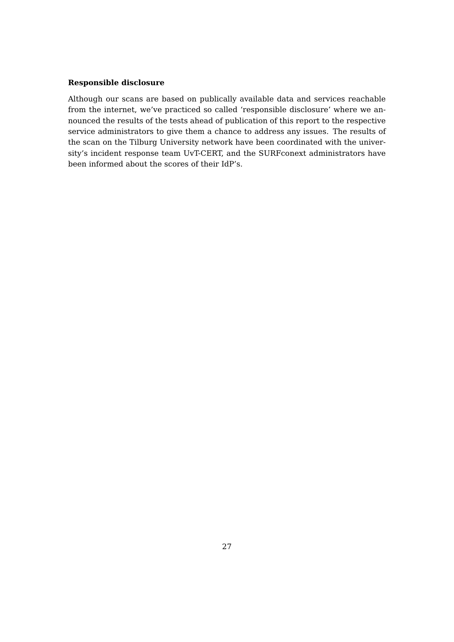#### **Responsible disclosure**

Although our scans are based on publically available data and services reachable from the internet, we've practiced so called 'responsible disclosure' where we announced the results of the tests ahead of publication of this report to the respective service administrators to give them a chance to address any issues. The results of the scan on the Tilburg University network have been coordinated with the university's incident response team UvT-CERT, and the SURFconext administrators have been informed about the scores of their IdP's.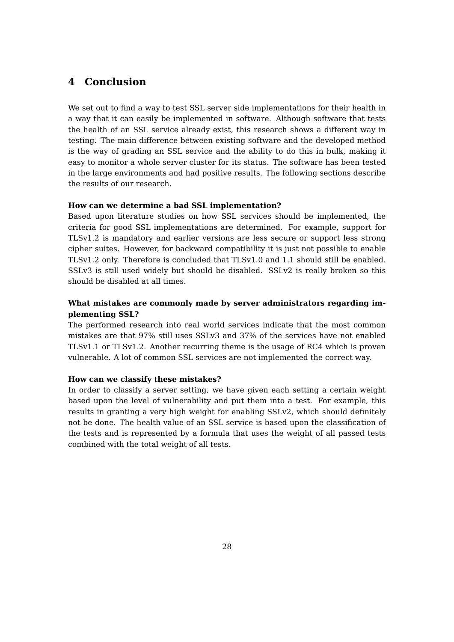## <span id="page-28-0"></span>**4 Conclusion**

We set out to find a way to test SSL server side implementations for their health in a way that it can easily be implemented in software. Although software that tests the health of an SSL service already exist, this research shows a different way in testing. The main difference between existing software and the developed method is the way of grading an SSL service and the ability to do this in bulk, making it easy to monitor a whole server cluster for its status. The software has been tested in the large environments and had positive results. The following sections describe the results of our research.

#### **How can we determine a bad SSL implementation?**

Based upon literature studies on how SSL services should be implemented, the criteria for good SSL implementations are determined. For example, support for TLSv1.2 is mandatory and earlier versions are less secure or support less strong cipher suites. However, for backward compatibility it is just not possible to enable TLSv1.2 only. Therefore is concluded that TLSv1.0 and 1.1 should still be enabled. SSLv3 is still used widely but should be disabled. SSLv2 is really broken so this should be disabled at all times.

#### **What mistakes are commonly made by server administrators regarding implementing SSL?**

The performed research into real world services indicate that the most common mistakes are that 97% still uses SSLv3 and 37% of the services have not enabled TLSv1.1 or TLSv1.2. Another recurring theme is the usage of RC4 which is proven vulnerable. A lot of common SSL services are not implemented the correct way.

#### **How can we classify these mistakes?**

In order to classify a server setting, we have given each setting a certain weight based upon the level of vulnerability and put them into a test. For example, this results in granting a very high weight for enabling SSLv2, which should definitely not be done. The health value of an SSL service is based upon the classification of the tests and is represented by a formula that uses the weight of all passed tests combined with the total weight of all tests.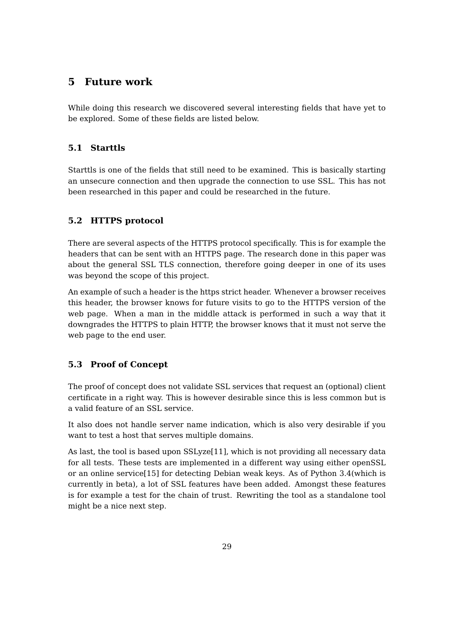## <span id="page-29-0"></span>**5 Future work**

While doing this research we discovered several interesting fields that have yet to be explored. Some of these fields are listed below.

## <span id="page-29-1"></span>**5.1 Starttls**

Starttls is one of the fields that still need to be examined. This is basically starting an unsecure connection and then upgrade the connection to use SSL. This has not been researched in this paper and could be researched in the future.

## <span id="page-29-2"></span>**5.2 HTTPS protocol**

There are several aspects of the HTTPS protocol specifically. This is for example the headers that can be sent with an HTTPS page. The research done in this paper was about the general SSL TLS connection, therefore going deeper in one of its uses was beyond the scope of this project.

An example of such a header is the https strict header. Whenever a browser receives this header, the browser knows for future visits to go to the HTTPS version of the web page. When a man in the middle attack is performed in such a way that it downgrades the HTTPS to plain HTTP, the browser knows that it must not serve the web page to the end user.

## <span id="page-29-3"></span>**5.3 Proof of Concept**

The proof of concept does not validate SSL services that request an (optional) client certificate in a right way. This is however desirable since this is less common but is a valid feature of an SSL service.

It also does not handle server name indication, which is also very desirable if you want to test a host that serves multiple domains.

As last, the tool is based upon SSLyze[\[11\]](#page-30-0), which is not providing all necessary data for all tests. These tests are implemented in a different way using either openSSL or an online service[\[15\]](#page-31-11) for detecting Debian weak keys. As of Python 3.4(which is currently in beta), a lot of SSL features have been added. Amongst these features is for example a test for the chain of trust. Rewriting the tool as a standalone tool might be a nice next step.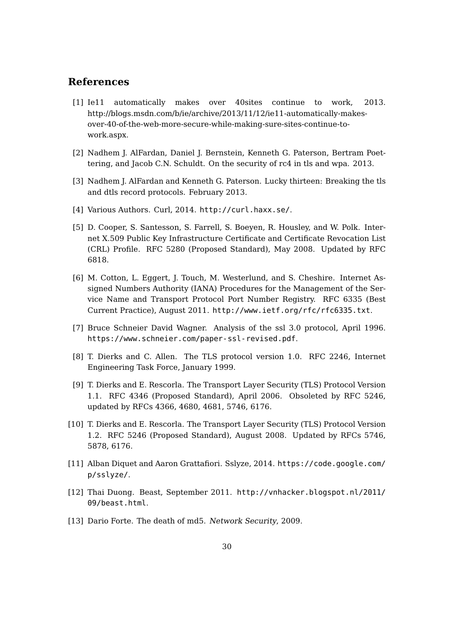## **References**

- <span id="page-30-7"></span>[1] Ie11 automatically makes over 40sites continue to work, 2013. http://blogs.msdn.com/b/ie/archive/2013/11/12/ie11-automatically-makesover-40-of-the-web-more-secure-while-making-sure-sites-continue-towork.aspx.
- <span id="page-30-8"></span>[2] Nadhem J. AlFardan, Daniel J. Bernstein, Kenneth G. Paterson, Bertram Poettering, and Jacob C.N. Schuldt. On the security of rc4 in tls and wpa. 2013.
- <span id="page-30-10"></span>[3] Nadhem J. AlFardan and Kenneth G. Paterson. Lucky thirteen: Breaking the tls and dtls record protocols. February 2013.
- <span id="page-30-12"></span>[4] Various Authors. Curl, 2014. <http://curl.haxx.se/>.
- <span id="page-30-1"></span>[5] D. Cooper, S. Santesson, S. Farrell, S. Boeyen, R. Housley, and W. Polk. Internet X.509 Public Key Infrastructure Certificate and Certificate Revocation List (CRL) Profile. RFC 5280 (Proposed Standard), May 2008. Updated by RFC 6818.
- <span id="page-30-11"></span>[6] M. Cotton, L. Eggert, J. Touch, M. Westerlund, and S. Cheshire. Internet Assigned Numbers Authority (IANA) Procedures for the Management of the Service Name and Transport Protocol Port Number Registry. RFC 6335 (Best Current Practice), August 2011. <http://www.ietf.org/rfc/rfc6335.txt>.
- <span id="page-30-6"></span>[7] Bruce Schneier David Wagner. Analysis of the ssl 3.0 protocol, April 1996. <https://www.schneier.com/paper-ssl-revised.pdf>.
- <span id="page-30-3"></span>[8] T. Dierks and C. Allen. The TLS protocol version 1.0. RFC 2246, Internet Engineering Task Force, January 1999.
- <span id="page-30-4"></span>[9] T. Dierks and E. Rescorla. The Transport Layer Security (TLS) Protocol Version 1.1. RFC 4346 (Proposed Standard), April 2006. Obsoleted by RFC 5246, updated by RFCs 4366, 4680, 4681, 5746, 6176.
- <span id="page-30-5"></span>[10] T. Dierks and E. Rescorla. The Transport Layer Security (TLS) Protocol Version 1.2. RFC 5246 (Proposed Standard), August 2008. Updated by RFCs 5746, 5878, 6176.
- <span id="page-30-0"></span>[11] Alban Diquet and Aaron Grattafiori. Sslyze, 2014. [https://code.google.com/](https://code.google.com/p/sslyze/) [p/sslyze/](https://code.google.com/p/sslyze/).
- <span id="page-30-9"></span>[12] Thai Duong. Beast, September 2011. [http://vnhacker.blogspot.nl/2011/](http://vnhacker.blogspot.nl/2011/09/beast.html) [09/beast.html](http://vnhacker.blogspot.nl/2011/09/beast.html).
- <span id="page-30-2"></span>[13] Dario Forte. The death of md5. Network Security, 2009.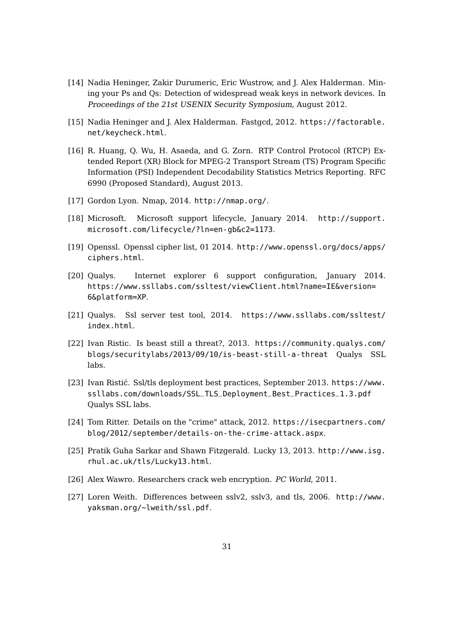- <span id="page-31-1"></span>[14] Nadia Heninger, Zakir Durumeric, Eric Wustrow, and J. Alex Halderman. Mining your Ps and Qs: Detection of widespread weak keys in network devices. In Proceedings of the 21st USENIX Security Symposium, August 2012.
- <span id="page-31-11"></span>[15] Nadia Heninger and J. Alex Halderman. Fastgcd, 2012. [https://factorable.](https://factorable.net/keycheck.html) [net/keycheck.html](https://factorable.net/keycheck.html).
- <span id="page-31-2"></span>[16] R. Huang, Q. Wu, H. Asaeda, and G. Zorn. RTP Control Protocol (RTCP) Extended Report (XR) Block for MPEG-2 Transport Stream (TS) Program Specific Information (PSI) Independent Decodability Statistics Metrics Reporting. RFC 6990 (Proposed Standard), August 2013.
- <span id="page-31-12"></span>[17] Gordon Lyon. Nmap, 2014. <http://nmap.org/>.
- <span id="page-31-5"></span>[18] Microsoft. Microsoft support lifecycle, January 2014. [http://support.](http://support.microsoft.com/lifecycle/?ln=en-gb&c2=1173) [microsoft.com/lifecycle/?ln=en-gb&c2=1173](http://support.microsoft.com/lifecycle/?ln=en-gb&c2=1173).
- <span id="page-31-7"></span>[19] Openssl. Openssl cipher list, 01 2014. [http://www.openssl.org/docs/apps/](http://www.openssl.org/docs/apps/ciphers.html) [ciphers.html](http://www.openssl.org/docs/apps/ciphers.html).
- <span id="page-31-4"></span>[20] Qualys. Internet explorer 6 support configuration, January 2014. [https://www.ssllabs.com/ssltest/viewClient.html?name=IE&version=](https://www.ssllabs.com/ssltest/viewClient.html?name=IE&version=6&platform=XP) [6&platform=XP](https://www.ssllabs.com/ssltest/viewClient.html?name=IE&version=6&platform=XP).
- <span id="page-31-0"></span>[21] Qualys. Ssl server test tool, 2014. [https://www.ssllabs.com/ssltest/](https://www.ssllabs.com/ssltest/index.html) [index.html](https://www.ssllabs.com/ssltest/index.html).
- <span id="page-31-9"></span>[22] Ivan Ristic. Is beast still a threat?, 2013. [https://community.qualys.com/](https://community.qualys.com/blogs/securitylabs/2013/09/10/is-beast-still-a-threat) [blogs/securitylabs/2013/09/10/is-beast-still-a-threat](https://community.qualys.com/blogs/securitylabs/2013/09/10/is-beast-still-a-threat) Qualys SSL labs.
- <span id="page-31-8"></span>[23] Ivan Ristić. Ssl/tls deployment best practices, September 2013. [https://www.](https://www.ssllabs.com/downloads/SSL_TLS_Deployment_Best_Practices_1.3.pdf) [ssllabs.com/downloads/SSL\\_TLS\\_Deployment\\_Best\\_Practices\\_1.3.pdf](https://www.ssllabs.com/downloads/SSL_TLS_Deployment_Best_Practices_1.3.pdf) Qualys SSL labs.
- <span id="page-31-6"></span>[24] Tom Ritter. Details on the "crime" attack, 2012. [https://isecpartners.com/](https://isecpartners.com/blog/2012/september/details-on-the-crime-attack.aspx) [blog/2012/september/details-on-the-crime-attack.aspx](https://isecpartners.com/blog/2012/september/details-on-the-crime-attack.aspx).
- <span id="page-31-10"></span>[25] Pratik Guha Sarkar and Shawn Fitzgerald. Lucky 13, 2013. [http://www.isg.](http://www.isg.rhul.ac.uk/tls/Lucky13.html) [rhul.ac.uk/tls/Lucky13.html](http://www.isg.rhul.ac.uk/tls/Lucky13.html).
- [26] Alex Wawro. Researchers crack web encryption. PC World, 2011.
- <span id="page-31-3"></span>[27] Loren Weith. Differences between sslv2, sslv3, and tls, 2006. [http://www.](http://www.yaksman.org/~lweith/ssl.pdf) [yaksman.org/~lweith/ssl.pdf](http://www.yaksman.org/~lweith/ssl.pdf).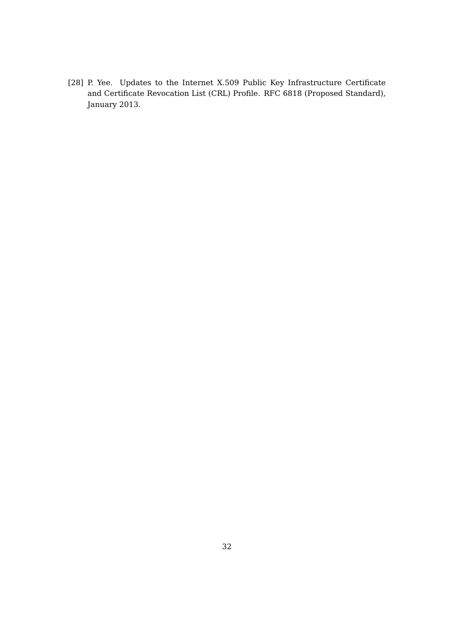<span id="page-32-0"></span>[28] P. Yee. Updates to the Internet X.509 Public Key Infrastructure Certificate and Certificate Revocation List (CRL) Profile. RFC 6818 (Proposed Standard), January 2013.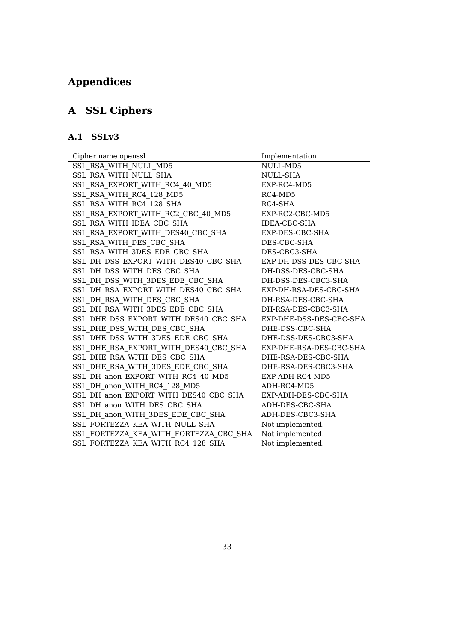# **Appendices**

# <span id="page-33-0"></span>**A SSL Ciphers**

# <span id="page-33-1"></span>**A.1 SSLv3**

| Cipher name openssl                    | Implementation          |
|----------------------------------------|-------------------------|
| SSL RSA WITH NULL MD5                  | NULL-MD5                |
| SSL RSA WITH NULL SHA                  | NULL-SHA                |
| SSL RSA EXPORT WITH RC4_40_MD5         | EXP-RC4-MD5             |
| SSL RSA WITH RC4 128 MD5               | RC4-MD5                 |
| SSL RSA WITH RC4 128 SHA               | RC4-SHA                 |
| SSL RSA EXPORT WITH RC2 CBC 40 MD5     | EXP-RC2-CBC-MD5         |
| SSL RSA WITH IDEA CBC SHA              | <b>IDEA-CBC-SHA</b>     |
| SSL RSA EXPORT WITH DES40 CBC SHA      | EXP-DES-CBC-SHA         |
| SSL RSA WITH DES CBC SHA               | DES-CBC-SHA             |
| SSL RSA WITH 3DES EDE CBC SHA          | DES-CBC3-SHA            |
| SSL DH DSS EXPORT WITH DES40 CBC SHA   | EXP-DH-DSS-DES-CBC-SHA  |
| SSL DH DSS WITH DES CBC SHA            | DH-DSS-DES-CBC-SHA      |
| SSL DH DSS WITH 3DES EDE CBC SHA       | DH-DSS-DES-CBC3-SHA     |
| SSL DH RSA EXPORT WITH DES40 CBC SHA   | EXP-DH-RSA-DES-CBC-SHA  |
| SSL DH RSA WITH DES CBC SHA            | DH-RSA-DES-CBC-SHA      |
| SSL DH RSA WITH 3DES EDE CBC SHA       | DH-RSA-DES-CBC3-SHA     |
| SSL DHE DSS EXPORT WITH DES40 CBC SHA  | EXP-DHE-DSS-DES-CBC-SHA |
| SSL DHE DSS WITH DES CBC SHA           | DHE-DSS-CBC-SHA         |
| SSL DHE DSS_WITH_3DES_EDE_CBC_SHA      | DHE-DSS-DES-CBC3-SHA    |
| SSL DHE RSA EXPORT WITH DES40 CBC SHA  | EXP-DHE-RSA-DES-CBC-SHA |
| SSL DHE RSA WITH DES CBC SHA           | DHE-RSA-DES-CBC-SHA     |
| SSL DHE RSA WITH 3DES EDE CBC SHA      | DHE-RSA-DES-CBC3-SHA    |
| SSL DH anon EXPORT WITH RC4 40 MD5     | EXP-ADH-RC4-MD5         |
| SSL DH anon WITH RC4 128 MD5           | ADH-RC4-MD5             |
| SSL DH anon EXPORT WITH DES40 CBC SHA  | EXP-ADH-DES-CBC-SHA     |
| SSL DH anon WITH DES CBC SHA           | ADH-DES-CBC-SHA         |
| SSL DH anon WITH 3DES EDE CBC SHA      | ADH-DES-CBC3-SHA        |
| SSL FORTEZZA KEA WITH NULL SHA         | Not implemented.        |
| SSL FORTEZZA KEA WITH FORTEZZA CBC SHA | Not implemented.        |
| SSL FORTEZZA KEA WITH RC4 128 SHA      | Not implemented.        |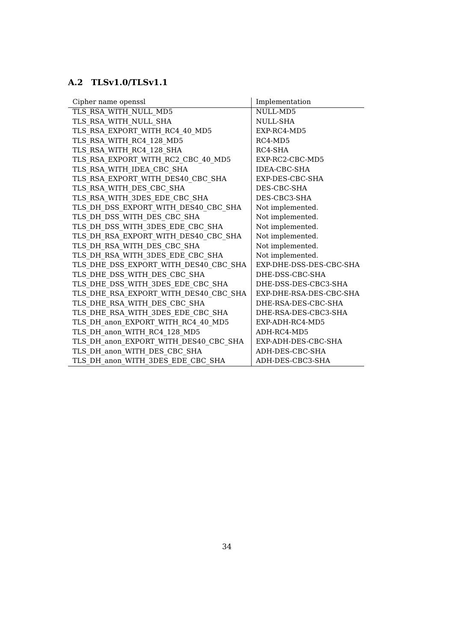# <span id="page-34-0"></span>**A.2 TLSv1.0/TLSv1.1**

| Cipher name openssl                   | Implementation          |
|---------------------------------------|-------------------------|
| TLS RSA WITH NULL MD5                 | NULL-MD5                |
| TLS RSA WITH NULL SHA                 | NULL-SHA                |
| TLS RSA EXPORT WITH RC4 40 MD5        | EXP-RC4-MD5             |
| TLS RSA WITH RC4 128 MD5              | $RC4-MD5$               |
| TLS RSA_WITH_RC4_128_SHA              | RC4-SHA                 |
| TLS RSA EXPORT WITH RC2 CBC 40 MD5    | EXP-RC2-CBC-MD5         |
| TLS RSA WITH IDEA CBC SHA             | IDEA-CBC-SHA            |
| TLS RSA EXPORT WITH DES40 CBC SHA     | EXP-DES-CBC-SHA         |
| TLS RSA WITH DES CBC SHA              | DES-CBC-SHA             |
| TLS RSA WITH 3DES EDE CBC SHA         | DES-CBC3-SHA            |
| TLS DH_DSS_EXPORT_WITH_DES40_CBC_SHA  | Not implemented.        |
| TLS_DH_DSS_WITH_DES_CBC_SHA           | Not implemented.        |
| TLS DH DSS WITH 3DES EDE CBC SHA      | Not implemented.        |
| TLS DH_RSA_EXPORT_WITH_DES40_CBC_SHA  | Not implemented.        |
| TLS DH RSA WITH DES CBC SHA           | Not implemented.        |
| TLS_DH_RSA_WITH_3DES_EDE_CBC_SHA      | Not implemented.        |
| TLS DHE_DSS_EXPORT_WITH_DES40_CBC_SHA | EXP-DHE-DSS-DES-CBC-SHA |
| TLS_DHE_DSS_WITH_DES_CBC_SHA          | DHE-DSS-CBC-SHA         |
| TLS DHE DSS WITH 3DES EDE CBC SHA     | DHE-DSS-DES-CBC3-SHA    |
| TLS DHE RSA EXPORT WITH DES40 CBC SHA | EXP-DHE-RSA-DES-CBC-SHA |
| TLS DHE RSA WITH DES CBC SHA          | DHE-RSA-DES-CBC-SHA     |
| TLS_DHE_RSA_WITH_3DES_EDE_CBC_SHA     | DHE-RSA-DES-CBC3-SHA    |
| TLS_DH_anon_EXPORT_WITH_RC4_40_MD5    | EXP-ADH-RC4-MD5         |
| TLS_DH_anon_WITH_RC4_128_MD5          | ADH-RC4-MD5             |
| TLS_DH_anon_EXPORT_WITH_DES40_CBC_SHA | EXP-ADH-DES-CBC-SHA     |
| TLS_DH_anon_WITH_DES_CBC_SHA          | ADH-DES-CBC-SHA         |
| TLS_DH_anon_WITH_3DES_EDE_CBC_SHA     | ADH-DES-CBC3-SHA        |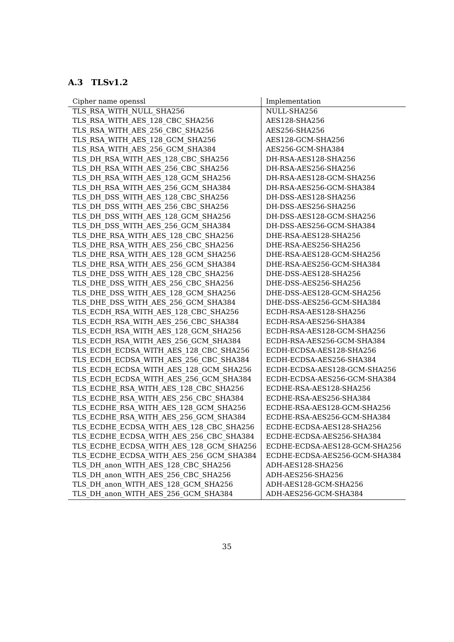# <span id="page-35-0"></span>**A.3 TLSv1.2**

| Cipher name openssl                     | Implementation                |
|-----------------------------------------|-------------------------------|
| TLS RSA WITH NULL SHA256                | NULL-SHA256                   |
| TLS RSA WITH AES 128 CBC SHA256         | AES128-SHA256                 |
| TLS RSA WITH AES 256 CBC SHA256         | AES256-SHA256                 |
| TLS RSA WITH AES 128 GCM SHA256         | AES128-GCM-SHA256             |
| TLS_RSA_WITH_AES_256_GCM_SHA384         | AES256-GCM-SHA384             |
| TLS DH RSA WITH AES 128 CBC SHA256      | DH-RSA-AES128-SHA256          |
| TLS DH RSA WITH AES 256 CBC SHA256      | DH-RSA-AES256-SHA256          |
| TLS DH RSA WITH AES_128_GCM_SHA256      | DH-RSA-AES128-GCM-SHA256      |
| TLS DH RSA WITH AES 256 GCM SHA384      | DH-RSA-AES256-GCM-SHA384      |
| TLS DH DSS WITH AES 128 CBC SHA256      | DH-DSS-AES128-SHA256          |
| TLS DH DSS WITH AES 256 CBC SHA256      | DH-DSS-AES256-SHA256          |
| TLS DH DSS WITH AES 128 GCM SHA256      | DH-DSS-AES128-GCM-SHA256      |
| TLS_DH_DSS_WITH_AES_256_GCM_SHA384      | DH-DSS-AES256-GCM-SHA384      |
| TLS_DHE_RSA_WITH_AES_128_CBC_SHA256     | DHE-RSA-AES128-SHA256         |
| TLS_DHE_RSA_WITH_AES_256_CBC_SHA256     | DHE-RSA-AES256-SHA256         |
| TLS DHE RSA WITH AES 128 GCM SHA256     | DHE-RSA-AES128-GCM-SHA256     |
| TLS DHE RSA WITH AES 256 GCM SHA384     | DHE-RSA-AES256-GCM-SHA384     |
| TLS DHE DSS WITH AES 128 CBC SHA256     | DHE-DSS-AES128-SHA256         |
| TLS DHE DSS WITH AES 256 CBC SHA256     | DHE-DSS-AES256-SHA256         |
| TLS DHE DSS WITH AES 128 GCM SHA256     | DHE-DSS-AES128-GCM-SHA256     |
| TLS DHE DSS WITH AES 256 GCM SHA384     | DHE-DSS-AES256-GCM-SHA384     |
| TLS ECDH RSA WITH AES 128 CBC SHA256    | ECDH-RSA-AES128-SHA256        |
| TLS ECDH RSA WITH AES 256 CBC SHA384    | ECDH-RSA-AES256-SHA384        |
| TLS_ECDH_RSA_WITH_AES_128_GCM_SHA256    | ECDH-RSA-AES128-GCM-SHA256    |
| TLS ECDH RSA WITH AES 256 GCM SHA384    | ECDH-RSA-AES256-GCM-SHA384    |
| TLS_ECDH_ECDSA_WITH_AES_128_CBC_SHA256  | ECDH-ECDSA-AES128-SHA256      |
| TLS ECDH ECDSA WITH AES 256 CBC SHA384  | ECDH-ECDSA-AES256-SHA384      |
| TLS ECDH ECDSA WITH AES 128 GCM SHA256  | ECDH-ECDSA-AES128-GCM-SHA256  |
| TLS ECDH ECDSA WITH AES 256 GCM SHA384  | ECDH-ECDSA-AES256-GCM-SHA384  |
| TLS_ECDHE_RSA_WITH_AES_128_CBC_SHA256   | ECDHE-RSA-AES128-SHA256       |
| TLS ECDHE RSA WITH AES 256 CBC SHA384   | ECDHE-RSA-AES256-SHA384       |
| TLS ECDHE RSA WITH AES 128 GCM SHA256   | ECDHE-RSA-AES128-GCM-SHA256   |
| TLS ECDHE RSA WITH AES 256 GCM SHA384   | ECDHE-RSA-AES256-GCM-SHA384   |
| TLS ECDHE ECDSA WITH AES 128 CBC SHA256 | ECDHE-ECDSA-AES128-SHA256     |
| TLS_ECDHE_ECDSA_WITH_AES_256_CBC_SHA384 | ECDHE-ECDSA-AES256-SHA384     |
| TLS ECDHE ECDSA WITH AES 128 GCM SHA256 | ECDHE-ECDSA-AES128-GCM-SHA256 |
| TLS ECDHE ECDSA WITH AES 256 GCM SHA384 | ECDHE-ECDSA-AES256-GCM-SHA384 |
| TLS DH anon WITH AES 128 CBC SHA256     | ADH-AES128-SHA256             |
| TLS DH anon WITH AES 256 CBC SHA256     | ADH-AES256-SHA256             |
| TLS DH anon WITH AES 128 GCM SHA256     | ADH-AES128-GCM-SHA256         |
| TLS DH anon WITH AES 256 GCM SHA384     | ADH-AES256-GCM-SHA384         |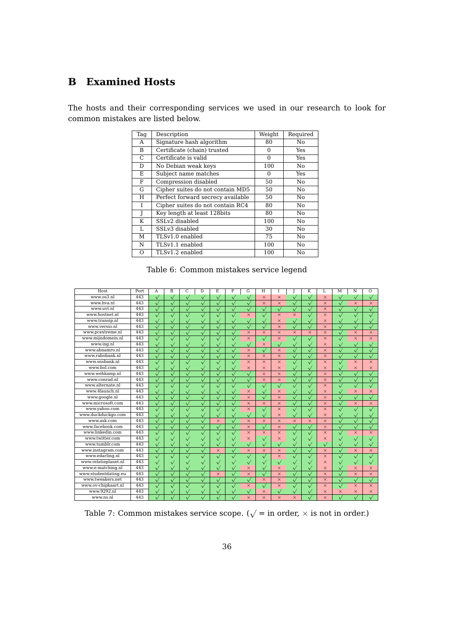# <span id="page-36-0"></span>**B Examined Hosts**

The hosts and their corresponding services we used in our research to look for common mistakes are listed below.

| Tag | Description                       | Weight   | Required |
|-----|-----------------------------------|----------|----------|
| A   | Signature hash algorithm          | 80       | No       |
| B   | Certificate (chain) trusted       | 0        | Yes      |
| C   | Certificate is valid              | $\Omega$ | Yes      |
| D   | No Debian weak keys               | 100      | No       |
| E   | Subject name matches              | 0        | Yes      |
| F   | Compression disabled              | 50       | No       |
| G   | Cipher suites do not contain MD5  | 50       | No       |
| H   | Perfect forward secrecy available | 50       | No       |
| T   | Cipher suites do not contain RC4  | 80       | No       |
| J   | Key length at least 128bits       | 80       | No       |
| K   | SSLv2 disabled                    | 100      | No       |
| L   | SSLv3 disabled                    | 30       | No       |
| М   | TLSv1.0 enabled                   | 75       | No       |
| N   | TLSv1.1 enabled                   | 100      | No       |
| O   | TLSv1.2 enabled                   | 100      | No       |

Table 6: Common mistakes service legend

| Host                 | Port | A                     | B                     | C                     | D            | E.                    | F            | G            | H            | T            |              | K            | I.           | M                     | N            | $\Omega$              |
|----------------------|------|-----------------------|-----------------------|-----------------------|--------------|-----------------------|--------------|--------------|--------------|--------------|--------------|--------------|--------------|-----------------------|--------------|-----------------------|
| www.os3.nl           | 443  | $\sqrt{}$             | $\sqrt{}$             | $\sqrt{}$             | $\sqrt{}$    | $\sqrt{}$             | $\sqrt{}$    | $\sqrt{}$    | $\times$     | $\times$     | $\checkmark$ | $\sqrt{}$    | $\times$     | $\sqrt{}$             | $\sqrt{}$    | $\sqrt{}$             |
| www.hva.nl           | 443  | $\sqrt{}$             | $\sqrt{}$             | $\sqrt{}$             | $\sqrt{}$    | $\sqrt{}$             | $\sqrt{}$    | $\sqrt{}$    | $\times$     | $\times$     | $\sqrt{}$    | $\sqrt{}$    | $\times$     | $\sqrt{}$             | $\times$     | $\times$              |
| www.uvt.nl           | 443  | $\overline{\sqrt{} }$ | $\sqrt{}$             | $\checkmark$          | $\sqrt{}$    | $\overline{\sqrt{ }}$ | $\checkmark$ | $\checkmark$ | $\checkmark$ | $\sqrt{}$    | $\checkmark$ | $\sqrt{}$    | $\times$     | $\sqrt{}$             | $\checkmark$ | $\checkmark$          |
| www.hostnet.nl       | 443  | $\sqrt{}$             | $\bar{\triangledown}$ | $\overline{\sqrt{2}}$ | $\sqrt{}$    |                       |              | $\times$     | $\sqrt{}$    | $\times$     | $\times$     | $\sqrt{}$    | $\times$     | $\overline{\sqrt{2}}$ |              |                       |
| www.transip.nl       | 443  | $\sqrt{}$             | $\sqrt{}$             | $\sqrt{}$             | $\sqrt{}$    | $\sqrt{}$             |              | $\checkmark$ | $\checkmark$ | $\times$     | $\checkmark$ | $\sqrt{}$    | $\times$     | $\sqrt{}$             |              |                       |
| www.versio.nl        | 443  | $\checkmark$          | $\sqrt{}$             | $\checkmark$          |              |                       |              |              | $\checkmark$ | $\times$     | $\checkmark$ | $\checkmark$ | $\times$     |                       |              |                       |
| www.pcextreme.nl     | 443  | $\sqrt{}$             |                       | $\bar{\sqrt{}}$       |              |                       |              | $\times$     | $\times$     | $\times$     | $\times$     | $\times$     | $\times$     |                       | $\times$     | $\times$              |
| www.mijndomein.nl    | 443  | $\sqrt{}$             | $\sqrt{}$             | $\sqrt{}$             |              |                       |              | $\times$     |              | $\times$     | $\checkmark$ | $\sqrt{}$    | $\times$     | $\sqrt{}$             | $\times$     | $\times$              |
| www.ing.nl           | 443  | $\checkmark$          | $\checkmark$          | $\checkmark$          |              |                       |              | $\checkmark$ | $\times$     | $\checkmark$ | $\checkmark$ | $\checkmark$ | $\times$     | $\sqrt{}$             |              |                       |
| www.abnamro.nl       | 443  | $\sqrt{2}$            | $\sqrt{}$             | $\sqrt{}$             | $\sqrt{}$    | $\sqrt{2}$            | $\sqrt{}$    | $\times$     | $\checkmark$ | $\times$     | $\checkmark$ | $\sqrt{}$    | $\times$     | $\sqrt{}$             | $\sqrt{}$    |                       |
| www.rabobank.nl      | 443  | $\sqrt{}$             | $\sqrt{}$             | $\sqrt{}$             | $\sqrt{}$    | $\checkmark$          | $\sqrt{}$    | $\times$     | $\times$     | $\times$     | $\sqrt{}$    | $\sqrt{}$    | $\times$     | $\sqrt{}$             |              |                       |
| www.snsbank.nl       | 443  | $\sqrt{}$             | $\checkmark$          | $\checkmark$          | $\sqrt{}$    | $\checkmark$          | $\sqrt{}$    | $\times$     | $\times$     | $\times$     | $\checkmark$ | $\sqrt{}$    | $\times$     | $\sqrt{}$             | $\times$     | $\times$              |
| www.bol.com          | 443  | $\checkmark$          | $\checkmark$          | $\checkmark$          | $\sqrt{}$    | $\checkmark$          | $\sqrt{}$    | $\times$     | $\times$     | $\times$     | $\checkmark$ | $\checkmark$ | $\times$     | $\checkmark$          | $\times$     | $\times$              |
| www.wehkamp.nl       | 443  | $\sqrt{}$             | $\checkmark$          | $\sqrt{}$             | $\checkmark$ | $\sqrt{}$             | $\sqrt{}$    |              | $\times$     | $\times$     | $\checkmark$ | $\sqrt{}$    | $\times$     | $\checkmark$          |              |                       |
| www.conrad.nl        | 443  | $\sqrt{}$             | $\sqrt{}$             | $\sqrt{}$             | $\sqrt{}$    | $\sqrt{}$             |              | $\sqrt{}$    | $\times$     | $\times$     | $\checkmark$ | $\sqrt{}$    | $\times$     | $\sqrt{}$             |              |                       |
| www.alternate.nl     | 443  | $\sqrt{}$             | $\sqrt{}$             | $\checkmark$          | $\checkmark$ | $\checkmark$          | $\sqrt{}$    | $\checkmark$ | $\checkmark$ | $\sqrt{}$    | $\checkmark$ | $\checkmark$ | $\times$     | $\sqrt{}$             | $\checkmark$ |                       |
| www.4launch.nl       | 443  | $\overline{\sqrt{} }$ | $\sqrt{}$             | $\sqrt{}$             | $\sqrt{}$    | $\sqrt{}$             | $\sqrt{}$    | $\times$     | $\sqrt{}$    | $\times$     | $\checkmark$ | $\sqrt{}$    | $\times$     | $\sqrt{}$             | $\times$     | $\times$              |
| www.google.nl        | 443  | $\sqrt{}$             | $\sqrt{}$             | $\sqrt{}$             | $\sqrt{}$    | $\sqrt{}$             | $\sqrt{}$    | $\times$     | $\sqrt{}$    | $\times$     | $\checkmark$ | $\sqrt{}$    | $\times$     | $\sqrt{}$             | $\sqrt{}$    | $\sqrt{}$             |
| www.microsoft.com    | 443  | $\sqrt{}$             | $\sqrt{}$             |                       |              |                       |              | $\times$     | $\times$     | $\times$     | $\checkmark$ | $\sqrt{}$    | $\times$     |                       | $\times$     | $\times$              |
| www.yahoo.com        | 443  | $\sqrt{}$             |                       | $\checkmark$          |              |                       |              | $\times$     | $\sqrt{}$    | $\times$     | $\checkmark$ | $\sqrt{}$    | $\times$     |                       |              |                       |
| www.duckduckgo.com   | 443  | $\sqrt{}$             |                       | $\checkmark$          |              |                       |              | $\checkmark$ |              | $\times$     | $\checkmark$ | $\sqrt{}$    | $\times$     |                       |              |                       |
| www.ask.com          | 443  | $\checkmark$          | $\bar{\vee}$          | $\sqrt{}$             |              | $\times$              |              | $\times$     | $\times$     | $\times$     | $\times$     | $\times$     | $\times$     |                       |              |                       |
| www.facebook.com     | 443  | $\sqrt{}$             | $\checkmark$          | $\checkmark$          | $\sqrt{}$    | $\checkmark$          | $\sqrt{}$    | $\times$     | $\checkmark$ | $\times$     | $\checkmark$ | $\sqrt{}$    | $\times$     | $\checkmark$          | $\checkmark$ |                       |
| www.linkedin.com     | 443  | $\sqrt{}$             | $\checkmark$          | $\sqrt{}$             | $\sqrt{}$    | $\sqrt{2}$            | $\sqrt{}$    | $\times$     | $\times$     | $\times$     | $\checkmark$ | $\checkmark$ | $\times$     | $\sqrt{}$             | $\times$     | $\times$              |
| www.twitter.com      | 443  | $\sqrt{}$             | $\sqrt{}$             | $\checkmark$          | $\sqrt{}$    | $\sqrt{}$             | $\checkmark$ | $\times$     | $\checkmark$ | $\times$     | $\checkmark$ | $\checkmark$ | $\times$     | $\sqrt{}$             | $\sqrt{}$    | $\checkmark$          |
| www.tumblr.com       | 443  | $\checkmark$          | $\sqrt{}$             | $\sqrt{}$             | $\sqrt{}$    | $\sqrt{}$             | $\checkmark$ | $\checkmark$ | $\sqrt{}$    | $\sqrt{}$    | $\sqrt{}$    | $\sqrt{}$    | $\checkmark$ | $\sqrt{}$             | $\checkmark$ | $\sqrt{}$             |
| www.instagram.com    | 443  | $\checkmark$          | $\checkmark$          | $\sqrt{}$             | $\sqrt{}$    | $\times$              | $\checkmark$ | $\times$     | $\times$     | $\times$     | $\sqrt{}$    | $\sqrt{}$    | $\times$     | $\sqrt{}$             | $\times$     | $\times$              |
| www.edarling.nl      | 443  | $\overline{\sqrt{} }$ | $\overline{\sqrt{ }}$ | $\sqrt{}$             | $\sqrt{}$    | $\checkmark$          | $\checkmark$ | $\sqrt{}$    | $\checkmark$ | $\times$     | $\sqrt{}$    | $\sqrt{}$    | $\times$     | $\checkmark$          | $\sqrt{}$    | $\overline{\sqrt{ }}$ |
| www.relatieplanet.nl | 443  | $\sqrt{}$             | $\sqrt{}$             | $\sqrt{}$             | $\sqrt{}$    | $\checkmark$          | $\sqrt{}$    | $\sqrt{}$    | $\checkmark$ | $\sqrt{}$    | $\checkmark$ | $\sqrt{}$    | $\times$     | $\sqrt{}$             | $\sqrt{}$    | $\sqrt{}$             |
| www.e-matching.nl    | 443  | $\sqrt{}$             | $\sqrt{}$             | $\checkmark$          | $\sqrt{}$    | $\sqrt{}$             | $\checkmark$ | $\times$     | $\sqrt{}$    | $\times$     | $\checkmark$ | $\sqrt{}$    | $\times$     | $\checkmark$          | $\times$     | $\times$              |
| www.studentdating.eu | 443  | $\sqrt{}$             | $\sqrt{}$             | $\sqrt{}$             | $\sqrt{}$    | $\times$              | $\sqrt{}$    | $\times$     | $\sqrt{}$    | $\times$     | $\sqrt{}$    | $\sqrt{}$    | $\times$     | $\overline{\sqrt{2}}$ | $\times$     | $\times$              |
| www.tweakers.net     | 443  | $\sqrt{}$             | $\checkmark$          | $\sqrt{}$             | $\sqrt{}$    |                       | $\checkmark$ | $\sqrt{}$    | $\times$     | $\times$     | $\checkmark$ | $\checkmark$ | $\times$     | $\sqrt{}$             | $\checkmark$ |                       |
| www.ov-chipkaart.nl  | 443  | $\sqrt{}$             |                       | $\checkmark$          |              |                       |              | $\times$     | $\checkmark$ | $\times$     | $\checkmark$ | $\checkmark$ | $\times$     |                       | $\times$     | $\times$              |
| www.9292.nl          | 443  | $\sqrt{}$             |                       |                       |              |                       |              |              | $\times$     |              |              |              | $\times$     | $\times$              | $\times$     | $\times$              |
| www.ns.nl            | 443  | $\sqrt{}$             | $\sqrt{}$             | $\sqrt{}$             |              |                       |              | $\times$     | $\times$     | $\times$     | $\times$     | $\checkmark$ | $\times$     |                       |              |                       |

Table 7: Common mistakes service scope. ( $\sqrt{}=$  in order,  $\times$  is not in order.)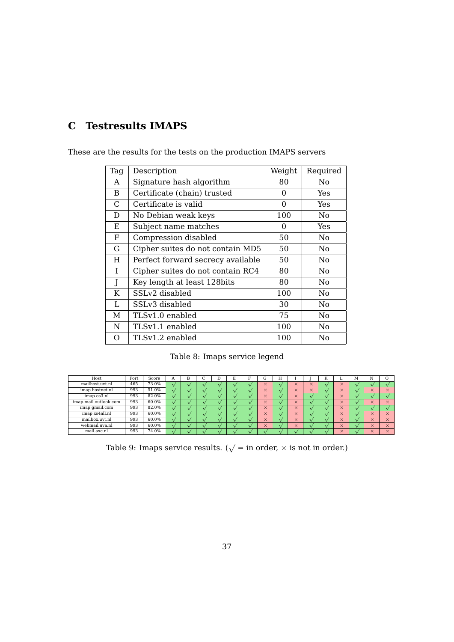# <span id="page-37-0"></span>**C Testresults IMAPS**

| Tag          | Description                       | Weight   | Required |
|--------------|-----------------------------------|----------|----------|
| A            | Signature hash algorithm          | 80       | No.      |
| B            | Certificate (chain) trusted       | $\Omega$ | Yes      |
| C            | Certificate is valid              | $\Omega$ | Yes      |
| D            | No Debian weak keys               | 100      | No.      |
| Ε            | Subject name matches              | $\Omega$ | Yes      |
| F            | Compression disabled              | 50       | No       |
| G            | Cipher suites do not contain MD5  | 50       | No.      |
| H            | Perfect forward secrecy available | 50       | No.      |
| L            | Cipher suites do not contain RC4  | 80       | No       |
| $\mathbf{J}$ | Key length at least 128 bits      | 80       | No.      |
| K            | SSLv2 disabled                    | 100      | No       |
| L            | SSLv3 disabled                    | 30       | No       |
| М            | TLSv1.0 enabled                   | 75       | No.      |
| N            | TLSv1.1 enabled                   | 100      | No.      |
| Ο            | TLSv1.2 enabled                   | 100      | No       |

These are the results for the tests on the production IMAPS servers

Table 8: Imaps service legend

| Host                  | Port | Score | А |  |  | l٦                | Н |          |          | N | ≖            | м | N        |  |
|-----------------------|------|-------|---|--|--|-------------------|---|----------|----------|---|--------------|---|----------|--|
| mailhost.uvt.nl       | 465  | 73.0% |   |  |  | $\sim$<br>ㅅ       |   | $\times$ | $\times$ |   | $\times$     |   |          |  |
| imap.hostnet.nl       | 993  | 51.0% |   |  |  | $\checkmark$<br>ㅅ |   | $\times$ | $\times$ |   | $\times$     |   | $\times$ |  |
| imap.os3.nl           | 993  | 82.0% |   |  |  | $\times$          |   | $\times$ |          |   | $\times$     |   |          |  |
| imap-mail.outlook.com | 993  | 60.0% |   |  |  | $\times$          |   | $\times$ |          |   | $\times$     |   | $\times$ |  |
| imap.gmail.com        | 993  | 82.0% |   |  |  | $\times$          |   | $\times$ |          |   | $\times$     |   |          |  |
| imap.xs4all.nl        | 993  | 60.0% |   |  |  | $\times$          |   | $\times$ |          |   | $\times$     |   | $\times$ |  |
| mailbox.uvt.nl        | 993  | 60.0% |   |  |  | $\times$          |   | $\times$ |          |   | $\times$     |   | $\times$ |  |
| webmail.uva.nl        | 993  | 60.0% |   |  |  | $\times$          |   | $\times$ |          |   | $\times$     |   | $\times$ |  |
| mail.axc.nl           | 993  | 74.0% |   |  |  |                   |   |          |          |   | $\checkmark$ |   | $\times$ |  |

Table 9: Imaps service results. ( $\sqrt{}=$  in order,  $\times$  is not in order.)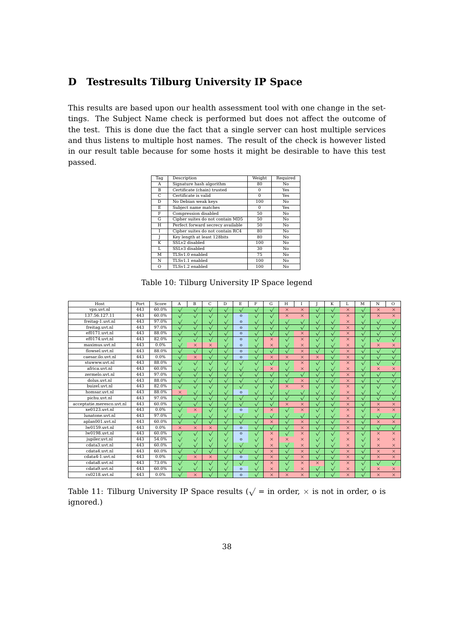## <span id="page-38-0"></span>**D Testresults Tilburg University IP Space**

This results are based upon our health assessment tool with one change in the settings. The Subject Name check is performed but does not affect the outcome of the test. This is done due the fact that a single server can host multiple services and thus listens to multiple host names. The result of the check is however listed in our result table because for some hosts it might be desirable to have this test passed.

| Tag | Description                       | Weight   | Required |
|-----|-----------------------------------|----------|----------|
| A   | Signature hash algorithm          | 80       | No       |
| B   | Certificate (chain) trusted       | $\Omega$ | Yes      |
| C   | Certificate is valid              | $\Omega$ | Yes      |
| D   | No Debian weak keys               | 100      | No       |
| E   | Subject name matches              | $\Omega$ | Yes      |
| F   | Compression disabled              | 50       | No       |
| G   | Cipher suites do not contain MD5  | 50       | No       |
| Η   | Perfect forward secrecy available | 50       | Nο       |
| T   | Cipher suites do not contain RC4  | 80       | No       |
| J   | Key length at least 128bits       | 80       | No       |
| K   | SSLv2 disabled                    | 100      | No       |
| T.  | SSLv3 disabled                    | 30       | No       |
| м   | TLSv1.0 enabled                   | 75       | No       |
| N   | TLSv1.1 enabled                   | 100      | No       |
| O   | TLSv1.2 enabled                   | 100      | No       |

Table 10: Tilburg University IP Space legend

| Host.                     | Port. | Score | A         | $\overline{B}$ | C            | D            | E            | F          | G            | H            |              |              | K         |          | $\overline{M}$ | N            | $\Omega$  |
|---------------------------|-------|-------|-----------|----------------|--------------|--------------|--------------|------------|--------------|--------------|--------------|--------------|-----------|----------|----------------|--------------|-----------|
| vpn.uvt.nl                | 443   | 60.0% | $\sqrt{}$ | $\sqrt{}$      | $\sqrt{}$    |              |              | $\sqrt{}$  |              | $\times$     | $\times$     | $\sqrt{}$    |           | $\times$ | $\sqrt{}$      | $\times$     | $\times$  |
| 137.56.127.11             | 443   | 60.0% | $\sqrt{}$ | $\checkmark$   |              |              | $\Omega$     | $\sqrt{}$  |              | $\times$     | $\times$     | $\sqrt{}$    |           | $\times$ | $\sqrt{}$      | $\times$     | $\times$  |
| freitag-1.uvt.nl          | 443   | 97.0% | $\sqrt{}$ | $\sqrt{2}$     | $\sqrt{}$    |              | $\Omega$     | $\sqrt{}$  | $\sqrt{}$    |              | $\mathbf v$  | $\sqrt{}$    | $\sqrt{}$ | $\times$ | $\sqrt{}$      | $\sqrt{}$    |           |
| freitag.uvt.nl            | 443   | 97.0% | $\sqrt{}$ | $\sqrt{}$      |              |              | $\Omega$     | $\sqrt{}$  |              |              | $\sqrt{}$    | $\sqrt{}$    |           | $\times$ | $\sqrt{}$      |              |           |
| ef0171.uvt.nl             | 443   | 88.0% | $\sqrt{}$ | $\sqrt{2}$     |              |              | $\Omega$     | $\sqrt{}$  |              |              | $\times$     | $\sqrt{}$    |           | $\times$ | $\sqrt{}$      |              |           |
| ef0174.uvt.nl             | 443   | 82.0% | $\sqrt{}$ | $\sqrt{}$      | $\sqrt{}$    |              | $\Omega$     | $\sqrt{}$  | $\times$     | $\sqrt{}$    | $\times$     | $\sqrt{}$    | $\sqrt{}$ | $\times$ | $\sqrt{}$      | $\sqrt{}$    |           |
| maximus.uvt.nl            | 443   | 0.0%  | $\sqrt{}$ | $\times$       | $\times$     |              | $\Omega$     | $\sqrt{}$  | $\times$     |              | $\times$     | $\sqrt{}$    |           | $\times$ | $\sqrt{}$      | $\times$     | $\times$  |
| flowsel.uvt.nl            | 443   | 88.0% | $\sqrt{}$ | $\sqrt{}$      | $\sqrt{}$    |              | $\Omega$     | $\sqrt{}$  |              |              | $\times$     | $\sqrt{}$    | $\sqrt{}$ | $\times$ | $\sqrt{}$      | $\sqrt{}$    |           |
| caesar.ilo.uvt.nl         | 443   | 0.0%  | $\sqrt{}$ | $\times$       | $\sqrt{}$    |              | $\mathbf{o}$ | $\sqrt{}$  | $\times$     | $\times$     | $\times$     | $\times$     |           | $\times$ | $\sqrt{}$      | $\sqrt{}$    |           |
| stuwww.uvt.nl             | 443   | 88.0% | $\sqrt{}$ | $\sqrt{}$      | $\sqrt{}$    | $\sqrt{}$    |              | $\sqrt{}$  | $\sqrt{}$    |              | $\times$     | $\sqrt{}$    | $\sqrt{}$ | $\times$ | $\sqrt{}$      | $\sqrt{}$    |           |
| africa.uvt.nl             | 443   | 60.0% | $\sqrt{}$ | $\sqrt{2}$     | $\sqrt{}$    | $\checkmark$ |              | $\sqrt{}$  | $\times$     | $\sqrt{}$    | $\times$     | $\sqrt{}$    | $\sqrt{}$ | $\times$ | $\sqrt{}$      | $\times$     | $\times$  |
| zermelo.uvt.nl            | 443   | 97.0% | $\sqrt{}$ | $\sqrt{2}$     |              |              |              | $\sqrt{}$  |              | $\sqrt{}$    | $\checkmark$ | $\sqrt{}$    |           | $\times$ | $\sqrt{}$      |              |           |
| dolus.uvt.nl              | 443   | 88.0% | $\sqrt{}$ | $\sqrt{}$      | $\sqrt{}$    | $\sqrt{}$    |              | $\sqrt{}$  | $\sqrt{ }$   |              | $\times$     | $\sqrt{}$    |           | $\times$ | $\sqrt{}$      | $\sqrt{ }$   |           |
| buizel.uvt.nl             | 443   | 82.0% | $\sqrt{}$ | $\checkmark$   | $\checkmark$ |              |              | $\sqrt{}$  |              | $\times$     | $\times$     | $\sqrt{}$    |           | $\times$ | $\sqrt{}$      |              |           |
| homsar.uvt.nl             | 443   | 88.0% | $\times$  | $\sqrt{ }$     | $\sqrt{}$    |              | $\mathbf{o}$ | $\sqrt{}$  |              | $\sqrt{}$    | $\sqrt{}$    | $\sqrt{}$    | $\sqrt{}$ | $\times$ | $\checkmark$   | $\sqrt{}$    |           |
| pichu.uvt.nl              | 443   | 97.0% | $\sqrt{}$ | $\sqrt{2}$     |              |              |              | $\sqrt{}$  |              | $\checkmark$ | $\sqrt{}$    | $\checkmark$ | $\sqrt{}$ | $\times$ | $\sqrt{}$      | $\sqrt{}$    | $\sqrt{}$ |
| acceptatie.meresco.uvt.nl | 443   | 60.0% |           | $\sqrt{}$      | $\checkmark$ |              |              | $\sqrt{}$  |              | $\times$     | $\times$     | $\checkmark$ |           | $\times$ | $\checkmark$   | $\times$     | $\times$  |
| xe0123.uvt.nl             | 443   | 0.0%  | $\sqrt{}$ | $\times$       | $\sqrt{}$    |              | $\mathbf{o}$ | $\sqrt{}$  | $\times$     | $\sqrt{}$    | $\times$     | $\sqrt{}$    | $\sqrt{}$ | $\times$ | $\sqrt{}$      | $\times$     | $\times$  |
| lunatone.uvt.nl           | 443   | 97.0% |           | $\checkmark$   | $\checkmark$ |              |              | $\sqrt{}$  | $\sqrt{}$    |              | $\checkmark$ | $\sqrt{}$    |           | $\times$ | $\sqrt{}$      | $\sqrt{}$    |           |
| aplan001.uvt.nl           | 443   | 60.0% | $\sqrt{}$ | $\sqrt{2}$     | $\sqrt{}$    |              |              | $\sqrt{}$  | $\times$     |              | $\times$     | $\sqrt{}$    |           | $\times$ | $\sqrt{}$      | $\times$     | $\times$  |
| lw0159.uvt.nl             | 443   | 0.0%  | $\times$  | $\times$       | $\times$     |              | $\mathbf{o}$ | $\sqrt{}$  | $\checkmark$ |              | $\times$     | $\sqrt{}$    |           | $\times$ | $\checkmark$   | $\checkmark$ |           |
| Iw0198.wt.nl              | 443   | 60.0% |           |                |              |              | $\Omega$     | $\sqrt{}$  | $\times$     |              | $\times$     | $\sqrt{}$    |           | $\times$ | $\sqrt{}$      | $\times$     | $\times$  |
| jupiler.uvt.nl            | 443   | 54.0% |           |                |              |              | $\mathbf{o}$ |            | $\times$     | $\times$     | $\times$     | $\sqrt{}$    |           | $\times$ |                | $\times$     | $\times$  |
| cdata3.uvt.nl             | 443   | 60.0% |           | $\vee$         |              |              |              | $\sqrt{}$  | $\times$     |              | $\times$     | $\sqrt{}$    |           | $\times$ | $\sqrt{}$      | $\times$     | $\times$  |
| $cdata4.$ uvt.nl          | 443   | 60.0% |           | $\sqrt{}$      |              |              |              |            | $\times$     |              | $\times$     | $\checkmark$ |           | $\times$ |                | $\times$     | $\times$  |
| $cdata4-1.$ uvt.nl        | 443   | 0.0%  |           | $\times$       | $\times$     |              | $\mathbf{o}$ | $\sqrt{2}$ | $\times$     |              | $\times$     | $\checkmark$ |           | $\times$ | $\checkmark$   | $\times$     | $\times$  |
| cdata8.uvt.nl             | 443   | 73.0% |           | $\checkmark$   |              |              |              | $\sqrt{}$  | $\times$     |              | $\times$     | $\times$     |           | $\times$ | $\sqrt{}$      |              |           |
| cdata9.uvt.nl             | 443   | 60.0% |           | $\mathbf{v}$   |              |              | $\mathbf{o}$ |            | $\times$     |              | $\times$     | $\sqrt{}$    |           | $\times$ |                | $\times$     | $\times$  |
| $cs0218$ .uvt.nl          | 443   | 0.0%  |           | $\times$       |              |              | $\Omega$     |            | $\times$     | $\times$     | $\times$     |              |           | $\times$ |                | $\times$     | $\times$  |

|           | Table 11: Tilburg University IP Space results ( $\sqrt{ }$ = in order, $\times$ is not in order, o is |  |  |  |
|-----------|-------------------------------------------------------------------------------------------------------|--|--|--|
| ignored.) |                                                                                                       |  |  |  |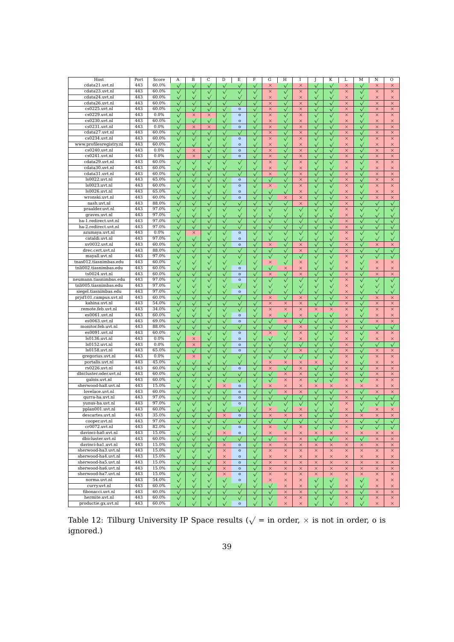| Host                    | Port | Score | Α            | B            | C            | D            | $\overline{E}$ | F            | G            | Η                 | 1            | J                   | K            | L        | М            | N               | О            |
|-------------------------|------|-------|--------------|--------------|--------------|--------------|----------------|--------------|--------------|-------------------|--------------|---------------------|--------------|----------|--------------|-----------------|--------------|
| cdata21.uvt.nl          | 443  | 60.0% | $\checkmark$ | $\checkmark$ | $\checkmark$ | $\checkmark$ | $\checkmark$   | $\checkmark$ | $\times$     | $\checkmark$      | $\times$     | $\checkmark$        | $\checkmark$ | $\times$ | $\checkmark$ | $\times$        | $\times$     |
| cdata23.uvt.nl          | 443  | 60.0% | $\sqrt{}$    | $\checkmark$ | $\sqrt{}$    | $\sqrt{}$    | $\checkmark$   | $\checkmark$ | $\times$     | $\checkmark$      | $\times$     | $\checkmark$        | $\checkmark$ | $\times$ | $\checkmark$ | $\times$        | $\times$     |
| cdata24.uvt.nl          | 443  | 60.0% | $\checkmark$ | $\checkmark$ | $\checkmark$ | $\sqrt{}$    | $\checkmark$   |              | $\times$     | $\checkmark$      | $\times$     | $\checkmark$        |              | $\times$ |              | $\times$        | $\times$     |
|                         |      |       |              |              |              |              |                | $\checkmark$ |              |                   |              |                     | $\checkmark$ |          | $\checkmark$ |                 |              |
| cdata26.uvt.nl          | 443  | 60.0% | $\checkmark$ | $\checkmark$ | $\sqrt{}$    |              | $\checkmark$   | $\checkmark$ | $\times$     | $\checkmark$      | $\times$     | $\checkmark$        | $\checkmark$ | $\times$ | $\sqrt{}$    | $\times$        | $\times$     |
| $cs0225.$ uvt.nl        | 443  | 60.0% | $\checkmark$ | $\checkmark$ | $\checkmark$ | $\sqrt{}$    | $\mathbf{o}$   | $\checkmark$ | ×            | $\checkmark$      | $\times$     | $\checkmark$        | $\checkmark$ | $\times$ | $\checkmark$ | $\times$        | $\times$     |
| cs0229.uvt.nl           | 443  | 0.0%  | $\checkmark$ | $\times$     | $\times$     | $\checkmark$ | $\mathbf{o}$   | $\checkmark$ | $\times$     | $\sqrt{}$         | $\times$     | $\checkmark$        | $\checkmark$ | $\times$ | $\checkmark$ | $\times$        | $\times$     |
| cs0230.uvt.nl           | 443  | 60.0% | $\sqrt{}$    | $\sqrt{}$    | $\sqrt{}$    | $\sqrt{}$    | $\mathbf{o}$   | $\checkmark$ | $\times$     | $\sqrt{}$         | $\times$     | $\checkmark$        | $\checkmark$ | $\times$ | $\sqrt{}$    | $\times$        | $\times$     |
| cs0231.uvt.nl           | 443  | 0.0%  | $\checkmark$ | $\times$     | $\times$     | $\sqrt{}$    | $\mathbf{o}$   | $\checkmark$ | $\times$     | $\checkmark$      | $\times$     | $\hat{\mathcal{V}}$ | $\checkmark$ | $\times$ | $\checkmark$ | $\times$        | $\times$     |
| cdata27.uvt.nl          | 443  | 60.0% | $\checkmark$ | $\checkmark$ | $\checkmark$ |              | $\sqrt{}$      |              | $\times$     |                   | $\times$     |                     |              | $\times$ |              | $\times$        | $\times$     |
|                         |      |       |              |              |              | $\sqrt{}$    |                | $\checkmark$ |              | $\checkmark$      |              | $\checkmark$        | $\checkmark$ |          | $\checkmark$ |                 |              |
| cs0234.uvt.nl           | 443  | 60.0% | $\checkmark$ | $\checkmark$ | $\sqrt{}$    | $\checkmark$ | $\mathbf{o}$   | $\checkmark$ | $\times$     | $\checkmark$      | $\times$     | $\checkmark$        | $\checkmark$ | $\times$ | $\checkmark$ | $\times$        | $\times$     |
| www.profilesregistry.nl | 443  | 60.0% | $\sqrt{}$    | $\checkmark$ | $\sqrt{}$    |              | $\mathbf{o}$   | $\checkmark$ | $\times$     | $\checkmark$      | $\times$     | $\checkmark$        |              | $\times$ | $\checkmark$ | $\times$        | $\times$     |
| $cs0240$ .uvt.nl        | 443  | 0.0%  | $\checkmark$ | $\times$     | $\sqrt{}$    | $\checkmark$ | $\mathbf{o}$   | $\checkmark$ | $\times$     | $\checkmark$      | $\times$     | $\checkmark$        | $\checkmark$ | $\times$ | $\sqrt{}$    | $\times$        | $\times$     |
| $cs0241$ .uvt.nl        | 443  | 0.0%  | $\checkmark$ | $\times$     | $\sqrt{}$    | $\sqrt{}$    | $\mathbf{o}$   | $\checkmark$ | $\times$     | $\checkmark$      | $\times$     | $\bar{\sqrt{}}$     | $\checkmark$ | $\times$ | $\checkmark$ | $\times$        | $\times$     |
| cdata29.uvt.nl          | 443  | 60.0% | $\checkmark$ | $\sqrt{}$    | $\sqrt{}$    | $\sqrt{}$    | $\checkmark$   | $\checkmark$ | $\times$     | $\checkmark$      | $\times$     | $\checkmark$        | $\checkmark$ | $\times$ | $\checkmark$ | $\times$        | $\times$     |
| cdata30.uvt.nl          | 443  | 60.0% |              |              | $\checkmark$ |              |                |              | $\times$     | $\checkmark$      | $\times$     |                     |              | $\times$ |              | $\times$        | $\times$     |
|                         |      |       | $\checkmark$ | $\checkmark$ |              | $\sqrt{}$    | $\checkmark$   | $\checkmark$ |              |                   |              | $\checkmark$        | $\checkmark$ |          | $\checkmark$ |                 |              |
| cdata31.uvt.nl          | 443  | 60.0% | $\checkmark$ | $\checkmark$ | $\checkmark$ |              |                | $\checkmark$ | $\times$     | $\checkmark$      | $\times$     | $\checkmark$        | $\checkmark$ | $\times$ | $\checkmark$ | $\times$        | $\times$     |
| ls0022.uvt.nl           | 443  | 65.0% | $\checkmark$ | $\checkmark$ | $\checkmark$ | $\checkmark$ | $\mathbf{o}$   | $\checkmark$ |              | $\checkmark$      | $\times$     | $\checkmark$        | $\checkmark$ | $\times$ | $\checkmark$ | $\times$        | $\times$     |
| ls0023.uvt.nl           | 443  | 60.0% | $\checkmark$ | $\checkmark$ | $\checkmark$ |              | $\mathbf{o}$   | $\checkmark$ | $\times$     | $\checkmark$      | $\times$     | $\checkmark$        | $\checkmark$ | $\times$ | $\checkmark$ | $\times$        | $\times$     |
| $ls0026.$ uvt.nl        | 443  | 65.0% | $\checkmark$ | $\checkmark$ | $\sqrt{}$    | $\checkmark$ | $\mathbf{o}$   | $\checkmark$ | $\checkmark$ | $\checkmark$      | $\times$     | $\checkmark$        | $\checkmark$ | $\times$ | $\checkmark$ | $\times$        | $\times$     |
| wronski.uvt.nl          | 443  | 60.0% | $\checkmark$ | $\checkmark$ | $\checkmark$ | $\sqrt{}$    | $\mathbf{o}$   | $\checkmark$ | $\checkmark$ | ×                 | $\times$     | $\checkmark$        | $\checkmark$ | $\times$ | $\checkmark$ | $\times$        | $\times$     |
|                         | 443  | 88.0% |              |              |              |              |                |              |              |                   |              |                     |              |          |              |                 |              |
| nash.uvt.nl             |      |       | $\checkmark$ | $\checkmark$ | $\sqrt{}$    | $\sqrt{}$    | $\checkmark$   | $\checkmark$ | $\checkmark$ | $\sqrt{}$         | $\times$     | $\checkmark$        | $\checkmark$ | $\times$ | $\sqrt{}$    | $\sqrt{}$       | $\checkmark$ |
| praalder.uvt.nl         | 443  | 97.0% | $\checkmark$ | $\checkmark$ | $\checkmark$ | $\checkmark$ | $\checkmark$   | $\checkmark$ | $\checkmark$ | $\checkmark$      | $\checkmark$ | $\checkmark$        | $\checkmark$ | $\times$ | $\checkmark$ | $\checkmark$    | $\sqrt{}$    |
| graves.uvt.nl           | 443  | 97.0% | $\checkmark$ | $\checkmark$ | $\sqrt{}$    |              |                | $\checkmark$ | $\checkmark$ | $\checkmark$      | $\checkmark$ | $\checkmark$        | $\checkmark$ | $\times$ | $\checkmark$ | $\checkmark$    | $\checkmark$ |
| ha-1.redirect.uvt.nl    | 443  | 97.0% | $\checkmark$ | $\checkmark$ | $\sqrt{}$    | $\sqrt{}$    | $\checkmark$   | $\checkmark$ | $\checkmark$ | $\checkmark$      | $\checkmark$ | $\checkmark$        | $\checkmark$ | $\times$ | $\checkmark$ | $\checkmark$    | $\checkmark$ |
| ha-2.redirect.uvt.nl    | 443  | 97.0% | $\checkmark$ | $\checkmark$ | $\checkmark$ |              |                | $\checkmark$ | $\checkmark$ | $\checkmark$      | $\sqrt{}$    | $\checkmark$        | $\checkmark$ | $\times$ | $\checkmark$ | $\checkmark$    | $\checkmark$ |
| azumaya.uvt.nl          | 443  | 0.0%  | $\checkmark$ | $\times$     | $\checkmark$ |              | $\mathbf{o}$   |              | $\checkmark$ | $\checkmark$      | $\checkmark$ | $\checkmark$        | $\checkmark$ | $\times$ | $\sqrt{}$    | $\checkmark$    |              |
| cataldi.uvt.nl          | 443  | 97.0% |              |              |              | $\checkmark$ |                | $\checkmark$ |              |                   |              |                     |              |          |              |                 | $\checkmark$ |
|                         |      |       | $\checkmark$ | $\checkmark$ | $\sqrt{}$    | $\sqrt{}$    | $\mathbf{o}$   | $\checkmark$ | $\checkmark$ | $\checkmark$      | $\checkmark$ | $\checkmark$        | $\checkmark$ | $\times$ | $\sqrt{}$    | $\bar{\sqrt{}}$ | $\checkmark$ |
| xv0032.uvt.nl           | 443  | 60.0% | $\checkmark$ | $\checkmark$ | $\sqrt{}$    | $\sqrt{}$    | $\mathbf{o}$   | $\checkmark$ | $\times$     | $\checkmark$      | $\times$     | $\checkmark$        | $\checkmark$ | $\times$ | $\checkmark$ | $\times$        | $\times$     |
| drec.cert.uvt.nl        | 443  | 88.0% | $\sqrt{}$    | $\checkmark$ | $\checkmark$ | $\checkmark$ | $\checkmark$   | $\checkmark$ | $\checkmark$ | $\checkmark$      | $\times$     | $\checkmark$        | $\checkmark$ | $\times$ | $\checkmark$ | $\sqrt{}$       | $\sqrt{}$    |
| mayall.uvt.nl           | 443  | 97.0% | $\checkmark$ | $\checkmark$ | $\checkmark$ |              | $\sqrt{}$      | $\checkmark$ | $\checkmark$ | $\checkmark$      |              | $\checkmark$        | $\checkmark$ | $\times$ | $\checkmark$ | $\sqrt{}$       |              |
| tnas012.tiasnimbas.edu  | 443  | 60.0% | $\checkmark$ | $\checkmark$ | $\checkmark$ | $\sqrt{}$    | $\checkmark$   | $\checkmark$ | $\times$     | $\checkmark$      | $\times$     | $\checkmark$        | $\checkmark$ | $\times$ | $\checkmark$ | $\times$        | $\times$     |
| tnli002.tiasnimbas.edu  | 443  | 60.0% | $\checkmark$ | $\checkmark$ | $\checkmark$ |              | $\mathbf{o}$   | $\checkmark$ | $\checkmark$ | $\times$          | $\times$     | $\checkmark$        |              | $\times$ | $\checkmark$ | $\times$        | $\times$     |
|                         |      |       |              |              |              |              |                |              |              |                   |              |                     |              |          |              |                 |              |
| ts0024.uvt.nl           | 443  | 60.0% | $\checkmark$ | $\checkmark$ | $\sqrt{}$    | $\sqrt{}$    | $\mathbf{o}$   | $\checkmark$ | ×            | $\checkmark$      | $\times$     | $\checkmark$        |              | $\times$ | $\checkmark$ | $\times$        | $\times$     |
| neumann.tiasnimbas.edu  | 443  | 97.0% | $\checkmark$ | $\sqrt{}$    | $\sqrt{}$    | $\sqrt{}$    | $\mathbf{o}$   | $\checkmark$ | $\sqrt{}$    | $\sqrt{}$         | $\sqrt{}$    | $\checkmark$        | $\sqrt{}$    | $\times$ | $\sqrt{}$    | $\sqrt{}$       | $\checkmark$ |
| tnli005.tiasnimbas.edu  | 443  | 97.0% | $\checkmark$ | $\checkmark$ | $\sqrt{}$    | $\sqrt{}$    | $\checkmark$   | $\checkmark$ | $\checkmark$ | $\checkmark$      | $\sqrt{}$    | $\checkmark$        | $\checkmark$ | $\times$ | $\checkmark$ | $\checkmark$    | $\checkmark$ |
| siegel.tiasnimbas.edu   | 443  | 97.0% | $\checkmark$ |              | $\checkmark$ |              | $\mathbf{o}$   |              |              |                   |              |                     |              | $\times$ |              |                 |              |
| prjsf101.campus.uvt.nl  | 443  | 60.0% | $\checkmark$ | $\checkmark$ | $\checkmark$ |              |                | $\checkmark$ | $\times$     | $\checkmark$      | $\times$     | $\checkmark$        | $\checkmark$ | $\times$ | $\checkmark$ | $\times$        | $\times$     |
| kahina.uvt.nl           | 443  | 54.0% | $\checkmark$ | $\checkmark$ | $\checkmark$ |              |                |              | $\times$     | ×                 | $\times$     | $\checkmark$        |              | $\times$ | $\checkmark$ | $\times$        | $\times$     |
|                         | 443  |       |              |              |              | $\checkmark$ | $\checkmark$   | $\checkmark$ |              |                   |              |                     | $\checkmark$ |          |              |                 |              |
| remote.feb.uvt.nl       |      | 34.0% | $\sqrt{}$    | $\checkmark$ | $\checkmark$ |              | $\checkmark$   | $\checkmark$ | $\times$     | $\times$          | $\times$     | $\times$            | $\times$     | $\times$ | $\checkmark$ | $\times$        | $\times$     |
| es0061.uvt.nl           | 443  | 60.0% | $\checkmark$ | $\sqrt{}$    | $\sqrt{}$    | $\sqrt{}$    | $\mathbf{o}$   | $\checkmark$ | $\times$     | $\checkmark$      | $\times$     | $\checkmark$        | $\checkmark$ | $\times$ | $\checkmark$ | $\times$        | $\times$     |
| es0063.uvt.nl           | 443  | 69.0% | $\checkmark$ | $\sqrt{}$    | $\sqrt{}$    | $\checkmark$ | $\mathbf{o}$   | $\checkmark$ | $\checkmark$ | $\times$          | $\sqrt{}$    | $\sqrt{}$           | $\checkmark$ | $\times$ | $\sqrt{}$    | $\times$        | $\times$     |
| monitor.feb.uvt.nl      | 443  | 88.0% | $\checkmark$ | $\checkmark$ | $\sqrt{}$    | $\sqrt{}$    | $\checkmark$   | $\checkmark$ | $\checkmark$ | $\checkmark$      | $\times$     | $\checkmark$        | $\checkmark$ | $\times$ | $\checkmark$ | $\sqrt{}$       | $\checkmark$ |
| es0091.uvt.nl           | 443  | 60.0% | $\sqrt{}$    | $\checkmark$ | $\checkmark$ |              | $\mathbf{o}$   | $\checkmark$ | $\times$     |                   | $\times$     | $\checkmark$        |              | $\times$ | $\checkmark$ | $\times$        | $\times$     |
| ls0136.uvt.nl           | 443  | 0.0%  | $\checkmark$ | $\times$     | $\sqrt{}$    | $\checkmark$ | $\mathbf{o}$   |              | $\checkmark$ | $\checkmark$      | $\times$     | $\checkmark$        | $\checkmark$ | $\times$ | $\sqrt{}$    | $\times$        | $\times$     |
|                         | 443  |       |              |              |              |              |                | $\checkmark$ |              |                   |              |                     |              |          |              |                 |              |
| ls0152.uvt.nl           |      | 0.0%  | $\checkmark$ | $\times$     | $\checkmark$ | $\sqrt{}$    | $\mathbf{o}$   | $\checkmark$ | $\checkmark$ | $\tilde{\sqrt{}}$ | $\checkmark$ | $\checkmark$        | $\checkmark$ | $\times$ | $\checkmark$ |                 | $\checkmark$ |
| ls0158.uvt.nl           | 443  | 65.0% | $\checkmark$ | $\checkmark$ | $\checkmark$ |              | $\mathbf{o}$   | $\checkmark$ | $\checkmark$ | $\sqrt{}$         | $\times$     | $\checkmark$        |              | $\times$ | $\checkmark$ | ×               | $\times$     |
| gregorius.uvt.nl        | 443  | 0.0%  | $\checkmark$ | ×            | $\sqrt{}$    | $\sqrt{}$    | $\checkmark$   | $\checkmark$ | $\checkmark$ | $\checkmark$      | $\checkmark$ | $\checkmark$        | $\checkmark$ | $\times$ | $\sqrt{}$    | $\times$        | $\times$     |
| portalis.uvt.nl         | 443  | 45.0% | $\checkmark$ | $\checkmark$ | $\checkmark$ | $\sqrt{}$    | $\checkmark$   | $\checkmark$ | ×            | ×                 | ×            | ×                   | $\checkmark$ | $\times$ | $\checkmark$ | $\times$        | $\times$     |
| rs0226.uvt.nl           | 443  | 60.0% | $\checkmark$ | $\checkmark$ | $\sqrt{}$    | $\sqrt{}$    | $\mathbf{o}$   | $\checkmark$ | $\times$     | $\sqrt{}$         | $\times$     | $\checkmark$        | $\checkmark$ | $\times$ | $\checkmark$ | $\times$        | $\times$     |
| dbicluster.oder.uvt.nl  | 443  | 60.0% |              |              |              |              |                |              |              |                   | $\times$     |                     |              | $\times$ |              | $\times$        | $\times$     |
|                         |      |       | $\checkmark$ | $\checkmark$ | $\checkmark$ |              |                | $\checkmark$ | $\checkmark$ | $\times$          |              | $\checkmark$        | $\checkmark$ |          | $\checkmark$ |                 |              |
| galois.uvt.nl           | 443  | 60.0% | $\checkmark$ | $\checkmark$ | $\checkmark$ | $\sqrt{}$    |                | $\checkmark$ | $\checkmark$ | $\times$          | $\times$     | $\checkmark$        | $\checkmark$ | $\times$ | $\checkmark$ | $\times$        | $\times$     |
| sherwood-ha8.uvt.nl     | 443  | 15.0% | $\checkmark$ | $\checkmark$ | $\checkmark$ | $\times$     | $\mathbf{o}$   | $\checkmark$ | $\times$     | $\times$          | $\times$     | ×                   | $\times$     | $\times$ | $\times$     | $\times$        | $\times$     |
| lovelace.uvt.nl         | 443  | 60.0% | $\sqrt{}$    | $\checkmark$ | $\sqrt{}$    |              | $\mathbf{o}$   | $\checkmark$ | $\checkmark$ | $\times$          | $\times$     |                     |              | $\times$ |              | $\times$        | $\times$     |
| qurra-ha.uvt.nl         | 443  | 97.0% | $\checkmark$ | $\checkmark$ | $\sqrt{}$    | $\sqrt{}$    | $\mathbf{o}$   | $\checkmark$ | $\checkmark$ | $\checkmark$      | $\sqrt{}$    | $\checkmark$        | $\checkmark$ | $\times$ | $\sqrt{}$    | $\checkmark$    | $\checkmark$ |
| yunus-ha.uvt.nl         | 443  | 97.0% | $\sqrt{}$    | $\checkmark$ | $\checkmark$ | $\sqrt{}$    | $\mathbf{o}$   | $\sqrt{}$    | $\checkmark$ | $\checkmark$      | $\checkmark$ | $\checkmark$        | $\checkmark$ | $\times$ | $\checkmark$ | $\sqrt{}$       | $\checkmark$ |
| pplan001.uvt.nl         | 443  | 60.0% |              |              |              |              |                |              |              |                   |              |                     |              |          |              |                 |              |
|                         |      |       |              |              | $\sqrt{}$    |              |                |              | $\times$     |                   | $\times$     |                     |              | $\times$ | $\sqrt{}$    | $\times$        | $\times$     |
| descartes.uvt.nl        | 443  | 35.0% |              |              | $\checkmark$ | ×            | $\mathbf{o}$   |              | $\times$     | $\times$          | $\times$     | $\checkmark$        | $\checkmark$ | $\times$ | $\times$     | $\times$        | $\times$     |
| cooper.uvt.nl           | 443  | 97.0% |              | $\checkmark$ | $\checkmark$ |              |                | $\checkmark$ |              | $\check{ }$       |              | $\checkmark$        |              | ×        | $\sqrt{}$    | $\sqrt{}$       |              |
| cr0072.uvt.nl           | 443  | 82.0% | $\checkmark$ | $\checkmark$ | $\checkmark$ | $\checkmark$ | $\mathbf{o}$   | $\checkmark$ | ×            | $\checkmark$      | ×            | $\checkmark$        | $\checkmark$ | $\times$ | $\checkmark$ | $\checkmark$    | $\checkmark$ |
| davinci-ha0.uvt.nl      | 443  | 15.0% | $\sqrt{}$    | $\checkmark$ | $\sqrt{}$    | $\times$     | $\mathbf{o}$   | $\checkmark$ | $\times$     | ×                 | $\times$     | ×                   | ×            | $\times$ | $\times$     | ×               | ×            |
| dbicluster.uvt.nl       | 443  | 60.0% | $\checkmark$ | $\checkmark$ | $\sqrt{}$    | $\sqrt{}$    | $\checkmark$   |              | $\checkmark$ | ×                 | $\times$     | $\checkmark$        | $\checkmark$ | $\times$ | $\sqrt{}$    | $\times$        | $\times$     |
| davinci-ha1.uvt.nl      | 443  | 15.0% |              |              |              |              |                | $\checkmark$ |              |                   |              |                     |              | $\times$ |              | $\times$        |              |
|                         |      |       | $\checkmark$ | $\checkmark$ | $\sqrt{}$    | $\times$     | $\mathbf{o}$   | $\sqrt{}$    | $\times$     | ×                 | $\times$     | ×                   | $\times$     |          | $\times$     |                 | $\times$     |
| sherwood-ha3.uvt.nl     | 443  | 15.0% | $\checkmark$ | $\sqrt{}$    | $\sqrt{}$    | $\times$     | $\mathbf{o}$   | $\checkmark$ | $\times$     | $\times$          | $\times$     | $\times$            | $\times$     | $\times$ | $\times$     | $\times$        | $\times$     |
| sherwood-ha4.uvt.nl     | 443  | 15.0% | $\checkmark$ | $\sqrt{}$    | $\sqrt{}$    | $\times$     | $\mathbf{o}$   | $\checkmark$ | $\times$     | $\times$          | $\times$     | $\times$            | $\times$     | $\times$ | $\times$     | $\times$        | $\times$     |
| sherwood-ha5.uvt.nl     | 443  | 15.0% | $\checkmark$ | $\checkmark$ | $\sqrt{}$    | $\times$     | $\mathbf{o}$   | $\checkmark$ | $\times$     | $\times$          | $\times$     | $\times$            | $\times$     | $\times$ | $\times$     | $\times$        | ×            |
| sherwood-ha6.uvt.nl     | 443  | 15.0% | $\checkmark$ | $\checkmark$ | $\sqrt{}$    | $\times$     | $\mathbf{o}$   | $\checkmark$ | ×            | ×                 | ×            | $\times$            | $\times$     | ×        | ×            | $\times$        | $\times$     |
| sherwood-ha7.uvt.nl     | 443  | 15.0% | $\sqrt{}$    | $\checkmark$ | $\sqrt{}$    | $\times$     | $\mathbf{o}$   | $\checkmark$ | $\times$     | $\times$          | $\times$     | $\times$            | $\times$     | $\times$ | $\times$     | $\times$        | ×            |
|                         | 443  | 54.0% |              |              |              |              |                |              |              |                   |              |                     |              |          |              |                 |              |
| norma.uvt.nl            |      |       | $\checkmark$ | $\sqrt{}$    | $\sqrt{}$    | $\sqrt{}$    | $\mathbf{o}$   | $\checkmark$ | $\times$     | $\times$          | $\times$     | $\checkmark$        | $\checkmark$ | $\times$ | $\sqrt{}$    | $\times$        | $\times$     |
| curry.uvt.nl            | 443  | 60.0% | $\checkmark$ | $\checkmark$ | $\sqrt{}$    | $\sqrt{}$    | $\checkmark$   | $\checkmark$ | $\checkmark$ | $\times$          | $\times$     | $\checkmark$        | $\checkmark$ | $\times$ | $\checkmark$ | $\times$        | $\times$     |
| fibonacci.uvt.nl        | 443  | 60.0% | $\sqrt{}$    | $\checkmark$ | $\sqrt{}$    | $\sqrt{}$    | $\sqrt{}$      | $\checkmark$ | $\checkmark$ | $\times$          | $\times$     | $\checkmark$        | $\checkmark$ | $\times$ | $\sqrt{}$    | $\times$        | $\times$     |
| hermite.uvt.nl          | 443  | 60.0% | $\checkmark$ | $\checkmark$ | $\sqrt{}$    | $\sqrt{}$    | $\checkmark$   | $\checkmark$ | $\checkmark$ | ×                 | $\times$     | $\checkmark$        | $\checkmark$ | ×        | $\sqrt{}$    | ×               | ×            |
| productie.gx.uvt.nl     | 443  | 60.0% | $\checkmark$ | $\checkmark$ | $\sqrt{}$    | $\checkmark$ | $\mathbf 0$    | $\checkmark$ | $\checkmark$ | $\times$          | $\times$     | $\checkmark$        | $\checkmark$ | $\times$ | $\checkmark$ | $\times$        | $\times$     |
|                         |      |       |              |              |              |              |                |              |              |                   |              |                     |              |          |              |                 |              |

Table 12: Tilburg University IP Space results ( $\sqrt{}=$  in order,  $\times$  is not in order, o is ignored.)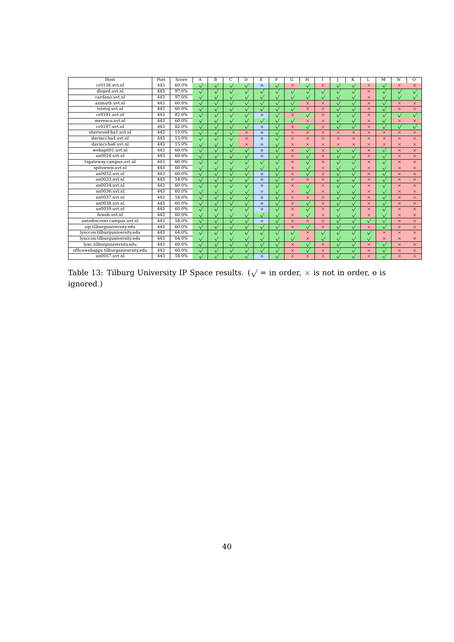| Host                                | Port | Score | А            | B         | C         | D         | E.           | F            | G          | H            |           |          | K            |           | M            | N         | $\Omega$  |
|-------------------------------------|------|-------|--------------|-----------|-----------|-----------|--------------|--------------|------------|--------------|-----------|----------|--------------|-----------|--------------|-----------|-----------|
| cr0136.vvt.n1                       | 443  | 60.0% | $\sqrt{}$    | $\sqrt{}$ | $\sqrt{}$ | $\sqrt{}$ | $\Omega$     | $\checkmark$ | $\times$   | $\sqrt{}$    | $\times$  |          | $\sqrt{}$    | $\times$  | $\checkmark$ | $\times$  | $\times$  |
| dloprd.uvt.nl                       | 443  | 97.0% |              |           |           |           |              |              |            |              |           |          |              | $\times$  |              |           |           |
| cardano.uvt.nl                      | 443  | 97.0% | $\sqrt{}$    |           |           |           |              | $\checkmark$ |            | $\sqrt{}$    |           |          |              | $\times$  |              |           |           |
| azimuth.uvt.nl                      | 443  | 60.0% | $\sqrt{}$    | $\sqrt{}$ | $\sqrt{}$ | $\sqrt{}$ |              | $\sqrt{}$    | $\sqrt{ }$ | $\times$     | $\times$  |          | $\sqrt{}$    | $\times$  | $\sqrt{}$    | $\times$  | $\times$  |
| tolstoj.uvt.nl                      | 443  | 60.0% | $\sqrt{}$    | $\sqrt{}$ | $\sqrt{}$ | Ñ,        | $\sqrt{}$    | $\sqrt{}$    | $\sqrt{}$  | $\times$     | $\times$  |          | $\sqrt{}$    | $\times$  | $\checkmark$ | $\times$  | $\times$  |
| cr0191.uvt.nl                       | 443  | 82.0% | $\checkmark$ |           | $\sqrt{}$ |           | $\Omega$     | $\sqrt{}$    | $\times$   | $\sqrt{}$    | $\times$  |          | $\sqrt{}$    | $\times$  | $\checkmark$ | $\sqrt{}$ | $\sqrt{}$ |
| meresco.uvt.nl                      | 443  | 60.0% |              |           |           |           |              | $\sqrt{}$    |            | $\times$     | $\times$  |          |              | $\times$  |              | $\times$  | $\times$  |
| cr0197.uvt.nl                       | 443  | 82.0% | $\sqrt{}$    |           |           |           | $\mathbf{o}$ | $\sqrt{}$    | $\times$   | $\sqrt{}$    | $\times$  |          |              | $\times$  |              | $\sqrt{}$ | $\sqrt{}$ |
| sherwood-ha1.uvt.nl                 | 443  | 15.0% | $\sqrt{}$    | $\sqrt{}$ |           | $\times$  | $\Omega$     | $\sqrt{}$    | $\times$   | $\times$     | $\times$  | $\times$ | $\times$     | $\times$  | $\times$     | $\times$  | $\times$  |
| davinci-ha4.uvt.nl                  | 443  | 15.0% | $\sqrt{}$    | $\sqrt{}$ |           | $\times$  | $\Omega$     | $\sqrt{}$    | $\times$   | $\times$     | $\times$  | $\times$ | $\times$     | $\times$  | $\times$     | $\times$  | $\times$  |
| davinci-ha6.uvt.nl                  | 443  | 15.0% | $\sqrt{}$    | $\sqrt{}$ | $\sqrt{}$ | $\times$  | $\Omega$     | $\checkmark$ | $\times$   | $\times$     | $\times$  | $\times$ | $\times$     | $\times$  | $\times$     | $\times$  | $\times$  |
| webap001.uvt.nl                     | 443  | 60.0% |              |           |           |           | $\mathbf{o}$ | $\checkmark$ | $\times$   | $\sqrt{}$    | $\times$  |          | $\sqrt{}$    | $\times$  |              | $\times$  | $\times$  |
| $an0024$ .uvt.nl                    | 443  | 60.0% | $\checkmark$ |           |           |           | $\mathbf{o}$ | $\sqrt{}$    | $\times$   | $\sqrt{}$    | $\times$  |          |              | $\times$  |              | $\times$  | $\times$  |
| tsgateway.campus.uvt.nl             | 443  | 60.0% | $\sqrt{}$    |           |           |           |              | $\sqrt{}$    | $\times$   | $\sqrt{}$    | $\times$  |          | $\checkmark$ | $\times$  | $\sqrt{}$    | $\times$  | $\times$  |
| spitswww.uvt.nl                     | 443  | 60.0% | $\checkmark$ |           |           |           |              | $\sqrt{}$    | $\times$   | $\sqrt{}$    | $\times$  |          | $\sqrt{}$    | $\times$  | $\sqrt{}$    | $\times$  | $\times$  |
| an0032.uvt.nl                       | 443  | 60.0% | $\sqrt{}$    | $\sqrt{}$ | $\sqrt{}$ | $\sqrt{}$ | $\mathbf{o}$ | $\sqrt{}$    | $\times$   | $\sqrt{}$    | $\times$  |          | $\sqrt{}$    | $\times$  | $\sqrt{}$    | $\times$  | $\times$  |
| an0033.uvt.nl                       | 443  | 54.0% | $\checkmark$ |           |           |           | $\Omega$     | $\checkmark$ | $\times$   | $\times$     | $\times$  |          | $\checkmark$ | $\times$  |              | $\times$  | $\times$  |
| $an0034.$ uvt.nl                    | 443  | 60.0% | $\sqrt{}$    |           |           |           | $\mathbf{o}$ | $\sqrt{}$    | $\times$   | $\sqrt{}$    | $\times$  |          |              | $\times$  |              | $\times$  | $\times$  |
| $an0036.$ uvt.nl                    | 443  | 60.0% |              |           |           |           | $\Omega$     | $\checkmark$ | $\times$   | $\sqrt{}$    | $\times$  |          |              | $\times$  |              | $\times$  | $\times$  |
| $an0037$ .uvt.nl                    | 443  | 54.0% | $\checkmark$ |           |           |           | $\Omega$     | $\sqrt{}$    | $\times$   | $\times$     | $\times$  |          | $\sqrt{2}$   | $\times$  |              | $\times$  | $\times$  |
| an0038.uvt.nl                       | 443  | 60.0% | $\sqrt{}$    |           |           |           | $\Omega$     | $\sqrt{}$    | $\times$   | $\sqrt{}$    | $\times$  |          | $\sqrt{}$    | $\times$  | $\sqrt{}$    | $\times$  | $\times$  |
| an0039.uvt.nl                       | 443  | 60.0% | $\checkmark$ |           | $\sqrt{}$ |           | $\Omega$     | $\sqrt{}$    | $\times$   | $\sqrt{}$    | $\times$  |          | $\sqrt{}$    | $\times$  | $\sqrt{}$    | $\times$  | $\times$  |
| feweb.uvt.nl                        | 443  | 60.0% | $\checkmark$ |           |           |           |              | $\checkmark$ | $\times$   | $\sqrt{}$    | $\times$  |          | $\sqrt{}$    | $\times$  |              | $\times$  | $\times$  |
| autodiscover.campus.uvt.nl          | 443  | 58.0% |              |           |           |           | $\mathbf{o}$ | $\sqrt{}$    | $\times$   | $\times$     | $\times$  |          |              |           |              | $\times$  | $\times$  |
| sip.tilburquniversity.edu           | 443  | 60.0% | $\checkmark$ |           |           |           |              | $\sqrt{}$    | $\times$   | $\checkmark$ | $\times$  |          |              | $\times$  |              | $\times$  | $\times$  |
| lynccon.tilburquniversity.edu       | 443  | 64.0% | $\sqrt{}$    |           |           |           |              | $\sqrt{}$    | $\sqrt{}$  | $\times$     | $\sqrt{}$ |          | $\sqrt{}$    |           | $\times$     | $\times$  | $\times$  |
| lynccon.tilburquniversity.edu       | 443  | 64.0% | $\checkmark$ | $\sqrt{}$ | $\sqrt{}$ | $\sqrt{}$ |              | $\sqrt{}$    | $\sqrt{}$  | $\times$     | $\sqrt{}$ |          | $\sqrt{}$    | $\sqrt{}$ | $\times$     | $\times$  | $\times$  |
| lync.tilburguniversity.edu          | 443  | 60.0% | $\checkmark$ |           | $\sqrt{}$ |           |              | $\checkmark$ | $\times$   | $\sqrt{}$    | $\times$  |          | $\sqrt{}$    | $\times$  | $\checkmark$ | $\times$  | $\times$  |
| officewebapps.tilburquniversity.edu | 443  | 60.0% |              |           |           |           |              | $\checkmark$ | $\times$   |              | $\times$  |          |              | $\times$  |              | $\times$  | $\times$  |
| $an0057$ .uvt.nl                    | 443  | 54.0% |              |           |           |           | $\Omega$     |              | $\times$   | $\times$     | $\times$  |          |              | $\times$  |              | $\times$  | $\times$  |

Table 13: Tilburg University IP Space results. ( $\sqrt{}=$  in order,  $\times$  is not in order, o is ignored.)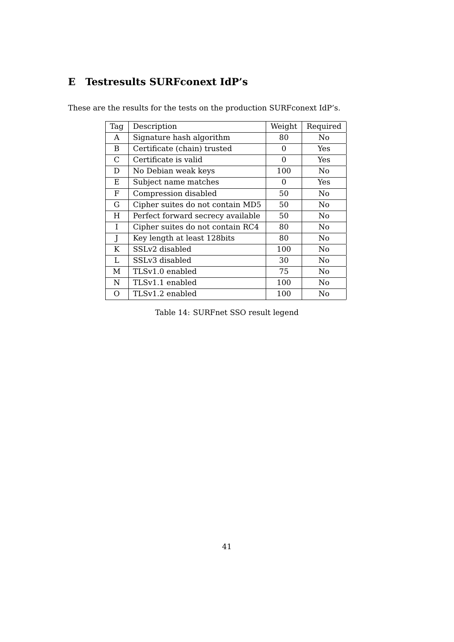# <span id="page-41-0"></span>**E Testresults SURFconext IdP's**

These are the results for the tests on the production SURFconext IdP's.

| Tag      | Description                       | Weight   | Required       |
|----------|-----------------------------------|----------|----------------|
| A        | Signature hash algorithm          | 80       | No             |
| B        | Certificate (chain) trusted       | $\Omega$ | Yes            |
| C        | Certificate is valid              | $\Omega$ | Yes            |
| D        | No Debian weak keys               | 100      | No             |
| Ε        | Subject name matches              | $\Omega$ | Yes            |
| F        | Compression disabled              | 50       | No             |
| G        | Cipher suites do not contain MD5  | 50       | No             |
| Н        | Perfect forward secrecy available | 50       | No             |
| Ι        | Cipher suites do not contain RC4  | 80       | No             |
| J        | Key length at least 128bits       | 80       | No             |
| K        | SSLv2 disabled                    | 100      | No             |
| L        | SSLv3 disabled                    | 30       | N <sub>0</sub> |
| М        | TLSv1.0 enabled                   | 75       | No             |
| N        | TLSv1.1 enabled                   | 100      | No             |
| $\Omega$ | TLSv1.2 enabled                   | 100      | No             |

Table 14: SURFnet SSO result legend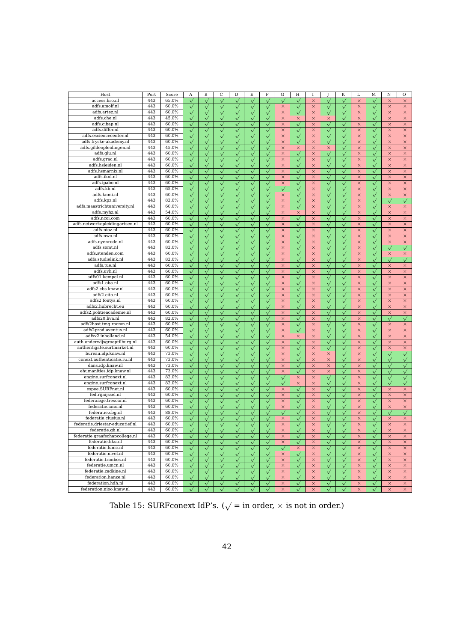| Host                            | Port | Score | A            | $\, {\bf B}$    | C            | $\overline{D}$      | E                  | F            | G            | H            | I        |                    | $\overline{\mathbf{K}}$ | L        | M                  | $\overline{N}$ | $\overline{O}$          |
|---------------------------------|------|-------|--------------|-----------------|--------------|---------------------|--------------------|--------------|--------------|--------------|----------|--------------------|-------------------------|----------|--------------------|----------------|-------------------------|
| access.hro.nl                   | 443  | 65.0% | $\checkmark$ | $\checkmark$    | $\sqrt{}$    | $\sqrt{}$           | $\checkmark$       | $\sqrt{}$    | $\checkmark$ | $\checkmark$ | $\times$ | $\checkmark$       | $\checkmark$            | ×        | $\checkmark$       | $\times$       | $\times$                |
| adfs.amolf.nl                   | 443  | 60.0% | $\checkmark$ | $\checkmark$    | $\sqrt{}$    | $\checkmark$        | $\checkmark$       | $\checkmark$ | $\times$     | $\checkmark$ | $\times$ | $\sqrt{}$          | $\sqrt{}$               | $\times$ | $\checkmark$       | $\times$       | $\times$                |
| adfs.artez.nl                   | 443  | 60.0% |              |                 |              |                     |                    |              | $\times$     |              |          |                    |                         | $\times$ |                    |                | $\times$                |
| adfs.che.nl                     | 443  | 45.0% |              | $\checkmark$    |              |                     | $\checkmark$       |              |              | $\checkmark$ | $\times$ | $\checkmark$       | $\checkmark$            |          | $\checkmark$       | $\times$       |                         |
|                                 |      |       | $\checkmark$ | $\checkmark$    | $\sqrt{}$    | $\checkmark$        | $\checkmark$       | $\checkmark$ | ×            | $\times$     | $\times$ | ×                  | $\checkmark$            | $\times$ | $\checkmark$       | $\times$       | $\times$                |
| adfs.cibap.nl                   | 443  | 60.0% | $\checkmark$ | $\checkmark$    | $\sqrt{}$    | $\sqrt{}$           | $\checkmark$       | $\checkmark$ | $\times$     | $\checkmark$ | $\times$ | $\checkmark$       | $\checkmark$            | $\times$ | $\checkmark$       | $\times$       | $\times$                |
| adfs.differ.nl                  | 443  | 60.0% | $\checkmark$ | $\checkmark$    | $\checkmark$ | $\checkmark$        | $\checkmark$       | $\checkmark$ | ×            | $\checkmark$ | $\times$ | $\checkmark$       | $\checkmark$            | $\times$ | $\checkmark$       | $\times$       | $\times$                |
| adfs.esciencecenter.nl          | 443  | 60.0% | $\checkmark$ | $\checkmark$    |              | $\sqrt{}$           | $\checkmark$       |              | $\times$     | $\checkmark$ | $\times$ | $\hat{\mathbf{v}}$ | $\checkmark$            | $\times$ |                    | $\times$       | $\times$                |
| adfs.fryske-akademy.nl          | 443  | 60.0% | $\checkmark$ | $\checkmark$    | $\sqrt{}$    |                     | $\checkmark$       | $\sqrt{}$    | $\times$     | $\checkmark$ | $\times$ | $\checkmark$       | $\sqrt{}$               | $\times$ | $\checkmark$       | $\times$       | $\times$                |
| adfs.gildeopleidingen.nl        | 443  | 45.0% | $\checkmark$ | $\checkmark$    | $\sqrt{}$    |                     | $\checkmark$       | $\sqrt{}$    | $\times$     | $\times$     | $\times$ | ×                  | $\checkmark$            | $\times$ | $\hat{\mathbf{v}}$ | $\times$       | $\times$                |
| adfs.glu.nl                     | 443  | 60.0% | $\checkmark$ | $\checkmark$    |              |                     | $\checkmark$       |              | $\times$     | $\checkmark$ | $\times$ | $\sqrt{}$          | $\checkmark$            | $\times$ | $\checkmark$       | $\times$       | $\times$                |
| adfs.grac.nl                    | 443  | 60.0% | $\checkmark$ | $\checkmark$    | $\sqrt{}$    | $\checkmark$        | $\checkmark$       |              | $\times$     | $\checkmark$ | $\times$ | $\checkmark$       | $\checkmark$            | $\times$ | $\checkmark$       | $\times$       | $\times$                |
| adfs.hsleiden.nl                | 443  | 60.0% | $\checkmark$ | $\checkmark$    | $\sqrt{}$    | $\sqrt{}$           | $\checkmark$       | $\checkmark$ | $\times$     | $\checkmark$ | $\times$ | $\checkmark$       | $\checkmark$            | $\times$ | $\checkmark$       | $\times$       | $\times$                |
| adfs.hsmarnix.nl                | 443  | 60.0% | $\checkmark$ | $\checkmark$    | $\checkmark$ | $\sqrt{}$           | $\checkmark$       | $\checkmark$ | $\times$     | $\checkmark$ | $\times$ | $\checkmark$       | $\sqrt{2}$              | $\times$ | $\checkmark$       | $\times$       | $\times$                |
| adfs.iknl.nl                    | 443  | 60.0% | $\checkmark$ | $\checkmark$    | $\checkmark$ | $\hat{\mathbf{V}}$  | $\checkmark$       |              | $\times$     | $\checkmark$ | $\times$ | $\checkmark$       | $\checkmark$            | $\times$ | $\checkmark$       | $\times$       | $\times$                |
| adfs.ipabo.nl                   | 443  | 60.0% | $\checkmark$ | $\checkmark$    | $\sqrt{}$    | $\checkmark$        | $\checkmark$       | $\sqrt{}$    | $\times$     | $\checkmark$ | $\times$ | $\checkmark$       | $\checkmark$            | $\times$ | $\checkmark$       | $\times$       | $\times$                |
| adfs.kb.nl                      | 443  | 65.0% | $\checkmark$ | $\checkmark$    | $\sqrt{}$    | $\checkmark$        | $\checkmark$       | $\sqrt{}$    | $\checkmark$ | $\checkmark$ | $\times$ | $\checkmark$       | $\sqrt{}$               | $\times$ | $\checkmark$       | $\times$       | $\times$                |
| adfs.knmi.nl                    | 443  | 60.0% | $\checkmark$ | $\checkmark$    |              |                     | $\checkmark$       |              | $\times$     | $\checkmark$ | $\times$ |                    | $\checkmark$            | $\times$ | $\checkmark$       | $\times$       | $\times$                |
| adfs.kpz.nl                     | 443  | 82.0% |              |                 |              |                     |                    |              |              |              |          | $\checkmark$       |                         |          |                    |                |                         |
| adfs.maastrichtuniversity.nl    | 443  | 60.0% | $\checkmark$ | $\checkmark$    | $\checkmark$ | $\checkmark$        | $\checkmark$       | $\checkmark$ | $\times$     | $\checkmark$ | $\times$ | $\checkmark$       | $\checkmark$            | $\times$ | $\checkmark$       |                | $\checkmark$            |
|                                 |      |       | $\checkmark$ | $\checkmark$    | $\sqrt{}$    | $\checkmark$        | $\checkmark$       | $\checkmark$ | $\times$     | $\sqrt{}$    | $\times$ | $\checkmark$       | $\checkmark$            | $\times$ | $\checkmark$       | $\times$       | $\times$                |
| adfs.myhz.nl                    | 443  | 54.0% | $\checkmark$ | $\checkmark$    | $\checkmark$ | $\sqrt{2}$          | $\hat{\mathsf{v}}$ | $\checkmark$ | $\times$     | $\times$     | $\times$ | $\checkmark$       | $\checkmark$            | $\times$ | $\checkmark$       | $\times$       | $\times$                |
| adfs.ncoi.com                   | 443  | 60.0% | $\checkmark$ | $\checkmark$    |              | $\sqrt{}$           | $\checkmark$       |              | $\times$     | $\sqrt{}$    | $\times$ | $\checkmark$       | $\sqrt{}$               | $\times$ | $\checkmark$       | $\times$       | $\times$                |
| adfs.netwerkopleidingartsen.nl  | 443  | 60.0% | $\checkmark$ | $\checkmark$    | $\checkmark$ | $\checkmark$        | $\checkmark$       | $\checkmark$ | $\times$     | $\checkmark$ | $\times$ | $\checkmark$       | $\checkmark$            | $\times$ | $\checkmark$       | $\times$       | $\times$                |
| adfs.nioz.nl                    | 443  | 60.0% | $\checkmark$ | $\checkmark$    | $\checkmark$ |                     | $\checkmark$       |              | $\times$     | $\checkmark$ | $\times$ | $\checkmark$       | $\checkmark$            | $\times$ | $\checkmark$       | $\times$       | $\times$                |
| adfs.nwo.nl                     | 443  | 60.0% | $\checkmark$ | $\checkmark$    |              |                     | $\checkmark$       |              | $\times$     | $\checkmark$ | $\times$ | $\checkmark$       | $\checkmark$            | $\times$ | $\checkmark$       | $\times$       | $\times$                |
| adfs.nyenrode.nl                | 443  | 60.0% | $\checkmark$ | $\checkmark$    | $\checkmark$ | $\checkmark$        | $\checkmark$       | $\checkmark$ | $\times$     | $\checkmark$ | $\times$ | $\checkmark$       | $\checkmark$            | $\times$ | $\checkmark$       | $\times$       | $\times$                |
| adfs.somt.nl                    | 443  | 82.0% | $\checkmark$ | $\checkmark$    | $\sqrt{}$    | $\sqrt{}$           | $\checkmark$       | $\checkmark$ | $\times$     | $\checkmark$ | $\times$ | $\checkmark$       | $\checkmark$            | $\times$ | $\checkmark$       | $\checkmark$   | $\checkmark$            |
| adfs.stenden.com                | 443  | 60.0% | $\checkmark$ | $\checkmark$    | $\sqrt{}$    | $\checkmark$        | $\checkmark$       | $\checkmark$ | $\times$     | $\sqrt{}$    | $\times$ | $\checkmark$       | $\checkmark$            | $\times$ | $\checkmark$       | $\times$       | $\times$                |
| adfs.studielink.nl              | 443  | 82.0% | $\checkmark$ | $\sqrt{}$       |              | $\sqrt{}$           | $\checkmark$       |              | $\times$     | $\checkmark$ | $\times$ | $\checkmark$       | $\sqrt{}$               | $\times$ | $\checkmark$       |                | $\checkmark$            |
| adfs.tue.nl                     | 443  | 60.0% | $\checkmark$ | $\checkmark$    | $\checkmark$ | $\checkmark$        | $\checkmark$       | $\checkmark$ | $\times$     | $\checkmark$ | $\times$ | $\checkmark$       | $\sqrt{}$               | $\times$ | $\checkmark$       | $\times$       | $\times$                |
| adfs.uvh.nl                     | 443  | 60.0% | $\checkmark$ | $\checkmark$    | $\checkmark$ |                     | $\checkmark$       |              | $\times$     | $\checkmark$ | $\times$ | $\checkmark$       | $\sqrt{}$               | $\times$ | $\checkmark$       | $\times$       | $\times$                |
| adfs01.kempel.nl                | 443  | 60.0% | $\checkmark$ | $\checkmark$    |              | $\checkmark$        | $\checkmark$       |              | $\times$     | $\checkmark$ | $\times$ | $\checkmark$       | $\checkmark$            | $\times$ | $\checkmark$       | $\times$       | $\times$                |
| adfs1.oba.nl                    | 443  | 60.0% | $\checkmark$ | $\checkmark$    | $\checkmark$ | $\checkmark$        | $\checkmark$       | $\checkmark$ | $\times$     | $\checkmark$ | $\times$ | $\checkmark$       | $\checkmark$            | $\times$ | $\checkmark$       | $\times$       | $\times$                |
| adfs2.cbs.knaw.nl               | 443  | 60.0% | $\checkmark$ | $\checkmark$    | $\checkmark$ | $\checkmark$        | $\checkmark$       | $\checkmark$ | $\times$     | $\checkmark$ | $\times$ | $\checkmark$       | $\checkmark$            | $\times$ | $\checkmark$       | $\times$       | $\times$                |
| adfs2.cito.nl                   | 443  | 60.0% |              | $\checkmark$    |              |                     | $\checkmark$       |              | $\times$     | $\sqrt{}$    | $\times$ |                    | $\checkmark$            | ×        |                    | $\times$       | $\times$                |
| adfs2.fontys.nl                 | 443  | 60.0% | $\checkmark$ |                 | $\sqrt{}$    | $\checkmark$        |                    | $\checkmark$ |              |              | $\times$ | $\checkmark$       |                         | $\times$ | $\checkmark$       |                | $\times$                |
|                                 | 443  | 60.0% | $\checkmark$ | $\bar{\sqrt{}}$ | $\sqrt{}$    | $\checkmark$        | $\sqrt{}$          | $\sqrt{}$    | $\times$     | $\checkmark$ |          | $\checkmark$       | $\sqrt{}$               |          | $\checkmark$       | $\times$       | $\overline{\mathsf{x}}$ |
| adfs2.hubrecht.eu               |      |       | $\checkmark$ | $\checkmark$    | $\checkmark$ | $\checkmark$        | $\checkmark$       | $\checkmark$ | $\times$     | $\checkmark$ | $\times$ | $\checkmark$       | $\checkmark$            | $\times$ | $\checkmark$       | $\times$       |                         |
| adfs2.politieacademie.nl        | 443  | 60.0% | $\checkmark$ | $\checkmark$    | $\checkmark$ |                     | $\checkmark$       |              | $\times$     | $\checkmark$ | $\times$ | $\checkmark$       | $\sqrt{}$               | $\times$ | $\checkmark$       | $\times$       | $\times$                |
| adfs20.hva.nl                   | 443  | 82.0% | $\checkmark$ | $\checkmark$    | $\sqrt{}$    | $\checkmark$        | $\checkmark$       | $\sqrt{}$    | $\times$     | $\sqrt{}$    | $\times$ | $\checkmark$       | $\checkmark$            | $\times$ | $\checkmark$       | $\sqrt{}$      | $\checkmark$            |
| adfs2host.tmg.rocmn.nl          | 443  | 60.0% | $\checkmark$ | $\checkmark$    | $\sqrt{}$    | $\checkmark$        | $\checkmark$       | $\checkmark$ | ×            | $\checkmark$ | $\times$ | $\checkmark$       | $\checkmark$            | $\times$ | $\checkmark$       | $\times$       | $\times$                |
| adfs2prod.aventus.nl            | 443  | 60.0% | $\checkmark$ | $\checkmark$    |              | $\hat{\mathcal{N}}$ | $\checkmark$       |              | ×            | $\checkmark$ | $\times$ | $\checkmark$       | $\checkmark$            | $\times$ | $\checkmark$       | $\times$       | $\times$                |
| adfsv2.inholland.nl             | 443  | 54.0% | $\checkmark$ | $\checkmark$    | $\sqrt{}$    | $\checkmark$        | $\checkmark$       | $\sqrt{}$    | $\times$     | $\times$     | $\times$ | $\checkmark$       | $\checkmark$            | $\times$ | $\checkmark$       | $\times$       | $\times$                |
| auth.onderwijsgroeptilburg.nl   | 443  | 60.0% | $\checkmark$ | $\checkmark$    | $\checkmark$ | $\checkmark$        | $\checkmark$       | $\checkmark$ | $\times$     | $\sqrt{}$    | $\times$ | $\checkmark$       | $\sqrt{}$               | $\times$ | $\checkmark$       | $\times$       | $\times$                |
| authentigate.surfmarket.nl      | 443  | 60.0% | $\checkmark$ | $\checkmark$    | $\checkmark$ | $\checkmark$        | $\checkmark$       | $\sqrt{}$    | $\times$     | $\checkmark$ | $\times$ | $\checkmark$       | $\checkmark$            | $\times$ | $\checkmark$       | $\times$       | $\times$                |
| bureau.idp.knaw.nl              | 443  | 73.0% | $\checkmark$ | $\checkmark$    | $\checkmark$ | $\checkmark$        | $\checkmark$       | $\checkmark$ | $\times$     | $\checkmark$ | $\times$ | $\times$           | $\sqrt{}$               | $\times$ | $\checkmark$       | $\checkmark$   | $\checkmark$            |
| conext.authenticatie.ru.nl      | 443  | 73.0% | $\checkmark$ | $\checkmark$    | $\sqrt{}$    | $\sqrt{}$           | $\checkmark$       | $\checkmark$ | $\times$     | $\sqrt{}$    | $\times$ | $\times$           | $\checkmark$            | $\times$ | $\checkmark$       | $\checkmark$   | $\checkmark$            |
| dans.idp.knaw.nl                | 443  | 73.0% | $\checkmark$ | $\checkmark$    | $\checkmark$ | $\checkmark$        | $\checkmark$       | $\checkmark$ | ×            | $\checkmark$ | $\times$ | ×                  | $\checkmark$            | $\times$ | $\checkmark$       | $\checkmark$   | $\checkmark$            |
| ehumanities.idp.knaw.nl         | 443  | 73.0% | $\checkmark$ | $\checkmark$    | $\sqrt{}$    | $\sqrt{}$           | $\checkmark$       | $\checkmark$ | $\times$     | $\checkmark$ | $\times$ | $\times$           | $\checkmark$            | $\times$ | $\checkmark$       | $\checkmark$   | $\checkmark$            |
| engine.surfconext.nl            | 443  | 82.0% | $\checkmark$ | $\checkmark$    | $\sqrt{}$    | $\checkmark$        | $\checkmark$       | $\checkmark$ | $\checkmark$ | $\times$     | $\times$ | $\checkmark$       | $\checkmark$            | $\times$ | $\checkmark$       | $\checkmark$   | $\checkmark$            |
| engine.surfconext.nl            | 443  | 82.0% | $\checkmark$ | $\checkmark$    | $\checkmark$ | $\sqrt{}$           | $\checkmark$       | $\checkmark$ | $\checkmark$ | $\times$     | $\times$ | $\checkmark$       | $\sqrt{}$               | $\times$ | $\checkmark$       | $\checkmark$   | $\checkmark$            |
| espee.SURFnet.nl                | 443  | 60.0% |              |                 |              |                     |                    |              | $\times$     |              | $\times$ |                    |                         | $\times$ |                    | $\times$       | $\times$                |
|                                 | 443  | 60.0% | $\checkmark$ | $\checkmark$    |              |                     | $\checkmark$       | $\checkmark$ |              | $\checkmark$ |          | $\checkmark$       | $\checkmark$            |          | $\checkmark$       |                |                         |
| fed.rijnijssel.nl               |      |       | $\checkmark$ | $\checkmark$    | $\checkmark$ |                     | $\checkmark$       | $\checkmark$ | ×            | $\checkmark$ | $\times$ | $\sqrt{}$          | $\checkmark$            | $\times$ | $\sqrt{}$          | $\times$       | $\times$                |
| federaasje.tresoar.nl           | 443  | 60.0% | $\checkmark$ | $\checkmark$    | $\sqrt{}$    | $\checkmark$        | $\checkmark$       | $\checkmark$ | $\times$     | $\sqrt{}$    | $\times$ | $\checkmark$       | $\checkmark$            | $\times$ | $\checkmark$       | $\times$       | $\times$                |
| federatie.amc.nl                | 443  | 60.0% | $\checkmark$ | $\checkmark$    | $\checkmark$ | $\checkmark$        | $\checkmark$       | $\checkmark$ | $\times$     | $\checkmark$ | $\times$ | $\checkmark$       | $\checkmark$            | $\times$ | $\checkmark$       | $\times$       | $\times$                |
| federatie.cbg.nl                | 443  | 88.0% | $\checkmark$ | $\checkmark$    | $\sqrt{}$    | $\sqrt{}$           | $\checkmark$       |              | $\checkmark$ | $\checkmark$ | $\times$ | $\checkmark$       | $\checkmark$            | $\times$ | $\checkmark$       |                | $\checkmark$            |
| federatie.clusius.nl            | 443  | 60.0% | $\checkmark$ |                 | $\sqrt{}$    | $\checkmark$        | $\checkmark$       | $\sqrt{}$    | $\times$     | $\checkmark$ | $\times$ | $\checkmark$       | $\sqrt{}$               | $\times$ | $\checkmark$       | ×              | $\times$                |
| federatie.driestar-educatief.nl | 443  | 60.0% | $\sqrt{}$    | $\checkmark$    | $\sqrt{}$    | $\checkmark$        | $\checkmark$       | $\checkmark$ | ×            | $\checkmark$ | $\times$ | $\checkmark$       | $\checkmark$            | $\times$ | $\checkmark$       | $\times$       | $\times$                |
| federatie.gh.nl                 | 443  | 60.0% |              | $\checkmark$    |              |                     |                    |              | $\times$     | $\checkmark$ | $\times$ |                    | $\checkmark$            | $\times$ |                    | $\times$       | $\times$                |
| federatie.graafschapcollege.nl  | 443  | 60.0% |              | $\checkmark$    | $\checkmark$ | $\checkmark$        | $\checkmark$       | $\checkmark$ | $\times$     | $\checkmark$ | ×        | $\checkmark$       | $\checkmark$            | ×        | $\checkmark$       | ×              | ×                       |
| federatie.hku.nl                | 443  | 60.0% | $\checkmark$ | $\checkmark$    |              | $\checkmark$        | $\checkmark$       |              | $\times$     | $\sqrt{}$    | $\times$ | $\checkmark$       | $\checkmark$            | $\times$ | $\sqrt{}$          | $\times$       | $\times$                |
| federatie.lumc.nl               | 443  | 60.0% | $\sqrt{}$    | $\checkmark$    | $\sqrt{}$    | $\checkmark$        | $\checkmark$       | $\sqrt{}$    | $\checkmark$ | ×            | $\times$ | $\checkmark$       | $\checkmark$            | ×        | $\sqrt{}$          | ×              | $\times$                |
| federatie.nivel.nl              | 443  | 60.0% | $\sqrt{}$    | $\sqrt{}$       | $\sqrt{}$    | $\checkmark$        | $\checkmark$       | $\sqrt{}$    | ×            | $\checkmark$ | $\times$ | $\hat{\sqrt{}}$    | $\sqrt{}$               | $\times$ | $\checkmark$       | $\times$       | $\times$                |
| federatie.trimbos.nl            | 443  | 60.0% | $\checkmark$ | $\checkmark$    | $\sqrt{}$    | $\checkmark$        | $\checkmark$       | $\sqrt{}$    | ×            | $\sqrt{}$    | $\times$ | $\checkmark$       | $\sqrt{}$               | $\times$ | $\checkmark$       | $\times$       | $\times$                |
| federatie.umcn.nl               | 443  | 60.0% | $\checkmark$ | $\checkmark$    | $\sqrt{}$    | $\checkmark$        | $\sqrt{}$          | $\sqrt{}$    | $\times$     | $\checkmark$ | $\times$ | $\checkmark$       | $\checkmark$            | $\times$ | $\checkmark$       | $\times$       | $\times$                |
| federatie.zadkine.nl            | 443  | 60.0% | $\checkmark$ | $\checkmark$    | $\sqrt{}$    | $\checkmark$        | $\checkmark$       | $\sqrt{}$    | $\times$     | $\sqrt{}$    | $\times$ | $\checkmark$       | $\sqrt{}$               | $\times$ | $\checkmark$       | $\times$       | $\times$                |
| federation.hanze.nl             | 443  | 60.0% | $\checkmark$ | $\checkmark$    | $\sqrt{}$    | $\checkmark$        | $\sqrt{}$          | $\sqrt{}$    | ×            | $\sqrt{}$    | ×        | $\sqrt{}$          | $\sqrt{}$               | $\times$ | $\sqrt{}$          | ×              | $\times$                |
| federation.hdh.nl               | 443  | 60.0% | $\checkmark$ | $\checkmark$    | $\sqrt{}$    | $\checkmark$        | $\checkmark$       | $\sqrt{}$    | $\times$     | $\sqrt{}$    | $\times$ | $\checkmark$       | $\sqrt{}$               | $\times$ | $\checkmark$       | $\times$       | $\times$                |
| federation.nioo.knaw.nl         | 443  | 60.0% |              |                 |              |                     |                    |              |              |              | $\times$ |                    |                         |          |                    |                |                         |
|                                 |      |       | $\checkmark$ | $\checkmark$    |              | $\checkmark$        | $\checkmark$       | $\sqrt{}$    | ×            | $\sqrt{}$    |          | $\checkmark$       | $\sqrt{}$               | ×        | $\sqrt{}$          | ×              | ×                       |

Table 15: SURFconext IdP's. ( $\sqrt{}=$  in order,  $\times$  is not in order.)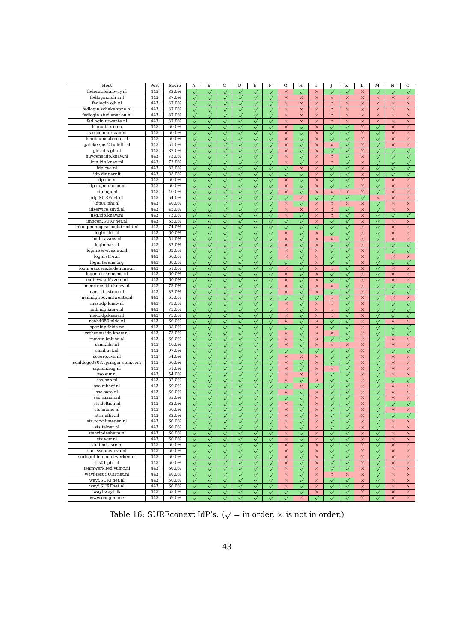| Host                          | Port | Score | Α            | B                  | С               | D            | E            | F            | G                  | Η            | 1            |              | K            | L            | М            | Ν                  | O            |
|-------------------------------|------|-------|--------------|--------------------|-----------------|--------------|--------------|--------------|--------------------|--------------|--------------|--------------|--------------|--------------|--------------|--------------------|--------------|
| federation.novay.nl           | 443  | 82.0% | $\sqrt{}$    | $\checkmark$       | $\checkmark$    | $\checkmark$ | $\checkmark$ | $\checkmark$ | $\times$           | $\checkmark$ | $\times$     |              | $\checkmark$ | $\times$     | $\checkmark$ | $\checkmark$       |              |
| fedlogin.noh-i.nl             | 443  | 37.0% | $\checkmark$ | $\checkmark$       | $\checkmark$    | $\checkmark$ | $\checkmark$ | $\checkmark$ | $\times$           | $\times$     | $\times$     | $\times$     | ×            | $\times$     | $\times$     | $\times$           | $\times$     |
| fedlogin.ojh.nl               | 443  | 37.0% | $\sqrt{}$    | $\checkmark$       | $\checkmark$    | $\checkmark$ | $\checkmark$ | $\checkmark$ | $\times$           | $\times$     | ×            | $\times$     | $\times$     | $\times$     | $\times$     | $\times$           | $\times$     |
| fedlogin.schakelzone.nl       | 443  | 37.0% |              | $\checkmark$       | $\sqrt{}$       | $\checkmark$ | $\checkmark$ | $\checkmark$ | $\times$           | $\times$     | ×            | $\times$     | $\times$     | $\times$     | $\times$     | $\times$           | $\times$     |
| fedlogin.studienet.ou.nl      | 443  | 37.0% | $\checkmark$ | $\checkmark$       | $\checkmark$    | $\checkmark$ | $\checkmark$ | $\checkmark$ | $\times$           | $\times$     | $\times$     | $\times$     | $\times$     | $\times$     | $\times$     | $\times$           | $\times$     |
| fedlogin.utwente.nl           | 443  | 37.0% | $\sqrt{}$    | $\checkmark$       | $\checkmark$    | $\checkmark$ | $\checkmark$ | $\checkmark$ | $\times$           | $\times$     | $\times$     | $\times$     | $\times$     | $\times$     | $\times$     | $\times$           | $\times$     |
| fs.multrix.com                | 443  | 60.0% |              |                    |                 |              |              |              | $\times$           |              | $\times$     |              |              | $\times$     |              |                    | $\times$     |
| fs.rocmondriaan.nl            |      |       |              | $\checkmark$       |                 |              |              |              |                    | $\sqrt{}$    |              | $\checkmark$ | $\checkmark$ |              | $\checkmark$ | $\times$           |              |
|                               | 443  | 60.0% | $\checkmark$ | $\checkmark$       | $\checkmark$    | $\checkmark$ | $\checkmark$ | $\checkmark$ | $\times$           | $\checkmark$ | ×            | $\checkmark$ | $\checkmark$ | $\times$     | $\checkmark$ | $\times$           | $\times$     |
| fshub.umcutrecht.nl           | 443  | 60.0% | $\checkmark$ | $\checkmark$       | $\checkmark$    | $\checkmark$ | $\checkmark$ | $\checkmark$ | $\times$           | $\checkmark$ | $\times$     | $\checkmark$ | $\checkmark$ | $\times$     | $\checkmark$ | $\times$           | $\times$     |
| gatekeeper2.tudelft.nl        | 443  | 51.0% | $\sqrt{}$    |                    | $\checkmark$    | $\checkmark$ | $\checkmark$ | $\checkmark$ | $\times$           | $\checkmark$ | $\times$     | $\times$     | $\checkmark$ | $\times$     | $\checkmark$ | $\times$           | $\times$     |
| glr-adfs.glr.nl               | 443  | 82.0% | $\sqrt{}$    | $\sqrt{}$          | $\sqrt{}$       | $\checkmark$ | $\sqrt{}$    | $\checkmark$ | $\times$           | $\sqrt{}$    | $\times$     | $\checkmark$ | $\checkmark$ | $\times$     | $\checkmark$ | $\sqrt{}$          | $\sqrt{}$    |
| huygens.idp.knaw.nl           | 443  | 73.0% | $\checkmark$ |                    | $\checkmark$    | $\checkmark$ | $\checkmark$ | $\checkmark$ | $\times$           | $\checkmark$ | $\times$     | ×            | $\checkmark$ | $\times$     | $\checkmark$ | $\checkmark$       | $\checkmark$ |
| icin.idp.knaw.nl              | 443  | 73.0% | $\sqrt{}$    | $\checkmark$       | $\checkmark$    | $\checkmark$ | $\sqrt{}$    | $\checkmark$ | $\times$           | $\checkmark$ | $\times$     | $\times$     | $\checkmark$ | $\times$     |              | $\checkmark$       | $\sqrt{}$    |
| idp.cwi.nl                    | 443  | 82.0% |              | $\checkmark$       | $\sqrt{}$       |              | $\checkmark$ | $\checkmark$ | $\sqrt{}$          | $\times$     | $\times$     | $\checkmark$ | $\checkmark$ | $\times$     | $\checkmark$ | $\checkmark$       | $\sqrt{}$    |
| idp.dir.garr.it               | 443  | 88.0% | $\checkmark$ | $\checkmark$       | $\checkmark$    | $\checkmark$ | $\checkmark$ | $\checkmark$ | $\checkmark$       | $\checkmark$ | ×            | $\checkmark$ | $\checkmark$ | $\times$     | $\checkmark$ | $\checkmark$       | $\checkmark$ |
| idp.ihe.nl                    | 443  | 60.0% | $\checkmark$ | $\checkmark$       | $\checkmark$    | $\checkmark$ | $\checkmark$ | $\checkmark$ | $\times$           | $\checkmark$ | $\times$     | $\checkmark$ | $\checkmark$ | $\times$     | $\checkmark$ | $\times$           | $\times$     |
| idp.mijnhelicon.nl            | 443  | 60.0% | $\checkmark$ | $\checkmark$       | $\checkmark$    | $\checkmark$ | $\sqrt{}$    | $\checkmark$ | $\times$           | $\checkmark$ | $\times$     | $\checkmark$ | $\sqrt{}$    | $\times$     | $\checkmark$ | $\times$           | $\times$     |
| idp.mpi.nl                    | 443  | 40.0% | $\sqrt{}$    |                    | $\checkmark$    |              | $\checkmark$ | $\checkmark$ | $\times$           | $\sqrt{}$    | $\times$     | $\times$     | $\times$     | $\times$     |              | $\times$           | $\times$     |
| idp.SURFnet.nl                | 443  | 64.0% | $\checkmark$ | $\checkmark$       | $\checkmark$    | $\checkmark$ | $\checkmark$ | $\checkmark$ | $\hat{\mathbf{v}}$ | $\times$     | $\checkmark$ | $\checkmark$ | $\checkmark$ | $\checkmark$ | $\times$     | $\times$           | $\times$     |
| idp01.nhl.nl                  | 443  | 40.0% | $\checkmark$ | $\checkmark$       | $\sqrt{}$       |              | $\sqrt{}$    | $\checkmark$ | $\times$           | $\checkmark$ | ×            | $\times$     | $\times$     | $\times$     |              | $\times$           | $\times$     |
| idservice.zuyd.nl             | 443  | 45.0% | $\sqrt{}$    | $\checkmark$       | $\sqrt{}$       |              | $\checkmark$ | $\checkmark$ | $\times$           | $\times$     | $\times$     | $\times$     | $\sqrt{}$    | $\times$     | $\checkmark$ | $\times$           | $\times$     |
| iisg.idp.knaw.nl              | 443  | 73.0% |              |                    |                 |              |              |              |                    |              |              |              |              |              |              |                    |              |
|                               |      |       | $\checkmark$ | $\checkmark$       | $\checkmark$    | $\checkmark$ | $\checkmark$ | $\checkmark$ | $\times$           | $\checkmark$ | ×            | $\times$     | $\checkmark$ | $\times$     | $\checkmark$ | $\checkmark$       | $\checkmark$ |
| imogen.SURFnet.nl             | 443  | 65.0% |              | $\checkmark$       | $\checkmark$    |              | $\checkmark$ |              | $\checkmark$       | $\checkmark$ | $\times$     |              | $\checkmark$ | $\times$     | $\checkmark$ | $\times$           | $\times$     |
| inloggen.hogeschoolutrecht.nl | 443  | 74.0% | $\checkmark$ | $\checkmark$       | $\checkmark$    | $\checkmark$ | $\checkmark$ | $\checkmark$ | $\sqrt{}$          | $\checkmark$ | $\checkmark$ | $\sqrt{}$    | $\checkmark$ | $\times$     | $\sqrt{}$    | $\times$           | $\times$     |
| login.ahk.nl                  | 443  | 60.0% | $\checkmark$ | $\checkmark$       | $\checkmark$    | $\checkmark$ | $\sqrt{}$    | $\checkmark$ | $\times$           | $\checkmark$ | ×            | $\checkmark$ | $\checkmark$ | $\times$     | $\checkmark$ | $\times$           | $\times$     |
| login.avans.nl                | 443  | 51.0% | $\checkmark$ | $\checkmark$       | $\checkmark$    | $\checkmark$ | $\checkmark$ | $\checkmark$ | $\times$           | $\checkmark$ | ×            | $\times$     | $\checkmark$ | $\times$     | $\checkmark$ | $\times$           | $\times$     |
| login.has.nl                  | 443  | 82.0% | $\checkmark$ | $\checkmark$       | $\checkmark$    | $\checkmark$ | $\checkmark$ | $\checkmark$ | $\times$           | $\checkmark$ | ×            |              | $\checkmark$ | $\times$     | $\checkmark$ | $\checkmark$       | $\sqrt{}$    |
| login.services.uu.nl          | 443  | 82.0% | $\sqrt{}$    | $\sqrt{}$          | $\checkmark$    | $\checkmark$ | $\checkmark$ |              | $\times$           | $\checkmark$ | $\times$     | $\checkmark$ | $\sqrt{}$    | $\times$     |              | $\checkmark$       | $\checkmark$ |
| login.stc-r.nl                | 443  | 60.0% | $\checkmark$ | $\checkmark$       | $\checkmark$    | $\checkmark$ | $\checkmark$ | $\checkmark$ | $\times$           | $\checkmark$ | $\times$     | $\checkmark$ | $\checkmark$ | $\times$     | $\checkmark$ | $\times$           | $\times$     |
| login.terena.org              | 443  | 88.0% | $\sqrt{}$    | $\checkmark$       | $\checkmark$    | $\checkmark$ | $\checkmark$ | $\checkmark$ | $\tilde{\vee}$     | $\checkmark$ | ×            | $\checkmark$ | $\checkmark$ | $\times$     |              |                    |              |
| login.uaccess.leidenuniv.nl   | 443  | 51.0% | $\checkmark$ | $\checkmark$       | $\checkmark$    | $\checkmark$ | $\checkmark$ | $\checkmark$ | $\times$           | $\checkmark$ | $\times$     | ×            | $\checkmark$ | $\times$     | $\checkmark$ | $\times$           | $\times$     |
| logon.erasmusmc.nl            | 443  | 60.0% | $\checkmark$ | $\hat{\mathbf{v}}$ | $\checkmark$    | $\checkmark$ | $\checkmark$ | $\checkmark$ | $\times$           | $\checkmark$ | $\times$     | $\checkmark$ | $\checkmark$ | $\times$     | $\checkmark$ | $\times$           | $\times$     |
| mdb-yw-adfs.zebi.nl           | 443  | 60.0% | $\checkmark$ | $\checkmark$       | $\checkmark$    | $\checkmark$ | $\checkmark$ |              | $\times$           | $\checkmark$ | $\times$     | $\checkmark$ | $\checkmark$ | $\times$     |              | $\times$           | $\times$     |
| meertens.idp.knaw.nl          | 443  | 73.0% | $\checkmark$ | $\checkmark$       | $\checkmark$    | $\checkmark$ | $\checkmark$ |              | $\times$           | $\checkmark$ | ×            | ×            | $\checkmark$ | $\times$     | $\checkmark$ | $\checkmark$       | $\checkmark$ |
| nam-id.astron.nl              | 443  | 82.0% | $\sqrt{}$    | $\sqrt{}$          | $\checkmark$    | $\checkmark$ | $\checkmark$ | $\checkmark$ | $\times$           | $\checkmark$ | $\times$     | $\checkmark$ | $\checkmark$ | $\times$     | $\checkmark$ | $\checkmark$       | $\checkmark$ |
| namidp.rocvantwente.nl        | 443  | 65.0% | $\sqrt{}$    | $\checkmark$       | $\checkmark$    | $\checkmark$ | $\checkmark$ | $\checkmark$ | $\checkmark$       |              | $\checkmark$ | ×            |              | $\times$     | $\checkmark$ |                    |              |
|                               | 443  | 73.0% |              |                    |                 |              |              |              |                    | $\checkmark$ |              |              | $\checkmark$ |              |              | ×                  | $\times$     |
| nias.idp.knaw.nl              |      |       | $\checkmark$ | $\sqrt{}$          | $\bar{\sqrt{}}$ |              | $\sqrt{}$    |              | $\times$           | $\checkmark$ | ×            | $\times$     | $\checkmark$ | $\times$     |              | $\checkmark$       |              |
| nidi.idp.knaw.nl              | 443  | 73.0% | $\sqrt{}$    | $\checkmark$       | $\checkmark$    | $\sqrt{}$    | $\checkmark$ | $\checkmark$ | $\times$           | $\checkmark$ | $\times$     | $\times$     | $\checkmark$ | $\times$     | $\sqrt{}$    | $\checkmark$       | $\checkmark$ |
| niod.idp.knaw.nl              | 443  | 73.0% | $\checkmark$ | $\checkmark$       | $\checkmark$    | $\checkmark$ | $\checkmark$ | $\checkmark$ | $\times$           | $\checkmark$ | ×            | $\times$     | $\checkmark$ | $\times$     | $\checkmark$ | $\checkmark$       | $\sqrt{}$    |
| nsab4050.nlda.nl              | 443  | 60.0% |              | $\checkmark$       | $\sqrt{}$       | $\checkmark$ | $\checkmark$ |              | $\times$           | $\checkmark$ | $\times$     |              | $\checkmark$ | $\times$     | $\checkmark$ | $\times$           | $\times$     |
| openidp.feide.no              | 443  | 88.0% | $\checkmark$ | $\checkmark$       | $\checkmark$    | $\checkmark$ | $\checkmark$ |              | $\checkmark$       | $\checkmark$ | ×            | $\checkmark$ | $\checkmark$ | $\times$     | $\checkmark$ | $\checkmark$       | $\checkmark$ |
| rathenau.idp.knaw.nl          | 443  | 73.0% | $\sqrt{}$    | $\checkmark$       | $\checkmark$    | $\checkmark$ | $\checkmark$ | $\checkmark$ | $\times$           | $\checkmark$ | $\times$     | $\times$     | $\sqrt{}$    | $\times$     | $\checkmark$ | $\checkmark$       | $\checkmark$ |
| remote.bplusc.nl              | 443  | 60.0% | $\sqrt{}$    |                    | $\checkmark$    | $\checkmark$ | $\sqrt{}$    | $\checkmark$ | $\times$           | $\checkmark$ | ×            | $\checkmark$ | $\checkmark$ | $\times$     |              | $\times$           | $\times$     |
| saml.hhs.nl                   | 443  | 40.0% | $\checkmark$ | $\checkmark$       | $\checkmark$    | $\checkmark$ | $\sqrt{}$    | $\checkmark$ | $\times$           | $\checkmark$ | ×            | ×            | $\times$     | $\times$     | $\checkmark$ | $\times$           | $\times$     |
| saml.uvt.nl                   | 443  | 97.0% | $\checkmark$ | $\checkmark$       | $\sqrt{}$       | $\checkmark$ | $\checkmark$ | $\checkmark$ | $\checkmark$       | $\checkmark$ | $\sqrt{}$    | $\checkmark$ | $\sqrt{}$    | $\times$     | $\checkmark$ | $\hat{\mathbf{v}}$ | $\sqrt{}$    |
| secure.uva.nl                 | 443  | 54.0% | $\checkmark$ | $\checkmark$       | $\checkmark$    | $\checkmark$ | $\checkmark$ | $\checkmark$ | $\times$           | $\times$     | ×            | $\checkmark$ | $\checkmark$ | $\times$     | $\checkmark$ | ×                  | $\times$     |
| senldogo0803.springer-sbm.com | 443  | 60.0% |              | $\checkmark$       | $\sqrt{}$       | $\checkmark$ | $\checkmark$ |              | $\times$           | $\checkmark$ | $\times$     | $\checkmark$ | $\checkmark$ | $\times$     | $\checkmark$ | $\times$           | $\times$     |
| signon.rug.nl                 | 443  | 51.0% | $\checkmark$ | $\checkmark$       | $\checkmark$    | $\checkmark$ | $\checkmark$ | $\checkmark$ | $\times$           | $\checkmark$ | $\times$     | $\times$     | $\sqrt{}$    | $\times$     | $\checkmark$ | $\times$           | $\times$     |
| sso.eur.nl                    | 443  | 54.0% | $\checkmark$ | $\checkmark$       | $\checkmark$    | $\checkmark$ | $\checkmark$ | $\checkmark$ | $\times$           | $\times$     | $\times$     | $\checkmark$ | $\checkmark$ | $\times$     | $\checkmark$ | $\times$           | $\times$     |
| sso.han.nl                    | 443  | 82.0% | $\checkmark$ |                    | $\checkmark$    | $\checkmark$ | $\checkmark$ | $\checkmark$ | $\times$           | $\checkmark$ | $\times$     | $\checkmark$ | $\checkmark$ | $\times$     |              | $\checkmark$       | $\sqrt{}$    |
| sso.nikhef.nl                 | 443  | 69.0% | $\sqrt{}$    | $\sqrt{}$          | $\checkmark$    | $\checkmark$ | $\sqrt{}$    | $\checkmark$ | $\sqrt{}$          | $\times$     | $\sqrt{}$    | $\checkmark$ | $\sqrt{}$    | $\times$     | $\checkmark$ | $\times$           | $\times$     |
| sso.sara.nl                   | 443  | 60.0% |              |                    |                 |              |              |              | $\times$           |              | $\times$     |              |              | $\times$     |              | $\times$           | $\times$     |
| sso.saxion.nl                 | 443  | 65.0% | $\checkmark$ | $\checkmark$       | $\sqrt{}$       | $\checkmark$ | $\checkmark$ | $\checkmark$ |                    | $\sqrt{}$    |              | $\checkmark$ | $\checkmark$ |              | $\checkmark$ |                    |              |
|                               | 443  | 82.0% |              |                    |                 |              |              |              | $\sqrt{}$          | $\checkmark$ | $\times$     |              | $\checkmark$ | $\times$     |              | $\times$           | $\times$     |
| sts.deltion.nl                |      |       |              |                    | $\checkmark$    |              | $\checkmark$ |              | $\times$           | $\sqrt{}$    | $\times$     |              | $\checkmark$ | $\times$     |              | $\checkmark$       |              |
| sts.mumc.nl                   | 443  | 60.0% | $\checkmark$ | $\checkmark$       | $\checkmark$    | $\checkmark$ | $\checkmark$ | $\checkmark$ | $\times$           | $\checkmark$ | ×            | $\checkmark$ | $\checkmark$ | $\times$     | $\checkmark$ | $\times$           | $\times$     |
| sts.nuffic.nl                 | 443  | 82.0% |              |                    | $\checkmark$    |              | $\checkmark$ | $\checkmark$ | $\times$           |              | ×            | $\checkmark$ | $\checkmark$ | $\times$     |              | $\checkmark$       | $\checkmark$ |
| sts.roc-nijmegen.nl           | 443  | 60.0% |              |                    |                 |              |              |              | $\times$           |              | ×            |              | $\checkmark$ | $\times$     |              | ×                  | ×            |
| sts.talnet.nl                 | 443  | 60.0% |              |                    |                 |              |              |              | $\times$           | $\checkmark$ | ×            |              | $\checkmark$ | ×            |              | ×                  | ×            |
| sts.windesheim.nl             | 443  | 60.0% |              | $\checkmark$       | $\sqrt{}$       | $\checkmark$ |              |              | $\times$           | $\checkmark$ | $\times$     | $\sqrt{}$    | $\checkmark$ | $\times$     | $\checkmark$ | $\times$           | $\times$     |
| sts.wur.nl                    | 443  | 60.0% | $\checkmark$ | $\checkmark$       | $\checkmark$    | $\checkmark$ | $\checkmark$ | $\checkmark$ | $\times$           | $\checkmark$ | $\times$     | $\checkmark$ | $\checkmark$ | $\times$     | $\checkmark$ | $\times$           | $\times$     |
| student.asre.nl               | 443  | 60.0% | $\checkmark$ | $\checkmark$       | $\sqrt{}$       | $\checkmark$ | $\checkmark$ | $\checkmark$ | $\times$           | $\sqrt{}$    | $\times$     | $\sqrt{}$    | $\checkmark$ | $\times$     | $\checkmark$ | $\times$           | $\times$     |
| surf-sso.ubvu.vu.nl           | 443  | 60.0% | $\checkmark$ | $\checkmark$       | $\checkmark$    | $\sqrt{}$    | $\checkmark$ | $\checkmark$ | $\times$           | $\checkmark$ | $\times$     | $\checkmark$ | $\checkmark$ | ×            | $\sqrt{}$    | $\times$           | ×            |
| surfspot.biblionetwerken.nl   | 443  | 60.0% | $\checkmark$ | $\checkmark$       | $\sqrt{}$       | $\checkmark$ | $\checkmark$ | $\checkmark$ | $\times$           | $\checkmark$ | ×            | $\checkmark$ | $\checkmark$ | $\times$     | $\checkmark$ | $\times$           | $\times$     |
| tcs01.pbl.nl                  | 443  | 60.0% | $\checkmark$ | $\checkmark$       | $\sqrt{}$       | $\checkmark$ | $\sqrt{}$    | $\checkmark$ | $\times$           | $\checkmark$ | $\times$     | $\checkmark$ | $\checkmark$ | $\times$     | $\sqrt{}$    | $\times$           | $\times$     |
| teamwerk.fed.vumc.nl          | 443  | 60.0% | $\sqrt{}$    | $\checkmark$       | $\sqrt{}$       | $\checkmark$ | $\checkmark$ | $\checkmark$ | $\times$           | $\checkmark$ | $\times$     | $\checkmark$ | $\checkmark$ | $\times$     | $\checkmark$ | $\times$           | $\times$     |
| wayf-test.SURFnet.nl          | 443  | 40.0% | $\checkmark$ | $\checkmark$       | $\checkmark$    | $\checkmark$ | $\checkmark$ | $\checkmark$ | $\times$           | $\checkmark$ | $\times$     | ×            | $\times$     | $\times$     | $\checkmark$ | $\times$           | $\times$     |
| wayf.SURFnet.nl               | 443  | 60.0% |              | $\checkmark$       | $\sqrt{}$       | $\checkmark$ | $\checkmark$ | $\checkmark$ | $\times$           | $\sqrt{}$    | $\times$     | $\checkmark$ | $\checkmark$ | $\times$     | $\sqrt{}$    | $\times$           | $\times$     |
| wayf.SURFnet.nl               | 443  | 60.0% | $\checkmark$ | $\checkmark$       | $\checkmark$    | $\checkmark$ | $\checkmark$ | $\checkmark$ | $\times$           | $\sqrt{}$    | $\times$     | $\checkmark$ | $\checkmark$ | $\times$     | $\checkmark$ | $\times$           | $\times$     |
| wayf.wayf.dk                  | 443  | 65.0% |              |                    |                 |              |              |              | $\sqrt{}$          |              | ×            |              |              | ×            |              | ×                  |              |
| www.onegini.me                | 443  |       | $\checkmark$ | $\sqrt{}$          | $\checkmark$    | $\checkmark$ | $\checkmark$ | $\checkmark$ |                    | $\sqrt{}$    |              | $\checkmark$ | $\checkmark$ |              | $\sqrt{}$    |                    | $\times$     |
|                               |      | 69.0% |              |                    |                 |              |              |              |                    | $\times$     |              |              |              | $\times$     |              | $\times$           | $\times$     |

Table 16: SURFconext IdP's. ( $\sqrt{}=$  in order,  $\times$  is not in order.)